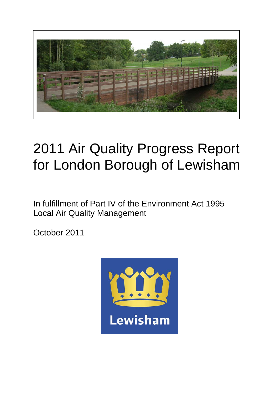

# 2011 Air Quality Progress Report for London Borough of Lewisham

In fulfillment of Part IV of the Environment Act 1995 Local Air Quality Management

October 2011

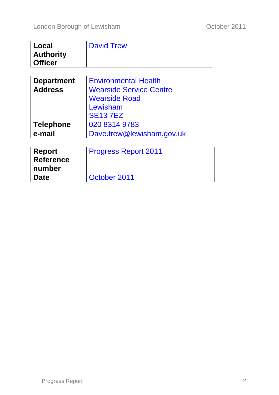| Local            | <b>David Trew</b> |
|------------------|-------------------|
| <b>Authority</b> |                   |
| <b>Officer</b>   |                   |

| <b>Department</b> | <b>Environmental Health</b>    |  |  |  |  |  |
|-------------------|--------------------------------|--|--|--|--|--|
| <b>Address</b>    | <b>Wearside Service Centre</b> |  |  |  |  |  |
|                   | <b>Wearside Road</b>           |  |  |  |  |  |
|                   | Lewisham                       |  |  |  |  |  |
|                   | <b>SE137EZ</b>                 |  |  |  |  |  |
| <b>Telephone</b>  | 020 8314 9783                  |  |  |  |  |  |
| e-mail            | Dave.trew@lewisham.gov.uk      |  |  |  |  |  |

| <b>Report</b>    | <b>Progress Report 2011</b> |
|------------------|-----------------------------|
| <b>Reference</b> |                             |
| number           |                             |
| <b>Date</b>      | October 2011                |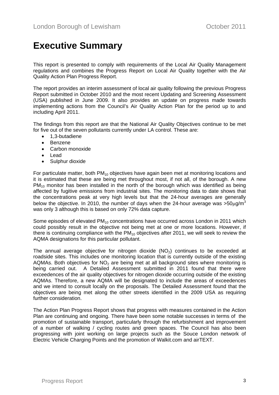# **Executive Summary**

This report is presented to comply with requirements of the Local Air Quality Management regulations and combines the Progress Report on Local Air Quality together with the Air Quality Action Plan Progress Report.

The report provides an interim assessment of local air quality following the previous Progress Report submitted in October 2010 and the most recent Updating and Screening Assessment (USA) published in June 2009. It also provides an update on progress made towards implementing actions from the Council's Air Quality Action Plan for the period up to and including April 2011.

The findings from this report are that the National Air Quality Objectives continue to be met for five out of the seven pollutants currently under LA control. These are:

- 1,3-butadiene
- Benzene
- Carbon monoxide
- Lead
- Sulphur dioxide

For particulate matter, both  $PM_{10}$  objectives have again been met at monitoring locations and it is estimated that these are being met throughout most, if not all, of the borough. A new  $PM_{10}$  monitor has been installed in the north of the borough which was identified as being affected by fugitive emissions from industrial sites. The monitoring data to date shows that the concentrations peak at very high levels but that the 24-hour averages are generally below the objective. In 2010, the number of days when the 24-hour average was  $>50\mu q/m^3$ was only 3 although this is based on only 72% data capture.

Some episodes of elevated  $PM_{10}$  concentrations have occurred across London in 2011 which could possibly result in the objective not being met at one or more locations. However, if there is continuing compliance with the  $PM_{10}$  objectives after 2011, we will seek to review the AQMA designations for this particular pollutant.

The annual average objective for nitrogen dioxide  $(NO<sub>2</sub>)$  continues to be exceeded at roadside sites. This includes one monitoring location that is currently outside of the existing AQMAs. Both objectives for  $NO<sub>2</sub>$  are being met at all background sites where monitoring is being carried out. A Detailed Assessment submitted in 2011 found that there were exceedences of the air quality objectives for nitrogen dioxide occurring outside of the existing AQMAs. Therefore, a new AQMA will be designated to include the areas of exceedences and we intend to consult locally on the proposals. The Detailed Assessment found that the objectives are being met along the other streets identified in the 2009 USA as requiring further consideration.

The Action Plan Progress Report shows that progress with measures contained in the Action Plan are continuing and ongoing. There have been some notable successes in terms of the promotion of sustainable transport, particularly through the refurbishment and improvement of a number of walking / cycling routes and green spaces. The Council has also been progressing with joint working on large projects such as the Souce London network of Electric Vehicle Charging Points and the promotion of Walkit.com and airTEXT.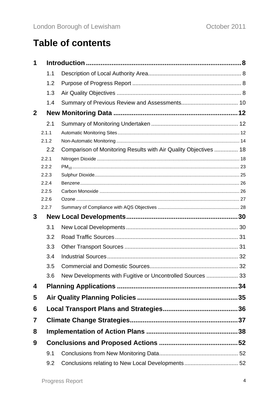# **Table of contents**

| 1            |                |                                                                  |  |
|--------------|----------------|------------------------------------------------------------------|--|
|              | 1.1            |                                                                  |  |
|              | 1.2            |                                                                  |  |
|              | 1.3            |                                                                  |  |
|              | 1.4            |                                                                  |  |
| $\mathbf{2}$ |                |                                                                  |  |
|              | 2.1            |                                                                  |  |
|              | 2.1.1          |                                                                  |  |
|              | 2.1.2          |                                                                  |  |
|              | 2.2            | Comparison of Monitoring Results with Air Quality Objectives  18 |  |
|              | 2.2.1          |                                                                  |  |
|              | 2.2.2          |                                                                  |  |
|              | 2.2.3          |                                                                  |  |
|              | 2.2.4          |                                                                  |  |
|              | 2.2.5<br>2.2.6 |                                                                  |  |
|              | 2.2.7          |                                                                  |  |
|              |                |                                                                  |  |
| 3            |                |                                                                  |  |
|              | 3.1            |                                                                  |  |
|              | 3.2            |                                                                  |  |
|              | 3.3            |                                                                  |  |
|              | 3.4            |                                                                  |  |
|              | 3.5            |                                                                  |  |
|              | 3.6            | New Developments with Fugitive or Uncontrolled Sources  33       |  |
| 4            |                |                                                                  |  |
| 5            |                |                                                                  |  |
| 6            |                |                                                                  |  |
| 7            |                |                                                                  |  |
| 8            |                |                                                                  |  |
| 9            |                |                                                                  |  |
|              | 9.1            |                                                                  |  |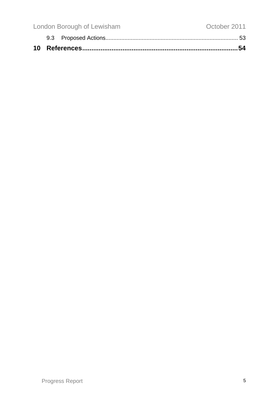| London Borough of Lewisham | October 2011 |  |
|----------------------------|--------------|--|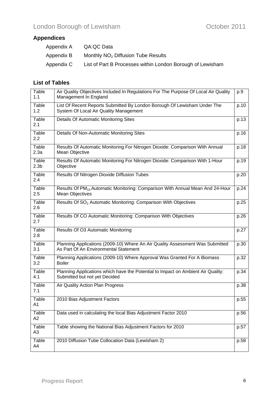# **Appendices**

| Appendix A | QA:QC Data                                                 |
|------------|------------------------------------------------------------|
| Appendix B | Monthly $NO2$ Diffusion Tube Results                       |
| Appendix C | List of Part B Processes within London Borough of Lewisham |

### **List of Tables**

| <b>Table</b><br>1.1       | Air Quality Objectives Included In Regulations For The Purpose Of Local Air Quality<br>Management In England           | p.9  |
|---------------------------|------------------------------------------------------------------------------------------------------------------------|------|
| Table<br>1.2              | List Of Recent Reports Submitted By London Borough Of Lewisham Under The<br>System Of Local Air Quality Management     | p.10 |
| Table<br>2.1              | Details Of Automatic Monitoring Sites                                                                                  | p.13 |
| Table<br>2.2              | Details Of Non-Automatic Monitoring Sites                                                                              | p.16 |
| Table<br>2.3a             | Results Of Automatic Monitoring For Nitrogen Dioxide: Comparison With Annual<br>Mean Objective                         | p.18 |
| Table<br>2.3 <sub>b</sub> | Results Of Automatic Monitoring For Nitrogen Dioxide: Comparison With 1-Hour<br>Objective                              | p.19 |
| Table<br>2.4              | Results Of Nitrogen Dioxide Diffusion Tubes                                                                            | p.20 |
| Table<br>2.5              | Results Of PM <sub>10</sub> Automatic Monitoring: Comparison With Annual Mean And 24-Hour<br><b>Mean Objectives</b>    | p.24 |
| Table<br>2.6              | Results Of SO <sub>2</sub> Automatic Monitoring: Comparison With Objectives                                            | p.25 |
| Table<br>2.7              | Results Of CO Automatic Monitoring: Comparison With Objectives                                                         | p.26 |
| Table<br>2.8              | Results Of O3 Automatic Monitoring                                                                                     | p.27 |
| Table<br>3.1              | Planning Applications (2009-10) Where An Air Quality Assessment Was Submitted<br>As Part Of An Environmental Statement | p.30 |
| Table<br>3.2              | Planning Applications (2009-10) Where Approval Was Granted For A Biomass<br><b>Boiler</b>                              | p.32 |
| Table<br>4.1              | Planning Applications which have the Potential to Impact on Ambient Air Quality:<br>Submitted but not yet Decided      | p.34 |
| Table<br>7.1              | Air Quality Action Plan Progress                                                                                       | p.38 |
| Table<br>A1               | 2010 Bias Adjustment Factors                                                                                           | p.55 |
| Table<br>A2               | Data used in calculating the local Bias Adjustment Factor 2010                                                         | p.56 |
| Table<br>A <sub>3</sub>   | Table showing the National Bias Adjustment Factors for 2010                                                            | p.57 |
| <b>Table</b><br>A4        | 2010 Diffusion Tube Collocation Data (Lewisham 2)                                                                      | p.58 |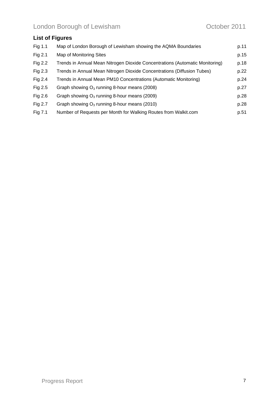# **List of Figures**

| Fig 1.1   | Map of London Borough of Lewisham showing the AQMA Boundaries                | p.11 |
|-----------|------------------------------------------------------------------------------|------|
| Fig $2.1$ | Map of Monitoring Sites                                                      | p.15 |
| Fig 2.2   | Trends in Annual Mean Nitrogen Dioxide Concentrations (Automatic Monitoring) | p.18 |
| Fig 2.3   | Trends in Annual Mean Nitrogen Dioxide Concentrations (Diffusion Tubes)      | p.22 |
| Fig 2.4   | Trends in Annual Mean PM10 Concentrations (Automatic Monitoring)             | p.24 |
| Fig 2.5   | Graph showing $O_3$ running 8-hour means (2008)                              | p.27 |
| Fig $2.6$ | Graph showing $O_3$ running 8-hour means (2009)                              | p.28 |
| Fig 2.7   | Graph showing $O_3$ running 8-hour means (2010)                              | p.28 |
| Fig 7.1   | Number of Requests per Month for Walking Routes from Walkit.com              | p.51 |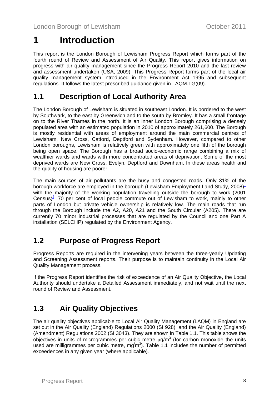# <span id="page-7-0"></span>**1 Introduction**

This report is the London Borough of Lewisham Progress Report which forms part of the fourth round of Review and Assessment of Air Quality. This report gives information on progress with air quality management since the Progress Report 2010 and the last review and assessment undertaken (USA, 2009). This Progress Report forms part of the local air quality management system introduced in the Environment Act 1995 and subsequent regulations. It follows the latest prescribed guidance given in LAQM.TG(09).

# **1.1 Description of Local Authority Area**

The London Borough of Lewisham is situated in southeast London. It is bordered to the west by Southwark, to the east by Greenwich and to the south by Bromley. It has a small frontage on to the River Thames in the north. It is an inner London Borough comprising a densely populated area with an estimated population in 2010 of approximately 261,600. The Borough is mostly residential with areas of employment around the main commercial centres of Lewisham, New Cross, Catford, Deptford and Sydenham. However, compared to other London boroughs, Lewisham is relatively green with approximately one fifth of the borough being open space. The Borough has a broad socio-economic range combining a mix of wealthier wards and wards with more concentrated areas of deprivation. Some of the most deprived wards are New Cross, Evelyn, Deptford and Downham. In these areas health and the quality of housing are poorer.

The main sources of air pollutants are the busy and congested roads. Only 31% of the borough workforce are employed in the borough (Lewisham Employment Land Study,  $2008$ )<sup>[1](#page-53-0)</sup> with the majority of the working population travelling outside the borough to work (2001 Census)<sup>[2](#page-53-0)</sup>. 70 per cent of local people commute out of Lewisham to work, mainly to other parts of London but private vehicle ownership is relatively low. The main roads that run through the Borough include the A2, A20, A21 and the South Circular (A205). There are currently 70 minor industrial processes that are regulated by the Council and one Part A installation (SELCHP) regulated by the Environment Agency.

# **1.2 Purpose of Progress Report**

Progress Reports are required in the intervening years between the three-yearly Updating and Screening Assessment reports. Their purpose is to maintain continuity in the Local Air Quality Management process.

If the Progress Report identifies the risk of exceedence of an Air Quality Objective, the Local Authority should undertake a Detailed Assessment immediately, and not wait until the next round of Review and Assessment.

# **1.3 Air Quality Objectives**

The air quality objectives applicable to Local Air Quality Management (LAQM) in England are set out in the Air Quality (England) Regulations 2000 (SI 928), and the Air Quality (England) (Amendment) Regulations 2002 (SI 3043). They are shown in Table 1.1. This table shows the objectives in units of microgrammes per cubic metre  $\mu$ g/m<sup>3</sup> (for carbon monoxide the units used are milligrammes per cubic metre,  $mg'm^3$ ). Table 1.1 includes the number of permitted exceedences in any given year (where applicable).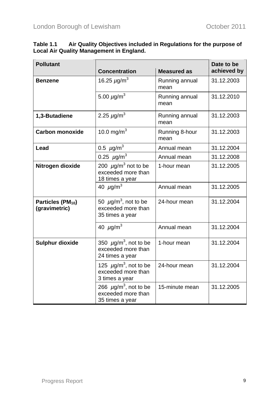$\overline{\phantom{a}}$ 

| <b>Pollutant</b>                               | <b>Concentration</b>                                                            | <b>Measured as</b>     | Date to be<br>achieved by |
|------------------------------------------------|---------------------------------------------------------------------------------|------------------------|---------------------------|
| <b>Benzene</b>                                 | 16.25 $\mu$ g/m <sup>3</sup>                                                    | Running annual<br>mean | 31.12.2003                |
|                                                | 5.00 $\mu$ g/m <sup>3</sup>                                                     | Running annual<br>mean | 31.12.2010                |
| 1,3-Butadiene                                  | 2.25 $\mu$ g/m <sup>3</sup>                                                     | Running annual<br>mean | 31.12.2003                |
| <b>Carbon monoxide</b>                         | 10.0 mg/m <sup>3</sup>                                                          | Running 8-hour<br>mean | 31.12.2003                |
| Lead                                           | 0.5 $\mu$ g/m <sup>3</sup>                                                      | Annual mean            | 31.12.2004                |
|                                                | 0.25 $\mu$ g/m <sup>3</sup>                                                     | Annual mean            | 31.12.2008                |
| Nitrogen dioxide                               | 200 $\mu$ g/m <sup>3</sup> not to be<br>exceeded more than<br>18 times a year   | 1-hour mean            | 31.12.2005                |
|                                                | 40 $\mu$ g/m <sup>3</sup>                                                       | Annual mean            | 31.12.2005                |
| Particles (PM <sub>10</sub> )<br>(gravimetric) | 50 $\mu$ g/m <sup>3</sup> , not to be<br>exceeded more than<br>35 times a year  | 24-hour mean           | 31.12.2004                |
|                                                | 40 $\mu$ g/m <sup>3</sup>                                                       | Annual mean            | 31.12.2004                |
| <b>Sulphur dioxide</b>                         | 350 $\mu$ g/m <sup>3</sup> , not to be<br>exceeded more than<br>24 times a year | 1-hour mean            | 31.12.2004                |
|                                                | 125 $\mu$ g/m <sup>3</sup> , not to be<br>exceeded more than<br>3 times a year  | 24-hour mean           | 31.12.2004                |
|                                                | 266 $\mu$ g/m <sup>3</sup> , not to be<br>exceeded more than<br>35 times a year | 15-minute mean         | 31.12.2005                |

#### **Table 1.1 Air Quality Objectives included in Regulations for the purpose of Local Air Quality Management in England.**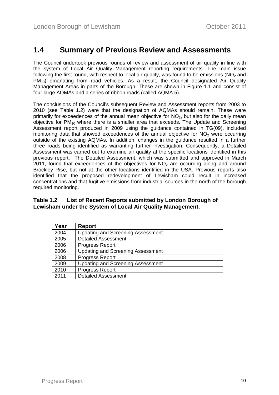## <span id="page-9-0"></span>**1.4 Summary of Previous Review and Assessments**

The Council undertook previous rounds of review and assessment of air quality in line with the system of Local Air Quality Management reporting requirements. The main issue following the first round, with respect to local air quality, was found to be emissions ( $NO<sub>2</sub>$  and PM10) emanating from road vehicles. As a result, the Council designated Air Quality Management Areas in parts of the Borough. These are shown in Figure 1.1 and consist of four large AQMAs and a series of ribbon roads (called AQMA 5).

The conclusions of the Council's subsequent Review and Assessment reports from 2003 to 2010 (see Table 1.2) were that the designation of AQMAs should remain. These were primarily for exceedences of the annual mean objective for  $NO<sub>2</sub>$ , but also for the daily mean objective for  $PM_{10}$  where there is a smaller area that exceeds. The Update and Screening Assessment report produced in 2009 using the guidance contained in TG(09), included monitoring data that showed exceedences of the annual objective for  $NO<sub>2</sub>$  were occurring outside of the existing AQMAs. In addition, changes in the guidance resulted in a further three roads being identified as warranting further investigation. Consequently, a Detailed Assessment was carried out to examine air quality at the specific locations identified in this previous report. The Detailed Assessment, which was submitted and approved in March 2011, found that exceedences of the objectives for  $NO<sub>2</sub>$  are occurring along and around Brockley Rise, but not at the other locations identified in the USA. Previous reports also identified that the proposed redevelopment of Lewisham could result in increased concentrations and that fugitive emissions from industrial sources in the north of the borough required monitoring.

#### **Table 1.2 List of Recent Reports submitted by London Borough of Lewisham under the System of Local Air Quality Management.**

| Year | Report                                   |
|------|------------------------------------------|
| 2004 | <b>Updating and Screening Assessment</b> |
| 2005 | <b>Detailed Assessment</b>               |
| 2006 | <b>Progress Report</b>                   |
| 2006 | <b>Updating and Screening Assessment</b> |
| 2008 | Progress Report                          |
| 2009 | <b>Updating and Screening Assessment</b> |
| 2010 | Progress Report                          |
| 2011 | <b>Detailed Assessment</b>               |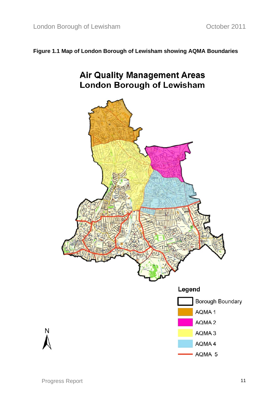### **Figure 1.1 Map of London Borough of Lewisham showing AQMA Boundaries**

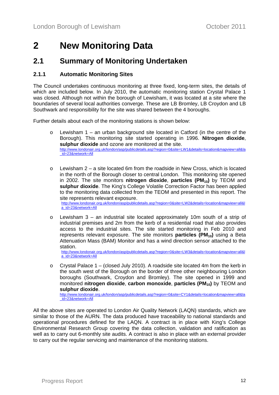# <span id="page-11-0"></span>**2 New Monitoring Data**

## **2.1 Summary of Monitoring Undertaken**

#### **2.1.1 Automatic Monitoring Sites**

The Council undertakes continuous monitoring at three fixed, long-term sites, the details of which are included below. In July 2010, the automatic monitoring station Crystal Palace 1 was closed. Although not within the borough of Lewisham, it was located at a site where the boundaries of several local authorities converge. These are LB Bromley, LB Croydon and LB Southwark and responsibility for the site was shared between the 4 boroughs.

Further details about each of the monitoring stations is shown below:

- $\circ$  Lewisham 1 an urban background site located in Catford (in the centre of the Borough). This monitoring site started operating in 1996. **Nitrogen dioxide**, **sulphur dioxide** and ozone are monitored at the site. [http://www.londonair.org.uk/london/asp/publicdetails.asp?region=0&site=LW1&details=location&mapview=all&la](http://www.londonair.org.uk/london/asp/publicdetails.asp?region=0&site=LW1&details=location&mapview=all&la_id=23&network=All) [\\_id=23&network=All](http://www.londonair.org.uk/london/asp/publicdetails.asp?region=0&site=LW1&details=location&mapview=all&la_id=23&network=All)
- $\circ$  Lewisham 2 a site located 6m from the roadside in New Cross, which is located in the north of the Borough closer to central London. This monitoring site opened in 2002. The site monitors **nitrogen dioxide**, **particles (PM<sub>10</sub>)** by TEOM and **sulphur dioxide**. The King's College Volatile Correction Factor has been applied to the monitoring data collected from the TEOM and presented in this report. The site represents relevant exposure. [http://www.londonair.org.uk/london/asp/publicdetails.asp?region=0&site=LW2&details=location&mapview=all&l](http://www.londonair.org.uk/london/asp/publicdetails.asp?region=0&site=LW2&details=location&mapview=all&la_id=23&network=All) [a\\_id=23&network=All](http://www.londonair.org.uk/london/asp/publicdetails.asp?region=0&site=LW2&details=location&mapview=all&la_id=23&network=All)
- $\circ$  Lewisham 3 an industrial site located approximately 10m south of a strip of industrial premises and 2m from the kerb of a residential road that also provides access to the industrial sites. The site started monitoring in Feb 2010 and represents relevant exposure. The site monitors **particles (PM<sub>10</sub>)** using a Beta Attenuation Mass (BAM) Monitor and has a wind direction sensor attached to the station.

[http://www.londonair.org.uk/london/asp/publicdetails.asp?region=0&site=LW3&details=location&mapview=all&l](http://www.londonair.org.uk/london/asp/publicdetails.asp?region=0&site=LW3&details=location&mapview=all&la_id=23&network=All) [a\\_id=23&network=All](http://www.londonair.org.uk/london/asp/publicdetails.asp?region=0&site=LW3&details=location&mapview=all&la_id=23&network=All)

 $\circ$  Crystal Palace 1 – (closed July 2010). A roadside site located 4m from the kerb in the south west of the Borough on the border of three other neighbouring London boroughs (Southwark, Croydon and Bromley). The site opened in 1999 and monitored **nitrogen dioxide**, **carbon monoxide**, **particles** (PM<sub>10</sub>) by TEOM and **sulphur dioxide**[. http://www.londonair.org.uk/london/asp/publicdetails.asp?region=0&site=CY1&details=location&mapview=all&la](http://www.londonair.org.uk/london/asp/publicdetails.asp?region=0&site=CY1&details=location&mapview=all&la_id=23&network=All)

[\\_id=23&network=All](http://www.londonair.org.uk/london/asp/publicdetails.asp?region=0&site=CY1&details=location&mapview=all&la_id=23&network=All)

All the above sites are operated to London Air Quality Network (LAQN) standards, which are similar to those of the AURN. The data produced have traceability to national standards and operational procedures defined for the LAQN. A contract is in place with King's College Environmental Research Group covering the data collection, validation and ratification as well as to carry out 6-monthly site audits. A contract is also in place with an external provider to carry out the regular servicing and maintenance of the monitoring stations.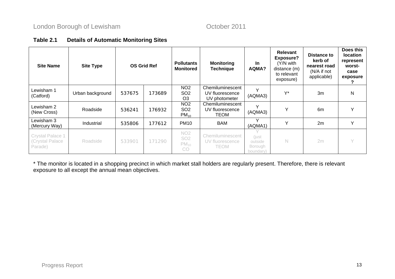### **Table 2.1 Details of Automatic Monitoring Sites**

| <b>Site Name</b>                               | <b>Site Type</b> | <b>OS Grid Ref</b> |        | <b>Pollutants</b><br><b>Monitored</b>                | <b>Monitoring</b><br><b>Technique</b>                | <b>In</b><br>AQMA?                      | Relevant<br><b>Exposure?</b><br>(Y/N with<br>distance (m)<br>to relevant<br>exposure) | <b>Distance to</b><br>kerb of<br>nearest road<br>(N/A if not<br>applicable) | Does this<br><b>location</b><br>represent<br>worst-<br>case<br>exposure |
|------------------------------------------------|------------------|--------------------|--------|------------------------------------------------------|------------------------------------------------------|-----------------------------------------|---------------------------------------------------------------------------------------|-----------------------------------------------------------------------------|-------------------------------------------------------------------------|
| Lewisham 1<br>(Catford)                        | Urban background | 537675             | 173689 | NO <sub>2</sub><br>SO <sub>2</sub><br>O <sub>3</sub> | Chemiluminescent<br>UV fluorescence<br>UV photometer | $\checkmark$<br>(AQMA3)                 | $\vee^*$                                                                              | 3m                                                                          | N                                                                       |
| Lewisham 2<br>(New Cross)                      | Roadside         | 536241             | 176932 | NO <sub>2</sub><br>SO <sub>2</sub><br>$PM_{10}$      | Chemiluminescent<br>UV fluorescence<br>TEOM          | $\checkmark$<br>(AQMA3)                 | $\checkmark$                                                                          | 6m                                                                          | $\checkmark$                                                            |
| Lewisham 3<br>(Mercury Way)                    | Industrial       | 535806             | 177612 | <b>PM10</b>                                          | <b>BAM</b>                                           | $\checkmark$<br>(AQMA1)                 | $\checkmark$                                                                          | 2m                                                                          | Υ                                                                       |
| Crystal Palace 1<br>(Crystal Palace<br>Parade) | Roadside         | 533901             | 171290 | NO <sub>2</sub><br><b>SO2</b><br>$PM_{10}$<br>CO.    | Chemiluminescent<br>UV fluorescence<br>TEOM          | (just<br>outside<br>Borough<br>boundary | N                                                                                     | 2m                                                                          | $\bigvee$                                                               |

\* The monitor is located in a shopping precinct in which market stall holders are regularly present. Therefore, there is relevant exposure to all except the annual mean objectives.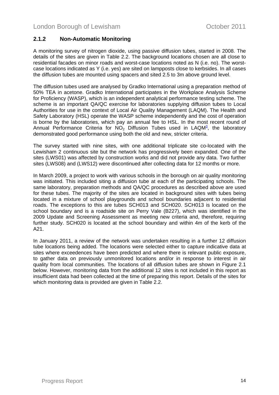#### <span id="page-13-0"></span>**2.1.2 Non-Automatic Monitoring**

A monitoring survey of nitrogen dioxide, using passive diffusion tubes, started in 2008. The details of the sites are given in Table 2.2. The background locations chosen are all close to residential facades on minor roads and worst-case locations noted as N (i.e. no). The worstcase locations indicated as Y (i.e. yes) are sited on lampposts close to kerbsides. In all cases the diffusion tubes are mounted using spacers and sited 2.5 to 3m above ground level.

The diffusion tubes used are analysed by Gradko International using a preparation method of 50% TEA in acetone. Gradko International participates in the Workplace Analysis Scheme for Proficiency (WASP), which is an independent analytical performance testing scheme. The scheme is an important QA/QC exercise for laboratories supplying diffusion tubes to Local Authorities for use in the context of Local Air Quality Management (LAQM). The Health and Safety Laboratory (HSL) operate the WASP scheme independently and the cost of operation is borne by the laboratories, which pay an annual fee to HSL. In the most recent round of Annual Performance Criteria for  $NO<sub>2</sub>$  Diffusion Tubes used in LAQM<sup>[3](#page-53-0)</sup>, the laboratory demonstrated good performance using both the old and new, stricter criteria.

The survey started with nine sites, with one additional triplicate site co-located with the Lewisham 2 continuous site but the network has progressively been expanded. One of the sites (LWS01) was affected by construction works and did not provide any data. Two further sites (LWS08) and (LWS12) were discontinued after collecting data for 12 months or more.

In March 2009, a project to work with various schools in the borough on air quality monitoring was initiated. This included siting a diffusion tube at each of the participating schools. The same laboratory, preparation methods and QA/QC procedures as described above are used for these tubes. The majority of the sites are located in background sites with tubes being located in a mixture of school playgrounds and school boundaries adjacent to residential roads. The exceptions to this are tubes SCH013 and SCH020. SCH013 is located on the school boundary and is a roadside site on Perry Vale (B227), which was identified in the 2009 Update and Screening Assessment as meeting new criteria and, therefore, requiring further study. SCH020 is located at the school boundary and within 4m of the kerb of the A21.

In January 2011, a review of the network was undertaken resulting in a further 12 diffusion tube locations being added. The locations were selected either to capture indicative data at sites where exceedences have been predicted and where there is relevant public exposure, to gather data on previously unmonitored locations and/or in response to interest in air quality from local communities. The locations of all diffusion tubes are shown in Figure 2.1 below. However, monitoring data from the additional 12 sites is not included in this report as insufficient data had been collected at the time of preparing this report. Details of the sites for which monitoring data is provided are given in Table 2.2.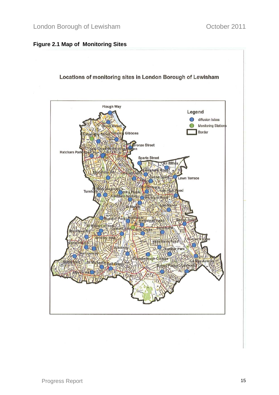### **Figure 2.1 Map of Monitoring Sites**

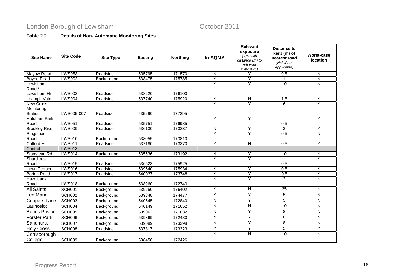# London Borough of Lewisham **Contact Contact Contact Contact Contact Contact Contact Contact Contact Contact Contact Contact Contact Contact Contact Contact Contact Contact Contact Contact Contact Contact Contact Contact Co**

### **Table 2.2 Details of Non- Automatic Monitoring Sites**

| <b>Site Name</b>                    | <b>Site Code</b> | <b>Site Type</b> | <b>Easting</b> | <b>Northing</b> | <b>In AQMA</b>          | Relevant<br>exposure<br>(Y/N with<br>distance $(m)$ to<br>relevant<br>exposure) | <b>Distance to</b><br>kerb (m) of<br>nearest road<br>(N/A if not<br>applicable) | <b>Worst-case</b><br><b>location</b> |
|-------------------------------------|------------------|------------------|----------------|-----------------|-------------------------|---------------------------------------------------------------------------------|---------------------------------------------------------------------------------|--------------------------------------|
| Mayow Road                          | <b>LWS053</b>    | Roadside         | 535795         | 171570          | N                       |                                                                                 | 0.5                                                                             | N                                    |
| Boyne Road                          | <b>LWS002</b>    | Background       | 538475         | 175785          | $\overline{Y}$          | Ÿ                                                                               | 1                                                                               | $\mathsf{N}$                         |
| Lewisham<br>Road /<br>Lewisham Hill | <b>LWS003</b>    | Roadside         | 538220         | 176100          | Y                       | $\overline{Y}$                                                                  | 10                                                                              | $\mathsf{N}$                         |
| Loampit Vale                        | <b>LWS004</b>    | Roadside         | 537740         | 175920          | Y                       | ${\sf N}$                                                                       | 1.5                                                                             | Υ                                    |
| New Cross<br>Monitoring<br>Station  | LWS005-007       | Roadside         | 535290         | 177295          | Y                       | $\overline{Y}$                                                                  | 6                                                                               | Y                                    |
| Hatcham Park<br>Road                | <b>LWS051</b>    | Roadside         | 535751         | 176985          | Y                       | Υ                                                                               | 0.5                                                                             | Υ                                    |
| <b>Brockley Rise</b>                | <b>LWS009</b>    | Roadside         | 536130         | 173337          | ${\sf N}$               | Ÿ                                                                               | 3                                                                               | Y                                    |
| Ringstead<br>Road                   | <b>LWS010</b>    | Background       | 538055         | 173810          | Y                       | Y                                                                               | 0.5                                                                             | N                                    |
| <b>Catford Hill</b>                 | <b>LWS011</b>    | Roadside         | 537180         | 173370          | Y                       | $\overline{N}$                                                                  | 0.5                                                                             | Y                                    |
| Control                             | <b>LWS013</b>    |                  |                |                 |                         |                                                                                 |                                                                                 |                                      |
| <b>Stanstead Rd</b>                 | <b>LWS014</b>    | Background       | 535536         | 173192          | N                       | Y                                                                               | 10                                                                              | N                                    |
| Shardloes<br>Road                   | <b>LWS015</b>    | Roadside         | 536523         | 175925          | Y                       | Y                                                                               | 0.5                                                                             | Y                                    |
| Lawn Terrace                        | <b>LWS016</b>    | Roadside         | 539640         | 175934          | Y                       | Y                                                                               | 0.5                                                                             | Y                                    |
| <b>Baring Road</b>                  | <b>LWS017</b>    | Roadside         | 540037         | 173748          | Y                       | Ÿ                                                                               | 0.5                                                                             | Y                                    |
| Hazelbank<br>Road                   | <b>LWS018</b>    | Background       | 538960         | 172740          | N                       | Y                                                                               | 2                                                                               | N                                    |
| <b>All Saints</b>                   | SCH001           | Background       | 539250         | 176402          | $\overline{Y}$          | $\overline{\mathsf{N}}$                                                         | $\overline{25}$                                                                 | $\mathsf{N}$                         |
| Lee Manor                           | <b>SCH002</b>    | Background       | 539348         | 174477          | Y                       | Ÿ                                                                               | 5                                                                               | N                                    |
| Coopers Lane                        | <b>SCH003</b>    | Background       | 540545         | 172840          | $\overline{N}$          | Ÿ                                                                               | $\overline{5}$                                                                  | $\overline{\mathsf{N}}$              |
| Launcelot                           | SCH004           | Background       | 540149         | 171652          | ${\sf N}$               | $\overline{N}$                                                                  | 10                                                                              | N                                    |
| <b>Bonus Pastor</b>                 | <b>SCH005</b>    | Background       | 539063         | 171632          | $\overline{N}$          | Ÿ                                                                               | 8                                                                               | N                                    |
| <b>Forster Park</b>                 | SCH006           | Background       | 539369         | 172480          | N                       | Ÿ                                                                               | 6                                                                               | N                                    |
| Sandhurst                           | SCH007           | Background       | 539089         | 173398          | $\overline{\mathsf{N}}$ | Ÿ                                                                               | $\overline{8}$                                                                  | N                                    |
| <b>Holy Cross</b>                   | SCH008           | Roadside         | 537817         | 173323          | Y                       | Υ                                                                               | 5                                                                               | Y                                    |
| Conisborough<br>College             | SCH009           | Background       | 538456         | 172426          | $\overline{N}$          | $\overline{\mathsf{N}}$                                                         | 10                                                                              | $\overline{\mathsf{N}}$              |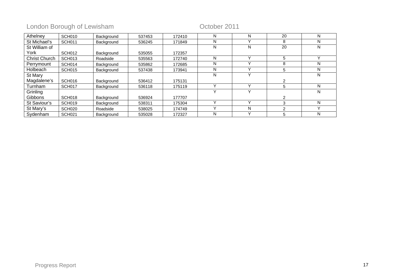# London Borough of Lewisham Coroler 2011

| Athelney             | SCH010             | Background | 537453 | 172410 | N | N            | 20             | N |
|----------------------|--------------------|------------|--------|--------|---|--------------|----------------|---|
| St Michael's         | <b>SCH011</b>      | Background | 536245 | 171849 | N |              | 8              | N |
| St William of        |                    |            |        |        | N | N            | 20             | N |
| York                 | <b>SCH012</b>      | Background | 535055 | 172357 |   |              |                |   |
| <b>Christ Church</b> | SCH013             | Roadside   | 535563 | 172740 | N | $\checkmark$ | 5              | v |
| Perrymount           | SCH014             | Background | 535862 | 172685 | N |              | 8              | N |
| Holbeach             | SCH015             | Background | 537438 | 173941 | N | v            | 5              | N |
| St Mary              |                    |            |        |        | N |              |                | N |
| Magdalene's          | SCH016             | Background | 536412 | 175131 |   |              | $\overline{2}$ |   |
| Turnham              | SCH017             | Background | 536118 | 175119 |   | $\checkmark$ | 5              | N |
| Grinling             |                    |            |        |        |   |              |                | N |
| Gibbons              | SCH018             | Background | 536924 | 177707 |   |              | $\overline{2}$ |   |
| St Saviour's         | SCH019             | Background | 538311 | 175304 |   | $\checkmark$ | 3              | N |
| St Mary's            | SCH <sub>020</sub> | Roadside   | 538025 | 174749 |   | N            | 2              |   |
| Sydenham             | SCH <sub>021</sub> | Background | 535028 | 172327 | N | $\checkmark$ | 5              | N |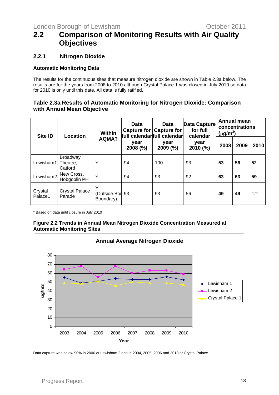# <span id="page-17-0"></span>**2.2 Comparison of Monitoring Results with Air Quality Objectives**

#### **2.2.1 Nitrogen Dioxide**

#### **Automatic Monitoring Data**

The results for the continuous sites that measure nitrogen dioxide are shown in Table 2.3a below. The results are for the years from 2008 to 2010 although Crystal Palace 1 was closed in July 2010 so data for 2010 is only until this date. All data is fully ratified.

#### **Table 2.3a Results of Automatic Monitoring for Nitrogen Dioxide: Comparison with Annual Mean Objective**

| <b>Site ID</b>     | Location                               | <b>Within</b>                     | <b>Data</b><br>Capture for | Data<br><b>Capture for</b><br>full calendarfull calendar | Data Capture<br>for full<br>calendar | <b>Annual mean</b><br>concentrations<br>$(\mu$ g/m <sup>3</sup> ) |      |       |
|--------------------|----------------------------------------|-----------------------------------|----------------------------|----------------------------------------------------------|--------------------------------------|-------------------------------------------------------------------|------|-------|
|                    |                                        | AQMA?                             | year<br>$2008$ (%)         | year<br>2009 (%)                                         | year<br>2010 (%)                     | 2008                                                              | 2009 | 2010  |
| Lewisham1          | <b>Broadway</b><br>Theatre,<br>Catford | Υ                                 | 94                         | 100                                                      | 93                                   | 53                                                                | 56   | 52    |
| Lewisham2          | New Cross,<br>Hobgoblin PH             | Y                                 | 94                         | 93                                                       | 92                                   | 63                                                                | 63   | 59    |
| Crystal<br>Palace1 | <b>Crystal Palace</b><br>Parade        | Υ<br>(Outside Bor 93<br>Boundary) |                            | 93                                                       | 56                                   | 49                                                                | 49   | $47*$ |

\* Based on data until closure in July 2010

#### **Figure 2.2 Trends in Annual Mean Nitrogen Dioxide Concentration Measured at Automatic Monitoring Sites**



Data capture was below 90% in 2006 at Lewisham 2 and in 2004, 2005, 2006 and 2010 at Crystal Palace 1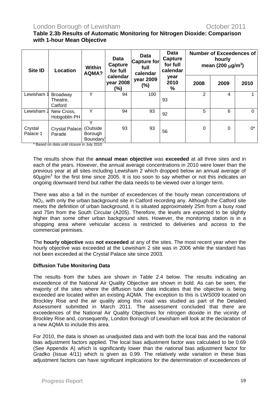#### **Table 2.3b Results of Automatic Monitoring for Nitrogen Dioxide: Comparison with 1-hour Mean Objective**

| <b>Site ID</b>      | Data<br><b>Data</b><br>Capture for<br><b>Capture</b><br><b>Within</b><br>full<br><b>Location</b><br>for full<br>AQMA?<br>calendar |                                      | <b>Data</b><br>Capture<br>for full<br>calendar | <b>Number of Exceedences of</b><br>hourly<br>mean (200 $\mu$ g/m <sup>3</sup> ) |                   |          |      |       |
|---------------------|-----------------------------------------------------------------------------------------------------------------------------------|--------------------------------------|------------------------------------------------|---------------------------------------------------------------------------------|-------------------|----------|------|-------|
|                     |                                                                                                                                   |                                      | calendar<br>year 2008<br>(%)                   | year 2009<br>(%)                                                                | year<br>2010<br>% | 2008     | 2009 | 2010  |
| Lewisham 1          | <b>Broadway</b><br>Theatre,<br>Catford                                                                                            | Y                                    | 94                                             | 100                                                                             | 93                | 2        | 4    |       |
| Lewisham 2          | New Cross,<br>Hobgoblin PH                                                                                                        | Y                                    | 94                                             | 93                                                                              | 92                | 5        | 6    | 0     |
| Crystal<br>Palace 1 | Crystal Palace<br>Parade                                                                                                          | Υ<br>(Outside<br>Borough<br>Boundary | 93                                             | 93                                                                              | 56                | $\Omega$ | 0    | $0^*$ |

\* Based on data until closure in July 2010

The results show that the **annual mean objective** was **exceeded** at all three sites and in each of the years. However, the annual average concentrations in 2010 were lower than the previous year at all sites including Lewisham 2 which dropped below an annual average of  $60\mu$ g/m<sup>3</sup> for the first time since 2005. It is too soon to say whether or not this indicates an ongoing downward trend but rather the data needs to be viewed over a longer term.

There was also a fall in the number of exceedences of the hourly mean concentrations of NO<sub>2</sub>, with only the urban background site in Catford recording any. Although the Catford site meets the definition of urban background, it is situated approximately 25m from a busy road and 75m from the South Circular (A205). Therefore, the levels are expected to be slightly higher than some other urban background sites. However, the monitoring station is in a shopping area where vehicular access is restricted to deliveries and access to the commercial premises.

The **hourly objective** was **not exceeded** at any of the sites. The most recent year when the hourly objective was exceeded at the Lewisham 2 site was in 2006 while the standard has not been exceeded at the Crystal Palace site since 2003.

#### **Diffusion Tube Monitoring Data**

The results from the tubes are shown in Table 2.4 below. The results indicating an exceedence of the National Air Quality Objective are shown in bold. As can be seen, the majority of the sites where the diffusion tube data indicates that the objective is being exceeded are located within an existing AQMA. The exception to this is LWS009 located on Brockley Rise and the air quality along this road was studied as part of the Detailed Assessment submitted in March 2011. The assessment concluded that there are exceedences of the National Air Quality Objectives for nitrogen dioxide in the vicinity of Brockley Rise and, consequently, London Borough of Lewisham will look at the declaration of a new AQMA to include this area.

For 2010, the data is shown as unadjusted data and with both the local bias and the national bias adjustment factors applied. The local bias adjustment factor was calculated to be 0.69 (See Appendix A) which is significantly lower than the national bias adjustment factor for Gradko (Issue 4/11) which is given as 0.99. The relatively wide variation in these bias adjustment factors can have significant implications for the determination of exceedences of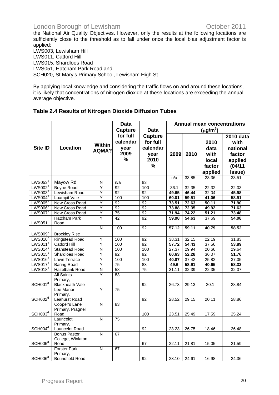the National Air Quality Objectives. However, only the results at the following locations are sufficiently close to the threshold as to fall under once the local bias adjustment factor is applied:

LWS003, Lewisham Hill LWS011, Catford Hill LWS015, Shardloes Road LWS051, Hatcham Park Road and SCH020, St Mary's Primary School, Lewisham High St

By applying local knowledge and considering the traffic flows on and around these locations, it is likely that concentrations of nitrogen dioxide at these locations are exceeding the annual average objective.

### **Table 2.4 Results of Nitrogen Dioxide Diffusion Tubes**

|                     |                                |                         | <b>Data</b>     |                 | <b>Annual mean concentrations</b> |       |               |           |
|---------------------|--------------------------------|-------------------------|-----------------|-----------------|-----------------------------------|-------|---------------|-----------|
|                     |                                |                         | Capture         | <b>Data</b>     |                                   |       | $(\mu g/m^3)$ |           |
|                     |                                |                         | for full        | <b>Capture</b>  |                                   |       |               | 2010 data |
|                     |                                |                         | calendar        | for full        |                                   |       | 2010          | with      |
| <b>Site ID</b>      | Location                       | Within                  |                 | calendar        |                                   |       |               |           |
|                     |                                | AQMA?                   | year            |                 |                                   |       | data          | national  |
|                     |                                |                         | 2009            | year            | 2009                              | 2010  | with          | factor    |
|                     |                                |                         | %               | 2010            |                                   |       | local         | applied   |
|                     |                                |                         |                 | $\frac{1}{2}$   |                                   |       | factor        | (04/11)   |
|                     |                                |                         |                 |                 |                                   |       | applied       | Issue)    |
|                     |                                |                         |                 |                 | n/a                               | 33.85 | 23.36         | 33.51     |
| LWS053 <sup>9</sup> | Mayow Rd                       | N                       | n/a             | 83              |                                   |       |               |           |
| LWS002 <sup>a</sup> | <b>Boyne Road</b>              | Ÿ                       | $\overline{92}$ | 100             | 36.1                              | 32.35 | 22.32         | 32.03     |
| LWS003 <sup>a</sup> | Lewisham Road                  | Ÿ                       | 92              | 92              | 49.65                             | 46.44 | 32.04         | 45.98     |
| LWS004 <sup>a</sup> | Loampit Vale                   | Υ                       | 100             | 100             | 60.01                             | 59.51 | 41.06         | 58.91     |
| LWS005 <sup>a</sup> | New Cross Road                 | Ÿ                       | 92              | 92              | 73.51                             | 72.63 | 50.11         | 71.90     |
| LWS006 <sup>a</sup> | New Cross Road                 | Υ                       | $\overline{92}$ | $\overline{92}$ | 73.88                             | 72.35 | 49.92         | 71.63     |
| LWS007 <sup>a</sup> | New Cross Road                 | $\overline{Y}$          | $\overline{75}$ | 92              | 71.94                             | 74.22 | 51.21         | 73.48     |
|                     | Hatcham Park                   | Ÿ                       | 42              | 92              | 59.98                             | 54.63 | 37.69         | 54.08     |
| LWS051 <sup>f</sup> | Road                           |                         |                 |                 |                                   |       |               |           |
|                     |                                | $\overline{N}$          | 100             | $\overline{92}$ | 57.12                             | 59.11 | 40.79         | 58.52     |
| LWS009 <sup>a</sup> | <b>Brockley Rise</b>           |                         |                 |                 |                                   |       |               |           |
| $LWS010^a$          | <b>Ringstead Road</b>          | Ÿ                       | 100             | 92              | 38.31                             | 32.15 | 22.19         | 31.83     |
| LWS011 <sup>a</sup> | <b>Catford Hill</b>            | Y                       | 100             | 92              | 57.72                             | 54.43 | 37.56         | 53.89     |
| LWS014 <sup>b</sup> | <b>Stanstead Road</b>          | $\mathsf{N}$            | 100             | 100             | 27.37                             | 29.94 | 20.66         | 29.64     |
| $LWS015^c$          | Shardloes Road                 | Ÿ                       | 92              | 92              | 60.63                             | 52.28 | 36.07         | 51.76     |
| LWS016 <sup>c</sup> | Lawn Terrace                   | Ÿ                       | 100             | 100             | 40.87                             | 37.42 | 25.82         | 37.05     |
| LWS017 <sup>d</sup> | <b>Baring Road</b>             | Ÿ                       | $\overline{75}$ | 83              | 49.6                              | 58.91 | 40.65         | 58.32     |
| LWS018 <sup>d</sup> | <b>Hazelbank Road</b>          | $\overline{\mathsf{N}}$ | $\overline{58}$ | $\overline{75}$ | 31.11                             | 32.39 | 22.35         | 32.07     |
|                     | <b>All Saints</b>              | Y                       | $\overline{83}$ |                 |                                   |       |               |           |
|                     | Primary,                       |                         |                 |                 |                                   |       |               |           |
| SCH001 <sup>d</sup> | <b>Blackheath Vale</b>         |                         |                 | 92              | 26.73                             | 29.13 | 20.1          | 28.84     |
|                     | Lee Manor                      | Ÿ                       | 75              |                 |                                   |       |               |           |
|                     | Primary,                       |                         |                 |                 |                                   |       |               |           |
| SCH002 <sup>d</sup> | Leahurst Road<br>Cooper's Lane | N                       | 83              | 92              | 28.52                             | 29.15 | 20.11         | 28.86     |
|                     | Primary, Pragnell              |                         |                 |                 |                                   |       |               |           |
| SCH003 <sup>d</sup> | Road                           |                         |                 | 100             | 23.51                             | 25.49 | 17.59         | 25.24     |
|                     | Launcelot                      | N                       | 75              |                 |                                   |       |               |           |
|                     | Primary,                       |                         |                 |                 |                                   |       |               |           |
| SCH004 <sup>d</sup> | Launcelot Road                 |                         |                 | 92              | 23.23                             | 26.75 | 18.46         | 26.48     |
|                     | <b>Bonus Pastor</b>            | N                       | 67              |                 |                                   |       |               |           |
|                     | College, Winlaton              |                         |                 |                 |                                   |       |               |           |
| SCH005 <sup>d</sup> | Road                           |                         |                 | 67              | 22.11                             | 21.81 | 15.05         | 21.59     |
|                     | <b>Forster Park</b>            | $\overline{N}$          | 67              |                 |                                   |       |               |           |
|                     | Primary,                       |                         |                 |                 |                                   |       |               |           |
| SCH006 <sup>d</sup> | <b>Boundfield Road</b>         |                         |                 | 92              | 23.10                             | 24.61 | 16.98         | 24.36     |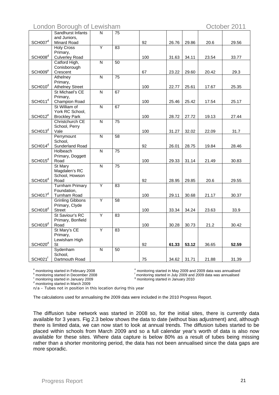London Borough of Lewisham **Contact Contact Contact Contact Contact Contact Contact Contact Contact Contact Contact Contact Contact Contact Contact Contact Contact Contact Contact Contact Contact Contact Contact Contact Co** 

| and Juniors,<br>SCH007 <sup>d</sup><br>92<br>Minard Road<br>26.76<br>29.86<br>20.6<br>29.56<br>Ÿ<br>$\overline{83}$<br><b>Holy Cross</b><br>Primary,<br>SCH008 <sup>d</sup><br><b>Culverley Road</b><br>100<br>31.63<br>34.11<br>23.54<br>33.77<br>$\overline{\mathsf{N}}$<br>$\overline{50}$<br>Catford High,<br>Conisborough<br>SCH009 <sup>e</sup><br>67<br>Crescent<br>23.22<br>29.60<br>20.42<br>29.3<br>75<br>N<br>Athelney<br>Primary,<br>SCH010 <sup>d</sup><br><b>Athelney Street</b><br>100<br>22.77<br>25.61<br>17.67<br>25.35<br>St Michael's CE<br>67<br>N<br>Primary,<br>SCH011 <sup>d</sup><br>Champion Road<br>100<br>25.46<br>25.42<br>17.54<br>25.17<br>St William of<br>$\overline{N}$<br>67<br>York RC School,<br>SCH012 <sup>e</sup><br>100<br><b>Brockley Park</b><br>28.72<br>27.72<br>19.13<br>27.44<br>Christchurch CE<br>N<br>75<br>School, Perry<br>SCH013 <sup>d</sup><br>Vale<br>100<br>31.27<br>32.02<br>22.09<br>31.7<br>Perrymount<br>$\overline{\mathsf{N}}$<br>58<br>School,<br>SCH014 <sup>d</sup><br>Sunderland Road<br>92<br>26.01<br>28.75<br>19.84<br>28.46<br>$\overline{75}$<br>Holbeach<br>N<br>Primary, Doggett<br>SCH015 <sup>d</sup><br>100<br>29.33<br>Road<br>31.14<br>21.49<br>30.83<br>$\overline{75}$<br><b>St Mary</b><br>$\overline{\mathsf{N}}$<br>Magdalen's RC<br>School, Howson<br>SCH016 <sup>d</sup><br>92<br>Road<br>28.95<br>29.85<br>20.6<br>29.55<br>Y<br><b>Turnham Primary</b><br>83<br>Foundation,<br>SCH017 <sup>d</sup><br>100<br>29.11<br><b>Turnham Road</b><br>30.68<br>21.17<br>30.37<br>Ÿ<br>$\overline{58}$<br><b>Grinling Gibbons</b><br>Primary, Clyde<br>SCH018 <sup>d</sup><br>100<br>33.34<br>34.24<br>23.63<br>33.9<br>Street<br>St Saviour's RC<br>Ÿ<br>$\overline{83}$<br>Primary, Bonfield<br>SCH019 <sup>d</sup><br>100<br>21.2<br>Road<br>30.28<br>30.73<br>30.42<br>St Mary's CE<br>Y<br>83<br>Primary,<br>Lewisham High<br>SCH020 <sup>d</sup><br>92<br>61.33<br>53.12<br>St<br>36.65<br>52.59<br>Sydenham<br>$\overline{\mathsf{N}}$<br>50 | Sandhurst Infants | $\mathsf{N}$ | 75 |  |  |  |
|-----------------------------------------------------------------------------------------------------------------------------------------------------------------------------------------------------------------------------------------------------------------------------------------------------------------------------------------------------------------------------------------------------------------------------------------------------------------------------------------------------------------------------------------------------------------------------------------------------------------------------------------------------------------------------------------------------------------------------------------------------------------------------------------------------------------------------------------------------------------------------------------------------------------------------------------------------------------------------------------------------------------------------------------------------------------------------------------------------------------------------------------------------------------------------------------------------------------------------------------------------------------------------------------------------------------------------------------------------------------------------------------------------------------------------------------------------------------------------------------------------------------------------------------------------------------------------------------------------------------------------------------------------------------------------------------------------------------------------------------------------------------------------------------------------------------------------------------------------------------------------------------------------------------------------------------------------------------------------------------------------------------------------------|-------------------|--------------|----|--|--|--|
|                                                                                                                                                                                                                                                                                                                                                                                                                                                                                                                                                                                                                                                                                                                                                                                                                                                                                                                                                                                                                                                                                                                                                                                                                                                                                                                                                                                                                                                                                                                                                                                                                                                                                                                                                                                                                                                                                                                                                                                                                                   |                   |              |    |  |  |  |
|                                                                                                                                                                                                                                                                                                                                                                                                                                                                                                                                                                                                                                                                                                                                                                                                                                                                                                                                                                                                                                                                                                                                                                                                                                                                                                                                                                                                                                                                                                                                                                                                                                                                                                                                                                                                                                                                                                                                                                                                                                   |                   |              |    |  |  |  |
|                                                                                                                                                                                                                                                                                                                                                                                                                                                                                                                                                                                                                                                                                                                                                                                                                                                                                                                                                                                                                                                                                                                                                                                                                                                                                                                                                                                                                                                                                                                                                                                                                                                                                                                                                                                                                                                                                                                                                                                                                                   |                   |              |    |  |  |  |
|                                                                                                                                                                                                                                                                                                                                                                                                                                                                                                                                                                                                                                                                                                                                                                                                                                                                                                                                                                                                                                                                                                                                                                                                                                                                                                                                                                                                                                                                                                                                                                                                                                                                                                                                                                                                                                                                                                                                                                                                                                   |                   |              |    |  |  |  |
|                                                                                                                                                                                                                                                                                                                                                                                                                                                                                                                                                                                                                                                                                                                                                                                                                                                                                                                                                                                                                                                                                                                                                                                                                                                                                                                                                                                                                                                                                                                                                                                                                                                                                                                                                                                                                                                                                                                                                                                                                                   |                   |              |    |  |  |  |
|                                                                                                                                                                                                                                                                                                                                                                                                                                                                                                                                                                                                                                                                                                                                                                                                                                                                                                                                                                                                                                                                                                                                                                                                                                                                                                                                                                                                                                                                                                                                                                                                                                                                                                                                                                                                                                                                                                                                                                                                                                   |                   |              |    |  |  |  |
|                                                                                                                                                                                                                                                                                                                                                                                                                                                                                                                                                                                                                                                                                                                                                                                                                                                                                                                                                                                                                                                                                                                                                                                                                                                                                                                                                                                                                                                                                                                                                                                                                                                                                                                                                                                                                                                                                                                                                                                                                                   |                   |              |    |  |  |  |
|                                                                                                                                                                                                                                                                                                                                                                                                                                                                                                                                                                                                                                                                                                                                                                                                                                                                                                                                                                                                                                                                                                                                                                                                                                                                                                                                                                                                                                                                                                                                                                                                                                                                                                                                                                                                                                                                                                                                                                                                                                   |                   |              |    |  |  |  |
|                                                                                                                                                                                                                                                                                                                                                                                                                                                                                                                                                                                                                                                                                                                                                                                                                                                                                                                                                                                                                                                                                                                                                                                                                                                                                                                                                                                                                                                                                                                                                                                                                                                                                                                                                                                                                                                                                                                                                                                                                                   |                   |              |    |  |  |  |
|                                                                                                                                                                                                                                                                                                                                                                                                                                                                                                                                                                                                                                                                                                                                                                                                                                                                                                                                                                                                                                                                                                                                                                                                                                                                                                                                                                                                                                                                                                                                                                                                                                                                                                                                                                                                                                                                                                                                                                                                                                   |                   |              |    |  |  |  |
|                                                                                                                                                                                                                                                                                                                                                                                                                                                                                                                                                                                                                                                                                                                                                                                                                                                                                                                                                                                                                                                                                                                                                                                                                                                                                                                                                                                                                                                                                                                                                                                                                                                                                                                                                                                                                                                                                                                                                                                                                                   |                   |              |    |  |  |  |
|                                                                                                                                                                                                                                                                                                                                                                                                                                                                                                                                                                                                                                                                                                                                                                                                                                                                                                                                                                                                                                                                                                                                                                                                                                                                                                                                                                                                                                                                                                                                                                                                                                                                                                                                                                                                                                                                                                                                                                                                                                   |                   |              |    |  |  |  |
|                                                                                                                                                                                                                                                                                                                                                                                                                                                                                                                                                                                                                                                                                                                                                                                                                                                                                                                                                                                                                                                                                                                                                                                                                                                                                                                                                                                                                                                                                                                                                                                                                                                                                                                                                                                                                                                                                                                                                                                                                                   |                   |              |    |  |  |  |
|                                                                                                                                                                                                                                                                                                                                                                                                                                                                                                                                                                                                                                                                                                                                                                                                                                                                                                                                                                                                                                                                                                                                                                                                                                                                                                                                                                                                                                                                                                                                                                                                                                                                                                                                                                                                                                                                                                                                                                                                                                   |                   |              |    |  |  |  |
|                                                                                                                                                                                                                                                                                                                                                                                                                                                                                                                                                                                                                                                                                                                                                                                                                                                                                                                                                                                                                                                                                                                                                                                                                                                                                                                                                                                                                                                                                                                                                                                                                                                                                                                                                                                                                                                                                                                                                                                                                                   |                   |              |    |  |  |  |
|                                                                                                                                                                                                                                                                                                                                                                                                                                                                                                                                                                                                                                                                                                                                                                                                                                                                                                                                                                                                                                                                                                                                                                                                                                                                                                                                                                                                                                                                                                                                                                                                                                                                                                                                                                                                                                                                                                                                                                                                                                   |                   |              |    |  |  |  |
|                                                                                                                                                                                                                                                                                                                                                                                                                                                                                                                                                                                                                                                                                                                                                                                                                                                                                                                                                                                                                                                                                                                                                                                                                                                                                                                                                                                                                                                                                                                                                                                                                                                                                                                                                                                                                                                                                                                                                                                                                                   |                   |              |    |  |  |  |
|                                                                                                                                                                                                                                                                                                                                                                                                                                                                                                                                                                                                                                                                                                                                                                                                                                                                                                                                                                                                                                                                                                                                                                                                                                                                                                                                                                                                                                                                                                                                                                                                                                                                                                                                                                                                                                                                                                                                                                                                                                   |                   |              |    |  |  |  |
|                                                                                                                                                                                                                                                                                                                                                                                                                                                                                                                                                                                                                                                                                                                                                                                                                                                                                                                                                                                                                                                                                                                                                                                                                                                                                                                                                                                                                                                                                                                                                                                                                                                                                                                                                                                                                                                                                                                                                                                                                                   |                   |              |    |  |  |  |
|                                                                                                                                                                                                                                                                                                                                                                                                                                                                                                                                                                                                                                                                                                                                                                                                                                                                                                                                                                                                                                                                                                                                                                                                                                                                                                                                                                                                                                                                                                                                                                                                                                                                                                                                                                                                                                                                                                                                                                                                                                   |                   |              |    |  |  |  |
|                                                                                                                                                                                                                                                                                                                                                                                                                                                                                                                                                                                                                                                                                                                                                                                                                                                                                                                                                                                                                                                                                                                                                                                                                                                                                                                                                                                                                                                                                                                                                                                                                                                                                                                                                                                                                                                                                                                                                                                                                                   |                   |              |    |  |  |  |
|                                                                                                                                                                                                                                                                                                                                                                                                                                                                                                                                                                                                                                                                                                                                                                                                                                                                                                                                                                                                                                                                                                                                                                                                                                                                                                                                                                                                                                                                                                                                                                                                                                                                                                                                                                                                                                                                                                                                                                                                                                   |                   |              |    |  |  |  |
|                                                                                                                                                                                                                                                                                                                                                                                                                                                                                                                                                                                                                                                                                                                                                                                                                                                                                                                                                                                                                                                                                                                                                                                                                                                                                                                                                                                                                                                                                                                                                                                                                                                                                                                                                                                                                                                                                                                                                                                                                                   |                   |              |    |  |  |  |
|                                                                                                                                                                                                                                                                                                                                                                                                                                                                                                                                                                                                                                                                                                                                                                                                                                                                                                                                                                                                                                                                                                                                                                                                                                                                                                                                                                                                                                                                                                                                                                                                                                                                                                                                                                                                                                                                                                                                                                                                                                   |                   |              |    |  |  |  |
|                                                                                                                                                                                                                                                                                                                                                                                                                                                                                                                                                                                                                                                                                                                                                                                                                                                                                                                                                                                                                                                                                                                                                                                                                                                                                                                                                                                                                                                                                                                                                                                                                                                                                                                                                                                                                                                                                                                                                                                                                                   |                   |              |    |  |  |  |
|                                                                                                                                                                                                                                                                                                                                                                                                                                                                                                                                                                                                                                                                                                                                                                                                                                                                                                                                                                                                                                                                                                                                                                                                                                                                                                                                                                                                                                                                                                                                                                                                                                                                                                                                                                                                                                                                                                                                                                                                                                   |                   |              |    |  |  |  |
|                                                                                                                                                                                                                                                                                                                                                                                                                                                                                                                                                                                                                                                                                                                                                                                                                                                                                                                                                                                                                                                                                                                                                                                                                                                                                                                                                                                                                                                                                                                                                                                                                                                                                                                                                                                                                                                                                                                                                                                                                                   |                   |              |    |  |  |  |
|                                                                                                                                                                                                                                                                                                                                                                                                                                                                                                                                                                                                                                                                                                                                                                                                                                                                                                                                                                                                                                                                                                                                                                                                                                                                                                                                                                                                                                                                                                                                                                                                                                                                                                                                                                                                                                                                                                                                                                                                                                   |                   |              |    |  |  |  |
|                                                                                                                                                                                                                                                                                                                                                                                                                                                                                                                                                                                                                                                                                                                                                                                                                                                                                                                                                                                                                                                                                                                                                                                                                                                                                                                                                                                                                                                                                                                                                                                                                                                                                                                                                                                                                                                                                                                                                                                                                                   |                   |              |    |  |  |  |
|                                                                                                                                                                                                                                                                                                                                                                                                                                                                                                                                                                                                                                                                                                                                                                                                                                                                                                                                                                                                                                                                                                                                                                                                                                                                                                                                                                                                                                                                                                                                                                                                                                                                                                                                                                                                                                                                                                                                                                                                                                   |                   |              |    |  |  |  |
|                                                                                                                                                                                                                                                                                                                                                                                                                                                                                                                                                                                                                                                                                                                                                                                                                                                                                                                                                                                                                                                                                                                                                                                                                                                                                                                                                                                                                                                                                                                                                                                                                                                                                                                                                                                                                                                                                                                                                                                                                                   |                   |              |    |  |  |  |
|                                                                                                                                                                                                                                                                                                                                                                                                                                                                                                                                                                                                                                                                                                                                                                                                                                                                                                                                                                                                                                                                                                                                                                                                                                                                                                                                                                                                                                                                                                                                                                                                                                                                                                                                                                                                                                                                                                                                                                                                                                   |                   |              |    |  |  |  |
|                                                                                                                                                                                                                                                                                                                                                                                                                                                                                                                                                                                                                                                                                                                                                                                                                                                                                                                                                                                                                                                                                                                                                                                                                                                                                                                                                                                                                                                                                                                                                                                                                                                                                                                                                                                                                                                                                                                                                                                                                                   |                   |              |    |  |  |  |
|                                                                                                                                                                                                                                                                                                                                                                                                                                                                                                                                                                                                                                                                                                                                                                                                                                                                                                                                                                                                                                                                                                                                                                                                                                                                                                                                                                                                                                                                                                                                                                                                                                                                                                                                                                                                                                                                                                                                                                                                                                   |                   |              |    |  |  |  |
|                                                                                                                                                                                                                                                                                                                                                                                                                                                                                                                                                                                                                                                                                                                                                                                                                                                                                                                                                                                                                                                                                                                                                                                                                                                                                                                                                                                                                                                                                                                                                                                                                                                                                                                                                                                                                                                                                                                                                                                                                                   |                   |              |    |  |  |  |
|                                                                                                                                                                                                                                                                                                                                                                                                                                                                                                                                                                                                                                                                                                                                                                                                                                                                                                                                                                                                                                                                                                                                                                                                                                                                                                                                                                                                                                                                                                                                                                                                                                                                                                                                                                                                                                                                                                                                                                                                                                   |                   |              |    |  |  |  |
|                                                                                                                                                                                                                                                                                                                                                                                                                                                                                                                                                                                                                                                                                                                                                                                                                                                                                                                                                                                                                                                                                                                                                                                                                                                                                                                                                                                                                                                                                                                                                                                                                                                                                                                                                                                                                                                                                                                                                                                                                                   |                   |              |    |  |  |  |
|                                                                                                                                                                                                                                                                                                                                                                                                                                                                                                                                                                                                                                                                                                                                                                                                                                                                                                                                                                                                                                                                                                                                                                                                                                                                                                                                                                                                                                                                                                                                                                                                                                                                                                                                                                                                                                                                                                                                                                                                                                   |                   |              |    |  |  |  |
|                                                                                                                                                                                                                                                                                                                                                                                                                                                                                                                                                                                                                                                                                                                                                                                                                                                                                                                                                                                                                                                                                                                                                                                                                                                                                                                                                                                                                                                                                                                                                                                                                                                                                                                                                                                                                                                                                                                                                                                                                                   |                   |              |    |  |  |  |
|                                                                                                                                                                                                                                                                                                                                                                                                                                                                                                                                                                                                                                                                                                                                                                                                                                                                                                                                                                                                                                                                                                                                                                                                                                                                                                                                                                                                                                                                                                                                                                                                                                                                                                                                                                                                                                                                                                                                                                                                                                   |                   |              |    |  |  |  |
|                                                                                                                                                                                                                                                                                                                                                                                                                                                                                                                                                                                                                                                                                                                                                                                                                                                                                                                                                                                                                                                                                                                                                                                                                                                                                                                                                                                                                                                                                                                                                                                                                                                                                                                                                                                                                                                                                                                                                                                                                                   |                   |              |    |  |  |  |
|                                                                                                                                                                                                                                                                                                                                                                                                                                                                                                                                                                                                                                                                                                                                                                                                                                                                                                                                                                                                                                                                                                                                                                                                                                                                                                                                                                                                                                                                                                                                                                                                                                                                                                                                                                                                                                                                                                                                                                                                                                   |                   |              |    |  |  |  |
|                                                                                                                                                                                                                                                                                                                                                                                                                                                                                                                                                                                                                                                                                                                                                                                                                                                                                                                                                                                                                                                                                                                                                                                                                                                                                                                                                                                                                                                                                                                                                                                                                                                                                                                                                                                                                                                                                                                                                                                                                                   |                   |              |    |  |  |  |
|                                                                                                                                                                                                                                                                                                                                                                                                                                                                                                                                                                                                                                                                                                                                                                                                                                                                                                                                                                                                                                                                                                                                                                                                                                                                                                                                                                                                                                                                                                                                                                                                                                                                                                                                                                                                                                                                                                                                                                                                                                   |                   |              |    |  |  |  |
|                                                                                                                                                                                                                                                                                                                                                                                                                                                                                                                                                                                                                                                                                                                                                                                                                                                                                                                                                                                                                                                                                                                                                                                                                                                                                                                                                                                                                                                                                                                                                                                                                                                                                                                                                                                                                                                                                                                                                                                                                                   |                   |              |    |  |  |  |
|                                                                                                                                                                                                                                                                                                                                                                                                                                                                                                                                                                                                                                                                                                                                                                                                                                                                                                                                                                                                                                                                                                                                                                                                                                                                                                                                                                                                                                                                                                                                                                                                                                                                                                                                                                                                                                                                                                                                                                                                                                   | School,           |              |    |  |  |  |
| SCH021 <sup>f</sup><br>75<br>Dartmouth Road<br>34.62<br>31.71<br>21.88<br>31.39                                                                                                                                                                                                                                                                                                                                                                                                                                                                                                                                                                                                                                                                                                                                                                                                                                                                                                                                                                                                                                                                                                                                                                                                                                                                                                                                                                                                                                                                                                                                                                                                                                                                                                                                                                                                                                                                                                                                                   |                   |              |    |  |  |  |

<sup>a</sup> monitoring started in February 2008

b monitoring started in December 2008

 monitoring started in May 2009 and 2009 data was annualised b monitoring started in July 2009 and 2009 data was annualised <sup>9</sup> monitoring started in January 2010

 $\degree$  monitoring started in January 2009

d monitoring started in March 2009

n/a – Tubes not in position in this location during this year

The calculations used for annualising the 2009 data were included in the 2010 Progress Report.

The diffusion tube network was started in 2008 so, for the initial sites, there is currently data available for 3 years. Fig 2.3 below shows the data to date (without bias adjustment) and, although there is limited data, we can now start to look at annual trends. The diffusion tubes started to be placed within schools from March 2009 and so a full calendar year's worth of data is also now available for these sites. Where data capture is below 80% as a result of tubes being missing rather than a shorter monitoring period, the data has not been annualised since the data gaps are more sporadic.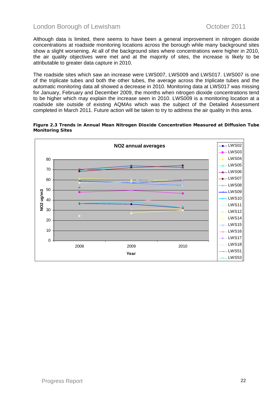Although data is limited, there seems to have been a general improvement in nitrogen dioxide concentrations at roadside monitoring locations across the borough while many background sites show a slight worsening. At all of the background sites where concentrations were higher in 2010, the air quality objectives were met and at the majority of sites, the increase is likely to be attributable to greater data capture in 2010.

The roadside sites which saw an increase were LWS007, LWS009 and LWS017. LWS007 is one of the triplicate tubes and both the other tubes, the average across the triplicate tubes and the automatic monitoring data all showed a decrease in 2010. Monitoring data at LWS017 was missing for January, February and December 2009, the months when nitrogen dioxide concentrations tend to be higher which may explain the increase seen in 2010. LWS009 is a monitoring location at a roadside site outside of existing AQMAs which was the subject of the Detailed Assessment completed in March 2011. Future action will be taken to try to address the air quality in this area.



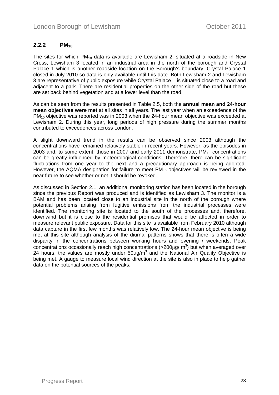### <span id="page-22-0"></span>2.2.2 PM<sub>10</sub>

The sites for which  $PM_{10}$  data is available are Lewisham 2, situated at a roadside in New Cross, Lewisham 3 located in an industrial area in the north of the borough and Crystal Palace 1 which is another roadside location on the Borough's boundary. Crystal Palace 1 closed in July 2010 so data is only available until this date. Both Lewisham 2 and Lewisham 3 are representative of public exposure while Crystal Palace 1 is situated close to a road and adjacent to a park. There are residential properties on the other side of the road but these are set back behind vegetation and at a lower level than the road.

As can be seen from the results presented in Table 2.5, both the **annual mean and 24-hour mean objectives were met** at all sites in all years. The last year when an exceedence of the  $PM_{10}$  objective was reported was in 2003 when the 24-hour mean objective was exceeded at Lewisham 2. During this year, long periods of high pressure during the summer months contributed to exceedences across London.

A slight downward trend in the results can be observed since 2003 although the concentrations have remained relatively stable in recent years. However, as the episodes in 2003 and, to some extent, those in 2007 and early 2011 demonstrate,  $PM_{10}$  concentrations can be greatly influenced by meteorological conditions. Therefore, there can be significant fluctuations from one year to the next and a precautionary approach is being adopted. However, the AQMA designation for failure to meet  $PM_{10}$  objectives will be reviewed in the near future to see whether or not it should be revoked.

As discussed in Section 2.1, an additional monitoring station has been located in the borough since the previous Report was produced and is identified as Lewisham 3. The monitor is a BAM and has been located close to an industrial site in the north of the borough where potential problems arising from fugitive emissions from the industrial processes were identified. The monitoring site is located to the south of the processes and, therefore, downwind but it is close to the residential premises that would be affected in order to measure relevant public exposure. Data for this site is available from February 2010 although data capture in the first few months was relatively low. The 24-hour mean objective is being met at this site although analysis of the diurnal patterns shows that there is often a wide disparity in the concentrations between working hours and evening / weekends. Peak concentrations occasionally reach high concentrations (>200 $\mu$ g/ m<sup>3</sup>) but when averaged over 24 hours, the values are mostly under  $50\mu g/m^3$  and the National Air Quality Objective is being met. A gauge to measure local wind direction at the site is also in place to help gather data on the potential sources of the peaks.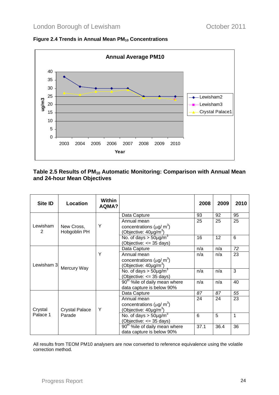



#### Table 2.5 Results of PM<sub>10</sub> Automatic Monitoring: Comparison with Annual Mean **and 24-hour Mean Objectives**

| Site ID    | Location              | <b>Within</b><br><b>AQMA?</b> |                                            | 2008 | 2009 | 2010         |
|------------|-----------------------|-------------------------------|--------------------------------------------|------|------|--------------|
|            |                       |                               | Data Capture                               | 93   | 92   | 95           |
|            |                       |                               | Annual mean                                | 25   | 25   | 25           |
| Lewisham   | New Cross,            | Υ                             | concentrations ( $\mu$ g/ m <sup>3</sup> ) |      |      |              |
| 2          | Hobgoblin PH          |                               | (Objective: 40µg/m <sup>3</sup> )          |      |      |              |
|            |                       |                               | No. of days $>$ 50µg/m <sup>3</sup>        | 16   | 12   | 6            |
|            |                       |                               | (Objective: <= 35 days)                    |      |      |              |
|            |                       |                               | Data Capture                               | n/a  | n/a  | 72           |
|            |                       | Υ                             | Annual mean                                | n/a  | n/a  | 23           |
|            |                       |                               | concentrations ( $\mu$ g/ m <sup>3</sup> ) |      |      |              |
| Lewisham 3 | Mercury Way           |                               | (Objective: 40µg/m <sup>3</sup> )          |      |      |              |
|            |                       |                               | No. of days $>$ 50µg/m <sup>3</sup>        | n/a  | n/a  | 3            |
|            |                       |                               | (Objective: <= 35 days)                    |      |      |              |
|            |                       |                               | 90 <sup>th</sup> %ile of daily mean where  | n/a  | n/a  | 40           |
|            |                       |                               | data capture is below 90%                  |      |      |              |
|            |                       |                               | Data Capture                               | 87   | 87   | 55           |
|            |                       |                               | Annual mean                                | 24   | 24   | 23           |
|            |                       |                               | concentrations ( $\mu$ g/ m <sup>3</sup> ) |      |      |              |
| Crystal    | <b>Crystal Palace</b> | Υ                             | (Objective: $40 \mu g/m^3$ )               |      |      |              |
| Palace 1   | Parade                |                               | No. of days $> 50 \mu g/m^3$               | 6    | 5    | $\mathbf{1}$ |
|            |                       |                               | (Objective: <= 35 days)                    |      |      |              |
|            |                       |                               | 90 <sup>th</sup> %ile of daily mean where  | 37.1 | 36.4 | 36           |
|            |                       |                               | data capture is below 90%                  |      |      |              |

All results from TEOM PM10 analysers are now converted to reference equivalence using the volatile correction method.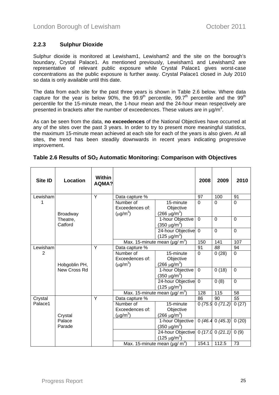### <span id="page-24-0"></span>**2.2.3 Sulphur Dioxide**

Sulphur dioxide is monitored at Lewisham1, Lewisham2 and the site on the borough's boundary, Crystal Palace1. As mentioned previously, Lewisham1 and Lewisham2 are representative of relevant public exposure while Crystal Palace1 gives worst-case concentrations as the public exposure is further away. Crystal Palace1 closed in July 2010 so data is only available until this date.

The data from each site for the past three years is shown in Table 2.6 below. Where data capture for the year is below 90%, the  $99.9<sup>th</sup>$  percentile,  $99.7<sup>th</sup>$  percentile and the  $99<sup>th</sup>$ percentile for the 15-minute mean, the 1-hour mean and the 24-hour mean respectively are presented in brackets after the number of exceedences. These values are in  $\mu$ g/m<sup>3</sup>.

As can be seen from the data, **no exceedences** of the National Objectives have occurred at any of the sites over the past 3 years. In order to try to present more meaningful statistics, the maximum 15-minute mean achieved at each site for each of the years is also given. At all sites, the trend has been steadily downwards in recent years indicating progressive improvement.

| <b>Site ID</b> | Location            | <b>Within</b><br>AQMA? |                                               |                                                   | 2008           | 2009           | 2010            |
|----------------|---------------------|------------------------|-----------------------------------------------|---------------------------------------------------|----------------|----------------|-----------------|
| Lewisham       |                     | Y                      | Data capture %                                |                                                   | 97             | 100            | 91              |
| 1              | <b>Broadway</b>     |                        | Number of<br>Exceedences of:<br>$(\mu g/m^3)$ | 15-minute<br>Objective<br>$(266 \,\mu g/m^3)$     | $\Omega$       | $\Omega$       | $\Omega$        |
|                | Theatre,<br>Catford |                        |                                               | 1-hour Objective<br>$(350 \text{ µg/m}^3)$        | $\Omega$       | $\mathbf 0$    | $\mathbf 0$     |
|                |                     |                        |                                               | 24-hour Objective<br>$(125 \mu g/m^3)$            | $\overline{0}$ | $\overline{0}$ | $\overline{0}$  |
|                |                     |                        |                                               | Max. 15-minute mean (µg/ m <sup>3</sup> )         | 150            | 141            | 107             |
| Lewisham       |                     | Y                      | Data capture %                                |                                                   | 91             | 88             | 94              |
| $\overline{2}$ | Hobgoblin PH,       |                        | Number of<br>Exceedences of:<br>$(\mu g/m^3)$ | 15-minute<br>Objective<br>$(266 \,\mu g/m^3)$     | $\Omega$       | 0(28)          | $\overline{0}$  |
|                | New Cross Rd        |                        |                                               | 1-hour Objective<br>(350 μg/m <sup>3</sup> )      | $\mathbf 0$    | 0(18)          | $\overline{0}$  |
|                |                     |                        |                                               | 24-hour Objective<br>$(125 \mu g/m^3)$            | $\overline{0}$ | 0(8)           | $\Omega$        |
|                |                     |                        |                                               | Max. 15-minute mean ( $\mu$ g/ m <sup>3</sup> )   | 128            | 115            | $\overline{58}$ |
| Crystal        |                     | Y                      | Data capture %                                |                                                   | 86             | 90             | 55              |
| Palace1        |                     |                        | Number of<br>Exceedences of:                  | 15-minute<br>Objective                            | 0(75.9)        | 0(71.2)        | 0(27)           |
|                | Crystal             |                        | $(\mu g/m^3)$                                 | $(266 \,\mu g/m^3)$                               |                |                |                 |
|                | Palace<br>Parade    |                        |                                               | 1-hour Objective<br>$(350 \,\mu g/m^3)$           | 0(46.4)        | 0(45.3)        | 0(20)           |
|                |                     |                        |                                               | 24-hour Objective<br>$(125 \mu g/m^3)$            |                | 0(17.00(21.1)) | 0(9)            |
|                |                     |                        |                                               | Max. 15-minute mean ( $\mu$ g/ $\overline{m^3}$ ) | 154.1          | 112.5          | 73              |

| Table 2.6 Results of $\mathsf{SO}_2$ Automatic Monitoring: Comparison with Objectives |  |  |  |
|---------------------------------------------------------------------------------------|--|--|--|
|---------------------------------------------------------------------------------------|--|--|--|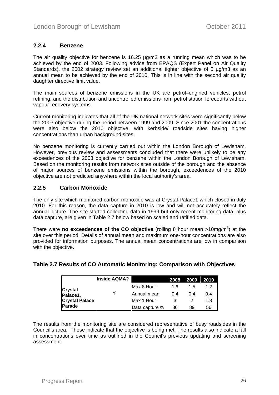### <span id="page-25-0"></span>**2.2.4 Benzene**

The air quality objective for benzene is 16.25 µg/m3 as a running mean which was to be achieved by the end of 2003. Following advice from EPAQS (Expert Panel on Air Quality Standards), the 2002 strategy review set an additional tighter objective of 5 µg/m3 as an annual mean to be achieved by the end of 2010. This is in line with the second air quality daughter directive limit value.

The main sources of benzene emissions in the UK are petrol–engined vehicles, petrol refining, and the distribution and uncontrolled emissions from petrol station forecourts without vapour recovery systems.

Current monitoring indicates that all of the UK national network sites were significantly below the 2003 objective during the period between 1999 and 2009. Since 2001 the concentrations were also below the 2010 objective, with kerbside/ roadside sites having higher concentrations than urban background sites.

No benzene monitoring is currently carried out within the London Borough of Lewisham. However, previous review and assessments concluded that there were unlikely to be any exceedences of the 2003 objective for benzene within the London Borough of Lewisham. Based on the monitoring results from network sites outside of the borough and the absence of major sources of benzene emissions within the borough, exceedences of the 2010 objective are not predicted anywhere within the local authority's area.

#### **2.2.5 Carbon Monoxide**

The only site which monitored carbon monoxide was at Crystal Palace1 which closed in July 2010. For this reason, the data capture in 2010 is low and will not accurately reflect the annual picture. The site started collecting data in 1999 but only recent monitoring data, plus data capture, are given in Table 2.7 below based on scaled and ratified data.

There were **no exceedences of the CO objective** (rolling 8 hour mean >10mg/m<sup>3</sup>) at the site over this period. Details of annual mean and maximum one-hour concentrations are also provided for information purposes. The annual mean concentrations are low in comparison with the objective.

|                       | <b>Inside AQMA?</b> |                | 2008 | 2009 | 2010 |
|-----------------------|---------------------|----------------|------|------|------|
|                       |                     | Max 8 Hour     | 16   | 15   | 1.2  |
| Crystal<br>Palace1,   |                     | Annual mean    | 04   | 04   | በ 4  |
| <b>Crystal Palace</b> |                     | Max 1 Hour     |      |      | 1.8  |
| Parade                |                     | Data capture % | 86   | 89   | 56   |

### **Table 2.7 Results of CO Automatic Monitoring: Comparison with Objectives**

The results from the monitoring site are considered representative of busy roadsides in the Council's area. These indicate that the objective is being met. The results also indicate a fall in concentrations over time as outlined in the Council's previous updating and screening assessment.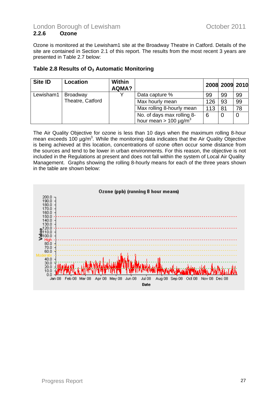<span id="page-26-0"></span>Ozone is monitored at the Lewisham1 site at the Broadway Theatre in Catford. Details of the site are contained in Section 2.1 of this report. The results from the most recent 3 years are presented in Table 2.7 below:

### **Table 2.8 Results of O3 Automatic Monitoring**

| Site ID   | Location         | <b>Within</b><br>AQMA? |                                                                      |     | 2008 2009 2010 |    |
|-----------|------------------|------------------------|----------------------------------------------------------------------|-----|----------------|----|
| Lewisham1 | <b>Broadway</b>  |                        | Data capture %                                                       | 99  | 99             | 99 |
|           | Theatre, Catford |                        | Max hourly mean                                                      | 126 | 93             | 99 |
|           |                  |                        | Max rolling 8-hourly mean                                            | 113 | 81             | 78 |
|           |                  |                        | No. of days max rolling 8-<br>hour mean > 100 $\mu$ g/m <sup>3</sup> | 6   |                |    |

The Air Quality Objective for ozone is less than 10 days when the maximum rolling 8-hour mean exceeds 100  $\mu$ g/m<sup>3</sup>. While the monitoring data indicates that the Air Quality Objective is being achieved at this location, concentrations of ozone often occur some distance from the sources and tend to be lower in urban environments. For this reason, the objective is not included in the Regulations at present and does not fall within the system of Local Air Quality Management. Graphs showing the rolling 8-hourly means for each of the three years shown in the table are shown below:

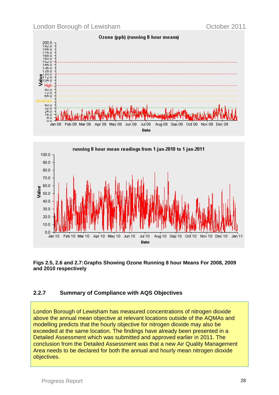<span id="page-27-0"></span>





### **2.2.7 Summary of Compliance with AQS Objectives**

London Borough of Lewisham has measured concentrations of nitrogen dioxide above the annual mean objective at relevant locations outside of the AQMAs and modelling predicts that the hourly objective for nitrogen dioxide may also be exceeded at the same location. The findings have already been presented in a Detailed Assessment which was submitted and approved earlier in 2011. The conclusion from the Detailed Assessment was that a new Air Quality Management Area needs to be declared for both the annual and hourly mean nitrogen dioxide objectives.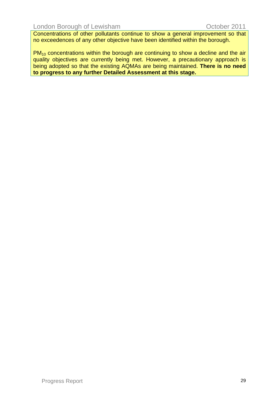Concentrations of other pollutants continue to show a general improvement so that no exceedences of any other objective have been identified within the borough.

 $PM_{10}$  concentrations within the borough are continuing to show a decline and the air quality objectives are currently being met. However, a precautionary approach is being adopted so that the existing AQMAs are being maintained. **There is no need to progress to any further Detailed Assessment at this stage.**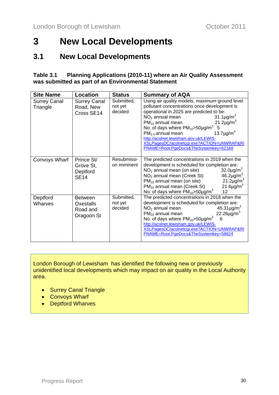# <span id="page-29-0"></span>**3 New Local Developments**

# **3.1 New Local Developments**

#### **Table 3.1 Planning Applications (2010-11) where an Air Quality Assessment was submitted as part of an Environmental Statement**

| <b>Site Name</b>                | Location                                              | <b>Status</b>                    | <b>Summary of AQA</b>                                                                                                                                                                                                                                                                                                                                                                                                                                                                           |
|---------------------------------|-------------------------------------------------------|----------------------------------|-------------------------------------------------------------------------------------------------------------------------------------------------------------------------------------------------------------------------------------------------------------------------------------------------------------------------------------------------------------------------------------------------------------------------------------------------------------------------------------------------|
| <b>Surrey Canal</b><br>Triangle | <b>Surrey Canal</b><br>Road, New<br>Cross SE14        | Submitted,<br>not yet<br>decided | Using air quality models, maximum ground level<br>pollutant concentrations once development is<br>operational in 2025 are predicted to be:<br>31.1 $\mu$ g/m <sup>3</sup><br>$NO2$ annual mean<br>21.2 $\mu$ g/m <sup>3</sup><br>$PM_{10}$ annual mean<br>No. of days where $PM_{10} > 50 \mu g/m^3$<br>5<br>13.7 $\mu$ g/m <sup>3</sup><br>$PM2.5$ annual mean<br>http://acolnet.lewisham.gov.uk/LEWIS-<br>XSLPagesDC/acolnetcgi.exe?ACTION=UNWRAP&RI<br>PNAME=Root.PgeDocs&TheSystemkey=62168 |
| Convoys Wharf                   | Prince St/<br>Grove St,<br>Deptford<br><b>SE14</b>    | Resubmissi-<br>on imminent       | The predicted concentrations in 2019 when the<br>development is scheduled for completion are:<br>$NO2$ annual mean (on site)<br>$32.0 \mu g/m3$<br>$46.2 \mu g/m3$<br>NO <sub>2</sub> annual mean (Creek St)<br>$21.2 \mu g/m3$<br>$PM_{10}$ annual mean (on site)<br>$21.6 \mu g/m3$<br>$PM_{10}$ annual mean (Creek St)<br>No. of days where $PM_{10}$ >50µg/m <sup>3</sup><br>12                                                                                                             |
| Deptford<br>Wharves             | <b>Between</b><br>Oxestalls<br>Road and<br>Dragoon St | Submitted,<br>not yet<br>decided | The predicted concentrations in 2018 when the<br>development is scheduled for completion are:<br>$NO2$ annual mean<br>$45.31 \mu g/m^3$<br>$22.26 \mu g/m^3$<br>$PM_{10}$ annual mean<br>No. of days where $PM_{10}$ >50µg/m <sup>3</sup><br>6<br>http://acolnet.lewisham.gov.uk/LEWIS-<br>XSLPagesDC/acolnetcgi.exe?ACTION=UNWRAP&RI<br>PNAME=Root.PgeDocs&TheSystemkey=58624                                                                                                                  |

London Borough of Lewisham has identified the following new or previously unidentified local developments which may impact on air quality in the Local Authority area.

- Surrey Canal Triangle
- Convoys Wharf
- Deptford Wharves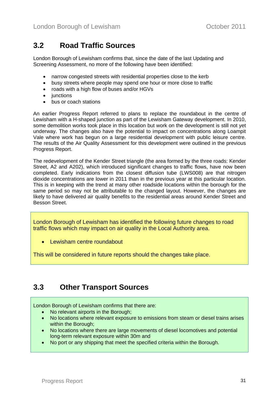# <span id="page-30-0"></span>**3.2 Road Traffic Sources**

London Borough of Lewisham confirms that, since the date of the last Updating and Screening Assessment, no more of the following have been identified:

- narrow congested streets with residential properties close to the kerb
- busy streets where people may spend one hour or more close to traffic
- roads with a high flow of buses and/or HGVs
- junctions
- bus or coach stations

An earlier Progress Report referred to plans to replace the roundabout in the centre of Lewisham with a H-shaped junction as part of the Lewisham Gateway development. In 2010, some demolition works took place in this location but work on the development is still not yet underway. The changes also have the potential to impact on concentrations along Loampit Vale where work has begun on a large residential development with public leisure centre. The results of the Air Quality Assessment for this development were outlined in the previous Progress Report.

The redevelopment of the Kender Street triangle (the area formed by the three roads: Kender Street, A2 and A202), which introduced significant changes to traffic flows, have now been completed. Early indications from the closest diffusion tube (LWS008) are that nitrogen dioxide concentrations are lower in 2011 than in the previous year at this particular location. This is in keeping with the trend at many other roadside locations within the borough for the same period so may not be attributable to the changed layout. However, the changes are likely to have delivered air quality benefits to the residential areas around Kender Street and Besson Street.

London Borough of Lewisham has identified the following future changes to road traffic flows which may impact on air quality in the Local Authority area.

• Lewisham centre roundabout

This will be considered in future reports should the changes take place.

# **3.3 Other Transport Sources**

London Borough of Lewisham confirms that there are:

- No relevant airports in the Borough:
- No locations where relevant exposure to emissions from steam or diesel trains arises within the Borough:
- No locations where there are large movements of diesel locomotives and potential long-term relevant exposure within 30m and
- No port or any shipping that meet the specified criteria within the Borough.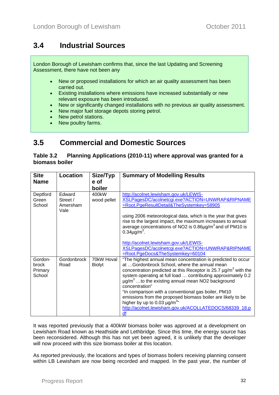# <span id="page-31-0"></span>**3.4 Industrial Sources**

London Borough of Lewisham confirms that, since the last Updating and Screening Assessment, there have not been any

- New or proposed installations for which an air quality assessment has been carried out.
- Existing installations where emissions have increased substantially or new relevant exposure has been introduced.
- New or significantly changed installations with no previous air quality assessment.
- New major fuel storage depots storing petrol.
- New petrol stations.
- New poultry farms.

# **3.5 Commercial and Domestic Sources**

**Table 3.2 Planning Applications (2010-11) where approval was granted for a biomass boiler** 

| <b>Site</b>                           | Location                               | Size/Typ                    | <b>Summary of Modelling Results</b>                                                                                                                                                                                                                                                                                                                                                                                                                                                                                                                                                             |
|---------------------------------------|----------------------------------------|-----------------------------|-------------------------------------------------------------------------------------------------------------------------------------------------------------------------------------------------------------------------------------------------------------------------------------------------------------------------------------------------------------------------------------------------------------------------------------------------------------------------------------------------------------------------------------------------------------------------------------------------|
| <b>Name</b>                           |                                        | e of                        |                                                                                                                                                                                                                                                                                                                                                                                                                                                                                                                                                                                                 |
|                                       |                                        | boiler                      |                                                                                                                                                                                                                                                                                                                                                                                                                                                                                                                                                                                                 |
| Deptford<br>Green<br>School           | Edward<br>Street /<br>Amersham<br>Vale | 400kW<br>wood pellet        | http://acolnet.lewisham.gov.uk/LEWIS-<br>XSLPagesDC/acolnetcgi.exe?ACTION=UNWRAP&RIPNAME<br>=Root.PgeResultDetail&TheSystemkey=58905<br>using 2006 meteorological data, which is the year that gives<br>rise to the largest impact, the maximum increases to annual<br>average concentrations of NO2 is $0.86\mu g/m^3$ and of PM10 is<br>$0.34\mu g/m^3$ .<br>http://acolnet.lewisham.gov.uk/LEWIS-<br>XSLPagesDC/acolnetcgi.exe?ACTION=UNWRAP&RIPNAME<br>=Root.PgeDocs&TheSystemkey=60104                                                                                                     |
| Gordon-<br>brock<br>Primary<br>School | <b>Gordonbrock</b><br>Road             | 70kW Hoval<br><b>Biolyt</b> | "The highest annual mean concentration is predicted to occur<br>at Gordonbrock School, where the annual mean<br>concentration predicted at this Receptor is 25.7 $\mu$ g/m <sup>3</sup> with the<br>system operating at full load  contributing approximately 0.2<br>$\mu$ g/m <sup>3</sup> to the existing annual mean NO2 background<br>concentration"<br>"In comparison with a conventional gas boiler, PM10<br>emissions from the proposed biomass boiler are likely to be<br>higher by up to 0.03 $\mu$ g/m <sup>3</sup> "<br>http://acolnet.lewisham.gov.uk/ACOLLATEDOCS/68339_18.p<br>df |

It was reported previously that a 400kW biomass boiler was approved at a development on Lewisham Road known as Heathside and Lethbridge. Since this time, the energy source has been reconsidered. Although this has not yet been agreed, it is unlikely that the developer will now proceed with this size biomass boiler at this location.

As reported previously, the locations and types of biomass boilers receiving planning consent within LB Lewisham are now being recorded and mapped. In the past year, the number of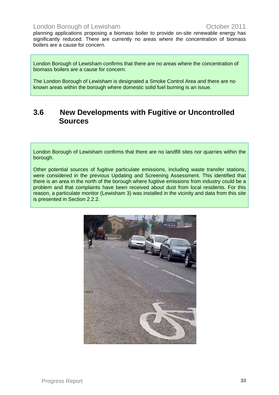<span id="page-32-0"></span>planning applications proposing a biomass boiler to provide on-site renewable energy has significantly reduced. There are currently no areas where the concentration of biomass boilers are a cause for concern.

London Borough of Lewisham confirms that there are no areas where the concentration of biomass boilers are a cause for concern.

The London Borough of Lewisham is designated a Smoke Control Area and there are no known areas within the borough where domestic solid fuel burning is an issue.

## **3.6 New Developments with Fugitive or Uncontrolled Sources**

London Borough of Lewisham confirms that there are no landfill sites nor quarries within the borough.

Other potential sources of fugitive particulate emissions, including waste transfer stations, were considered in the previous Updating and Screening Assessment. This identified that there is an area in the north of the borough where fugitive emissions from industry could be a problem and that complaints have been received about dust from local residents. For this reason, a particulate monitor (Lewisham 3) was installed in the vicinity and data from this site is presented in Section 2.2.2.

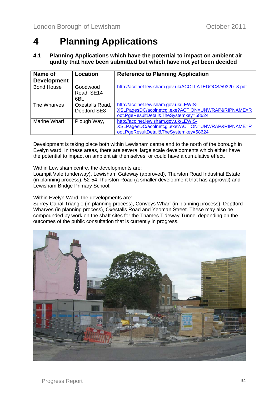# <span id="page-33-0"></span>**4 Planning Applications**

#### **4.1 Planning Applications which have the potential to impact on ambient air quality that have been submitted but which have not yet been decided**

| Name of<br><b>Development</b> | Location                        | <b>Reference to Planning Application</b>                                                                                             |
|-------------------------------|---------------------------------|--------------------------------------------------------------------------------------------------------------------------------------|
| <b>Bond House</b>             | Goodwood<br>Road, SE14<br>6BL   | http://acolnet.lewisham.gov.uk/ACOLLATEDOCS/59320_3.pdf                                                                              |
| The Wharves                   | Oxestalls Road,<br>Deptford SE8 | http://acolnet.lewisham.gov.uk/LEWIS-<br>XSLPagesDC/acolnetcgi.exe?ACTION=UNWRAP&RIPNAME=R<br>oot.PgeResultDetail&TheSystemkey=58624 |
| Marine Wharf                  | Plough Way,                     | http://acolnet.lewisham.gov.uk/LEWIS-<br>XSLPagesDC/acolnetcgi.exe?ACTION=UNWRAP&RIPNAME=R<br>oot.PgeResultDetail&TheSystemkey=58624 |

Development is taking place both within Lewisham centre and to the north of the borough in Evelyn ward. In these areas, there are several large scale developments which either have the potential to impact on ambient air themselves, or could have a cumulative effect.

Within Lewisham centre, the developments are:

Loampit Vale (underway), Lewisham Gateway (approved), Thurston Road Industrial Estate (in planning process), 52-54 Thurston Road (a smaller development that has approval) and Lewisham Bridge Primary School.

Within Evelyn Ward, the developments are:

Surrey Canal Triangle (in planning process), Convoys Wharf (in planning process), Deptford Wharves (in planning process), Oxestalls Road and Yeoman Street. These may also be compounded by work on the shaft sites for the Thames Tideway Tunnel depending on the outcomes of the public consultation that is currently in progress.

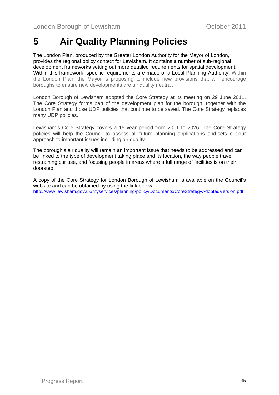# <span id="page-34-0"></span>**5 Air Quality Planning Policies**

The London Plan, produced by the Greater London Authority for the Mayor of London, provides the regional policy context for Lewisham. It contains a number of sub-regional development frameworks setting out more detailed requirements for spatial development. Within this framework, specific requirements are made of a Local Planning Authority. Within the London Plan, the Mayor is proposing to include new provisions that will encourage boroughs to ensure new developments are air quality neutral.

London Borough of Lewisham adopted the Core Strategy at its meeting on 29 June 2011. The Core Strategy forms part of the development plan for the borough, together with the London Plan and those UDP policies that continue to be saved. The Core Strategy replaces many UDP policies.

Lewisham's Core Strategy covers a 15 year period from 2011 to 2026. The Core Strategy policies will help the Council to assess all future planning applications and sets out our approach to important issues including air quality.

The borough's air quality will remain an important issue that needs to be addressed and can be linked to the type of development taking place and its location, the way people travel, restraining car use, and focusing people in areas where a full range of facilities is on their doorstep.

A copy of the Core Strategy for London Borough of Lewisham is available on the Council's website and can be obtained by using the link below: <http://www.lewisham.gov.uk/myservices/planning/policy/Documents/CoreStrategyAdoptedVersion.pdf>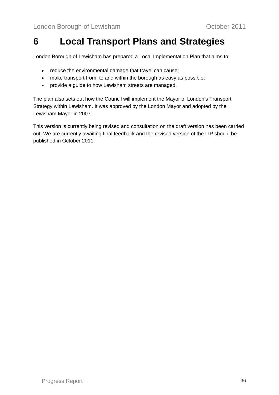# <span id="page-35-0"></span>**6 Local Transport Plans and Strategies**

London Borough of Lewisham has prepared a Local Implementation Plan that aims to:

- reduce the environmental damage that travel can cause;
- make transport from, to and within the borough as easy as possible;
- provide a guide to how Lewisham streets are managed.

The plan also sets out how the Council will implement the Mayor of London's Transport Strategy within Lewisham. It was approved by the London Mayor and adopted by the Lewisham Mayor in 2007.

This version is currently being revised and consultation on the draft version has been carried out. We are currently awaiting final feedback and the revised version of the LIP should be published in October 2011.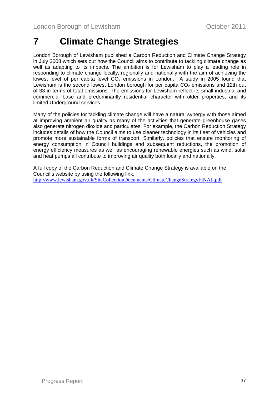# <span id="page-36-0"></span>**7 Climate Change Strategies**

London Borough of Lewisham published a Carbon Reduction and Climate Change Strategy in July 2008 which sets out how the Council aims to contribute to tackling climate change as well as adapting to its impacts. The ambition is for Lewisham to play a leading role in responding to climate change locally, regionally and nationally with the aim of achieving the lowest level of per capita level  $CO<sub>2</sub>$  emissions in London. A study in 2005 found that Lewisham is the second lowest London borough for per capita  $CO<sub>2</sub>$  emissions and 12th out of 33 in terms of total emissions. The emissions for Lewisham reflect its small industrial and commercial base and predominantly residential character with older properties, and its limited Underground services.

Many of the policies for tackling climate change will have a natural synergy with those aimed at improving ambient air quality as many of the activities that generate greenhouse gases also generate nitrogen dioxide and particulates. For example, the Carbon Reduction Strategy includes details of how the Council aims to use cleaner technology in its fleet of vehicles and promote more sustainable forms of transport. Similarly, policies that ensure monitoring of energy consumption in Council buildings and subsequent reductions, the promotion of energy efficiency measures as well as encouraging renewable energies such as wind, solar and heat pumps all contribute to improving air quality both locally and nationally.

A full copy of the Carbon Reduction and Climate Change Strategy is available on the Council's website by using the following link. <http://www.lewisham.gov.uk/SiteCollectionDocuments/ClimateChangeStrategyFINAL.pdf>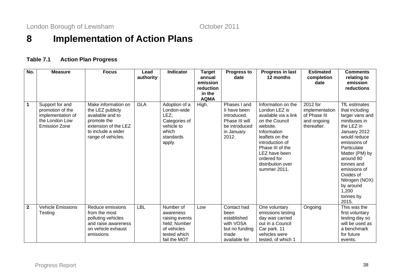London Borough of Lewisham **Contact Contact Contact Contact Contact Contact Contact Contact Contact Contact Contact Contact Contact Contact Contact Contact Contact Contact Contact Contact Contact Contact Contact Contact Co** 

# **8 Implementation of Action Plans**

### **Table 7.1 Action Plan Progress**

<span id="page-37-0"></span>

| No.          | <b>Measure</b>                                                                                     | <b>Focus</b>                                                                                                                                   | Lead       | <b>Indicator</b>                                                                                        | Target                | <b>Progress to</b>                                                                                    | Progress in last                                                                                                                               | <b>Estimated</b>                                                         | Comments                                                                                                                                            |
|--------------|----------------------------------------------------------------------------------------------------|------------------------------------------------------------------------------------------------------------------------------------------------|------------|---------------------------------------------------------------------------------------------------------|-----------------------|-------------------------------------------------------------------------------------------------------|------------------------------------------------------------------------------------------------------------------------------------------------|--------------------------------------------------------------------------|-----------------------------------------------------------------------------------------------------------------------------------------------------|
|              |                                                                                                    |                                                                                                                                                | authority  |                                                                                                         | annual                | date                                                                                                  | 12 months                                                                                                                                      | completion                                                               | relating to                                                                                                                                         |
|              |                                                                                                    |                                                                                                                                                |            |                                                                                                         | emission<br>reduction |                                                                                                       |                                                                                                                                                | date                                                                     | emission<br>reductions                                                                                                                              |
|              |                                                                                                    |                                                                                                                                                |            |                                                                                                         | in the                |                                                                                                       |                                                                                                                                                |                                                                          |                                                                                                                                                     |
|              |                                                                                                    |                                                                                                                                                |            |                                                                                                         | <b>AQMA</b>           |                                                                                                       |                                                                                                                                                |                                                                          |                                                                                                                                                     |
| $\mathbf 1$  | Support for and<br>promotion of the<br>implementation of<br>the London Low<br><b>Emission Zone</b> | Make information on<br>the LEZ publicly<br>available and to<br>promote the<br>extension of the LEZ<br>to include a wider<br>range of vehicles. | <b>GLA</b> | Adoption of a<br>London-wide<br>LEZ;<br>Categories of<br>vehicle to<br>which<br>standards<br>apply.     | High.                 | Phases I and<br>II have been<br>introduced.<br>Phase III will<br>be introduced<br>in January<br>2012. | Information on the<br>London LEZ is<br>available via a link<br>on the Council<br>website.<br>Information<br>leaflets on the<br>introduction of | 2012 for<br>implementation<br>of Phase III<br>and ongoing<br>thereafter. | TfL estimates<br>that including<br>larger vans and<br>minibuses in<br>the LEZ in<br>January 2012<br>would reduce<br>emissions of                    |
|              |                                                                                                    |                                                                                                                                                |            |                                                                                                         |                       |                                                                                                       | Phase III of the<br>LEZ have been<br>ordered for<br>distribution over<br>summer 2011.                                                          |                                                                          | Particulate<br>Matter (PM) by<br>around 80<br>tonnes and<br>emissions of<br>Oxides of<br>Nitrogen (NOX)<br>by around<br>1,200<br>tonnes by<br>2015. |
| $\mathbf{2}$ | <b>Vehicle Emissions</b><br>Testing                                                                | Reduce emissions<br>from the most<br>polluting vehicles<br>and raise awareness<br>on vehicle exhaust<br>emissions                              | <b>LBL</b> | Number of<br>awareness<br>raising events<br>held; Number<br>of vehicles<br>tested which<br>fail the MOT | Low                   | Contact had<br>been<br>established<br>with VOSA<br>but no funding<br>made<br>available for            | One voluntary<br>emissions testing<br>day was carried<br>out in a Council<br>Car park. 11<br>vehicles were<br>tested, of which 1               | Ongoing                                                                  | This was the<br>first voluntary<br>testing day so<br>will be used as<br>a benchmark<br>for future<br>events.                                        |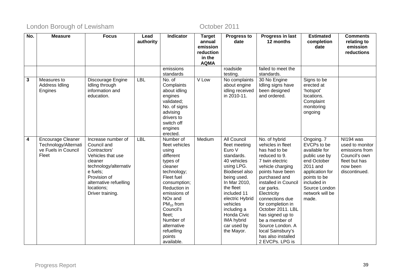| No.                     | <b>Measure</b>                                                                   | <b>Focus</b>                                                                                                                                                                                       | Lead<br>authority | Indicator                                                                                                                                                                                                                                                                               | <b>Target</b><br>annual<br>emission<br>reduction<br>in the | <b>Progress to</b><br>date                                                                                                                                                                                                                                                    | Progress in last<br>12 months                                                                                                                                                                                                                                                                                                                                                              | <b>Estimated</b><br>completion<br>date                                                                                                                                                | <b>Comments</b><br>relating to<br>emission<br>reductions                                                      |
|-------------------------|----------------------------------------------------------------------------------|----------------------------------------------------------------------------------------------------------------------------------------------------------------------------------------------------|-------------------|-----------------------------------------------------------------------------------------------------------------------------------------------------------------------------------------------------------------------------------------------------------------------------------------|------------------------------------------------------------|-------------------------------------------------------------------------------------------------------------------------------------------------------------------------------------------------------------------------------------------------------------------------------|--------------------------------------------------------------------------------------------------------------------------------------------------------------------------------------------------------------------------------------------------------------------------------------------------------------------------------------------------------------------------------------------|---------------------------------------------------------------------------------------------------------------------------------------------------------------------------------------|---------------------------------------------------------------------------------------------------------------|
|                         |                                                                                  |                                                                                                                                                                                                    |                   | emissions                                                                                                                                                                                                                                                                               | <b>AQMA</b>                                                | roadside                                                                                                                                                                                                                                                                      | failed to meet the                                                                                                                                                                                                                                                                                                                                                                         |                                                                                                                                                                                       |                                                                                                               |
|                         |                                                                                  |                                                                                                                                                                                                    |                   | standards                                                                                                                                                                                                                                                                               |                                                            | testing.                                                                                                                                                                                                                                                                      | standards.                                                                                                                                                                                                                                                                                                                                                                                 |                                                                                                                                                                                       |                                                                                                               |
| $\overline{\mathbf{3}}$ | Measures to<br>Address Idling<br>Engines                                         | Discourage Engine<br>Idling through<br>information and<br>education.                                                                                                                               | <b>LBL</b>        | No. of<br>Complaints<br>about idling<br>engines<br>validated;<br>No. of signs<br>advising<br>drivers to<br>switch off<br>engines<br>erected.                                                                                                                                            | V Low                                                      | No complaints<br>about engine<br>idling received<br>in 2010-11.                                                                                                                                                                                                               | 30 No Engine<br>Idling signs have<br>been designed<br>and ordered.                                                                                                                                                                                                                                                                                                                         | Signs to be<br>erected at<br>'hotspot'<br>locations.<br>Complaint<br>monitoring<br>ongoing                                                                                            |                                                                                                               |
| $\overline{4}$          | <b>Encourage Cleaner</b><br>Technology/Alternati<br>ve Fuels in Council<br>Fleet | Increase number of<br>Council and<br>Contractors'<br>Vehicles that use<br>cleaner<br>technology/alternativ<br>e fuels;<br>Provision of<br>alternative refuelling<br>locations;<br>Driver training. | <b>LBL</b>        | Number of<br>fleet vehicles<br>using<br>different<br>types of<br>cleaner<br>technology;<br>Fleet fuel<br>consumption;<br>Reduction in<br>emissions of<br>NO <sub>x</sub> and<br>$PM_{10}$ from<br>Council's<br>fleet;<br>Number of<br>alternative<br>refuelling<br>points<br>available. | Medium                                                     | All Council<br>fleet meeting<br>Euro V<br>standards.<br>40 vehicles<br>using LPG.<br>Biodiesel also<br>being used.<br>In Mar 2010,<br>the fleet<br>included 11<br>electric Hybrid<br>vehicles<br>including a<br>Honda Civic<br><b>IMA hybrid</b><br>car used by<br>the Mayor. | No. of hybrid<br>vehicles in fleet<br>has had to be<br>reduced to 9.<br>7 twin electric<br>vehicle charging<br>points have been<br>purchased and<br>installed in Council<br>car parks.<br>Electricity<br>connections due<br>for completion in<br>October 2011. LBL<br>has signed up to<br>be a member of<br>Source London. A<br>local Sainsbury's<br>has also installed<br>2 EVCPs. LPG is | Ongoing. 7<br>EVCPs to be<br>available for<br>public use by<br>end October<br>2011 and<br>application for<br>points to be<br>included in<br>Source London<br>network will be<br>made. | NI194 was<br>used to monitor<br>emissions from<br>Council's own<br>fleet but has<br>now been<br>discontinued. |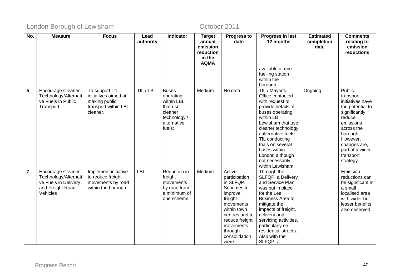| No.             | <b>Measure</b>                                                                                           | <b>Focus</b>                                                                                | Lead<br>authority | <b>Indicator</b>                                                                                        | <b>Target</b><br>annual<br>emission<br>reduction<br>in the | <b>Progress to</b><br>date                                                                                                                                                                | Progress in last<br>12 months                                                                                                                                                                                                                                                                  | <b>Estimated</b><br>completion<br>date | <b>Comments</b><br>relating to<br>emission<br>reductions                                                                                                                                               |
|-----------------|----------------------------------------------------------------------------------------------------------|---------------------------------------------------------------------------------------------|-------------------|---------------------------------------------------------------------------------------------------------|------------------------------------------------------------|-------------------------------------------------------------------------------------------------------------------------------------------------------------------------------------------|------------------------------------------------------------------------------------------------------------------------------------------------------------------------------------------------------------------------------------------------------------------------------------------------|----------------------------------------|--------------------------------------------------------------------------------------------------------------------------------------------------------------------------------------------------------|
|                 |                                                                                                          |                                                                                             |                   |                                                                                                         | <b>AQMA</b>                                                |                                                                                                                                                                                           | available at one<br>fuelling station<br>within the<br>borough.                                                                                                                                                                                                                                 |                                        |                                                                                                                                                                                                        |
| $5\phantom{.0}$ | <b>Encourage Cleaner</b><br>Technology/Alternati<br>ve Fuels in Public<br>Transport                      | To support TfL<br>initiatives aimed at<br>making public<br>transport within LBL<br>cleaner. | TfL / LBL         | <b>Buses</b><br>operating<br>within LBL<br>that use<br>cleaner<br>technology /<br>alternative<br>fuels; | Medium                                                     | No data                                                                                                                                                                                   | TfL / Mayor's<br>Office contacted<br>with request to<br>provide details of<br>buses operating<br>within LB<br>Lewisham that use<br>cleaner technology<br>/ alternative fuels.<br>TfL conducting<br>trials on several<br>buses within<br>London although<br>not necessarily<br>within Lewisham. | Ongoing                                | Public<br>transport<br>initiatives have<br>the potential to<br>significantly<br>reduce<br>emissions<br>across the<br>borough.<br>However,<br>changes are,<br>part of a wider<br>transport<br>strategy. |
| $\overline{7}$  | <b>Encourage Cleaner</b><br>Technology/Alternati<br>ve Fuels in Delivery<br>and Freight Road<br>Vehicles | Implement initiative<br>to reduce freight<br>movements by road<br>within the borough        | <b>LBL</b>        | Reduction in<br>freight<br>movements<br>by road from<br>a minimum of<br>one scheme                      | Medium                                                     | Active<br>participation<br>in SLFQP.<br>Schemes to<br>improve<br>freight<br>movements<br>within town<br>centres and to<br>reduce freight<br>movements<br>through<br>consolidation<br>were | Through the<br>SLFQP, a Delivery<br>and Service Plan<br>was put in place<br>for the Lee<br><b>Business Area to</b><br>mitigate the<br>impacts of freight,<br>delivery and<br>servicing activities,<br>particularly on<br>residential streets.<br>Also with the<br>SLFQP, a                     |                                        | Emission<br>reductions can<br>be significant in<br>a small<br>localised area<br>with wider but<br>lesser benefits<br>also observed.                                                                    |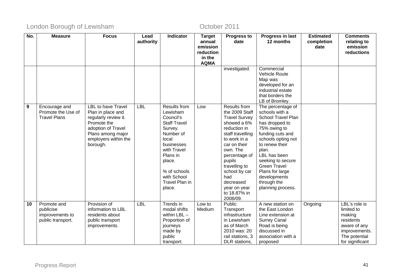| No.             | <b>Measure</b>      | <b>Focus</b>              | Lead       | <b>Indicator</b>        | <b>Target</b>      | <b>Progress to</b>       | Progress in last      | <b>Estimated</b>   | <b>Comments</b>         |
|-----------------|---------------------|---------------------------|------------|-------------------------|--------------------|--------------------------|-----------------------|--------------------|-------------------------|
|                 |                     |                           | authority  |                         | annual<br>emission | date                     | 12 months             | completion<br>date | relating to<br>emission |
|                 |                     |                           |            |                         | reduction          |                          |                       |                    | reductions              |
|                 |                     |                           |            |                         | in the             |                          |                       |                    |                         |
|                 |                     |                           |            |                         | <b>AQMA</b>        |                          |                       |                    |                         |
|                 |                     |                           |            |                         |                    | investigated.            | Commercial            |                    |                         |
|                 |                     |                           |            |                         |                    |                          | Vehicle Route         |                    |                         |
|                 |                     |                           |            |                         |                    |                          | Map was               |                    |                         |
|                 |                     |                           |            |                         |                    |                          | developed for an      |                    |                         |
|                 |                     |                           |            |                         |                    |                          | industrial estate     |                    |                         |
|                 |                     |                           |            |                         |                    |                          | that borders the      |                    |                         |
|                 |                     |                           |            |                         |                    |                          | LB of Bromley.        |                    |                         |
| $\overline{9}$  | Encourage and       | <b>LBL</b> to have Travel | <b>LBL</b> | Results from            | Low                | Results from             | The percentage of     |                    |                         |
|                 | Promote the Use of  | Plan in place and         |            | Lewisham                |                    | the 2009 Staff           | schools with a        |                    |                         |
|                 | <b>Travel Plans</b> | regularly review it.      |            | Council's               |                    | <b>Travel Survey</b>     | School Travel Plan    |                    |                         |
|                 |                     | Promote the               |            | <b>Staff Travel</b>     |                    | showed a 6%              | has dropped to        |                    |                         |
|                 |                     | adoption of Travel        |            | Survey.                 |                    | reduction in             | 75% owing to          |                    |                         |
|                 |                     | Plans among major         |            | Number of               |                    | staff travelling         | funding cuts and      |                    |                         |
|                 |                     | employers within the      |            | local                   |                    | to work in a             | schools opting not    |                    |                         |
|                 |                     | borough.                  |            | businesses              |                    | car on their<br>own. The | to renew their        |                    |                         |
|                 |                     |                           |            | with Travel<br>Plans in |                    |                          | plan.<br>LBL has been |                    |                         |
|                 |                     |                           |            | place.                  |                    | percentage of<br>pupils  | seeking to secure     |                    |                         |
|                 |                     |                           |            |                         |                    | travelling to            | <b>Green Travel</b>   |                    |                         |
|                 |                     |                           |            | % of schools            |                    | school by car            | Plans for large       |                    |                         |
|                 |                     |                           |            | with School             |                    | had                      | developments          |                    |                         |
|                 |                     |                           |            | Travel Plan in          |                    | decreased                | through the           |                    |                         |
|                 |                     |                           |            | place.                  |                    | year on year             | planning process.     |                    |                         |
|                 |                     |                           |            |                         |                    | to 18.87% in             |                       |                    |                         |
|                 |                     |                           |            |                         |                    | 2008/09.                 |                       |                    |                         |
| $\overline{10}$ | Promote and         | Provision of              | <b>LBL</b> | Trends in               | Low to             | <b>Public</b>            | A new station on      | Ongoing            | LBL's role is           |
|                 | publicise           | information to LBL        |            | modal shifts            | Medium             | Transport                | the East London       |                    | limited to              |
|                 | improvements to     | residents about           |            | within $LBL -$          |                    | infrastructure           | Line extension at     |                    | making                  |
|                 | public transport.   | public transport          |            | Proportion of           |                    | in Lewisham              | <b>Surrey Canal</b>   |                    | residents               |
|                 |                     | improvements.             |            | journeys                |                    | as of March              | Road is being         |                    | aware of any            |
|                 |                     |                           |            | made by                 |                    | 2010 was: 20             | discussed in          |                    | improvements.           |
|                 |                     |                           |            | public                  |                    | rail stations, 3         | association with a    |                    | The potential           |
|                 |                     |                           |            | transport.              |                    | DLR stations,            | proposed              |                    | for significant         |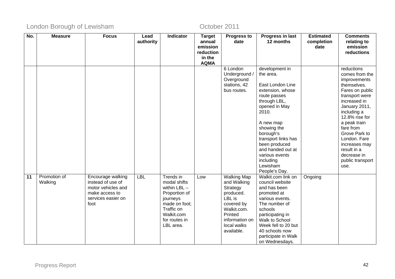| No. | <b>Measure</b> | <b>Focus</b>       | Lead       | Indicator      | <b>Target</b> | <b>Progress to</b> | Progress in last    | <b>Estimated</b> | <b>Comments</b>  |
|-----|----------------|--------------------|------------|----------------|---------------|--------------------|---------------------|------------------|------------------|
|     |                |                    | authority  |                | annual        | date               | 12 months           | completion       | relating to      |
|     |                |                    |            |                | emission      |                    |                     | date             | emission         |
|     |                |                    |            |                | reduction     |                    |                     |                  | reductions       |
|     |                |                    |            |                | in the        |                    |                     |                  |                  |
|     |                |                    |            |                | <b>AQMA</b>   |                    |                     |                  |                  |
|     |                |                    |            |                |               | 6 London           | development in      |                  | reductions       |
|     |                |                    |            |                |               | Underground /      | the area.           |                  | comes from the   |
|     |                |                    |            |                |               | Overground         |                     |                  | improvements     |
|     |                |                    |            |                |               | stations, 42       | East London Line    |                  | themselves.      |
|     |                |                    |            |                |               | bus routes.        | extension, whose    |                  | Fares on public  |
|     |                |                    |            |                |               |                    | route passes        |                  | transport were   |
|     |                |                    |            |                |               |                    | through LBL,        |                  | increased in     |
|     |                |                    |            |                |               |                    | opened in May       |                  | January 2011,    |
|     |                |                    |            |                |               |                    | 2010.               |                  | including a      |
|     |                |                    |            |                |               |                    |                     |                  | 12.8% rise for   |
|     |                |                    |            |                |               |                    | A new map           |                  | a peak train     |
|     |                |                    |            |                |               |                    | showing the         |                  | fare from        |
|     |                |                    |            |                |               |                    | borough's           |                  | Grove Park to    |
|     |                |                    |            |                |               |                    | transport links has |                  | London. Fare     |
|     |                |                    |            |                |               |                    | been produced       |                  | increases may    |
|     |                |                    |            |                |               |                    | and handed out at   |                  | result in a      |
|     |                |                    |            |                |               |                    | various events      |                  | decrease in      |
|     |                |                    |            |                |               |                    | including           |                  | public transport |
|     |                |                    |            |                |               |                    | Lewisham            |                  | use.             |
|     |                |                    |            |                |               |                    | People's Day.       |                  |                  |
| 11  | Promotion of   | Encourage walking  | <b>LBL</b> | Trends in      | Low           | <b>Walking Map</b> | Walkit.com link on  | Ongoing          |                  |
|     | Walking        | instead of use of  |            | modal shifts   |               | and Walking        | council website     |                  |                  |
|     |                | motor vehicles and |            | within $LBL -$ |               | Strategy           | and has been        |                  |                  |
|     |                | make access to     |            | Proportion of  |               | produced.          | promoted at         |                  |                  |
|     |                | services easier on |            | journeys       |               | LBL is             | various events.     |                  |                  |
|     |                | foot               |            | made on foot;  |               | covered by         | The number of       |                  |                  |
|     |                |                    |            | Traffic on     |               | Walkit.com.        | schools             |                  |                  |
|     |                |                    |            | Walkit.com     |               | Printed            | participating in    |                  |                  |
|     |                |                    |            | for routes in  |               | information on     | Walk to School      |                  |                  |
|     |                |                    |            | LBL area.      |               | local walks        | Week fell to 20 but |                  |                  |
|     |                |                    |            |                |               | available.         | 40 schools now      |                  |                  |
|     |                |                    |            |                |               |                    | participate in Walk |                  |                  |
|     |                |                    |            |                |               |                    | on Wednesdays.      |                  |                  |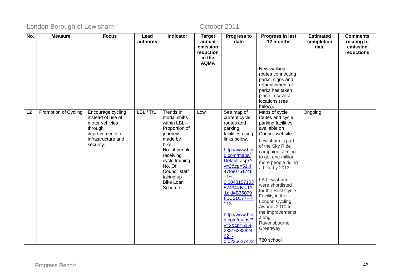| No. | <b>Measure</b>       | <b>Focus</b>                                                                                                              | Lead<br>authority | Indicator                                                                                                                                                                                                            | <b>Target</b><br>annual<br>emission | <b>Progress to</b><br>date                                                                                                                                                                                                                                                                                                                                        | Progress in last<br>12 months                                                                                                                                                                                                                                                                                                                                                                                  | <b>Estimated</b><br>completion<br>date | <b>Comments</b><br>relating to<br>emission |
|-----|----------------------|---------------------------------------------------------------------------------------------------------------------------|-------------------|----------------------------------------------------------------------------------------------------------------------------------------------------------------------------------------------------------------------|-------------------------------------|-------------------------------------------------------------------------------------------------------------------------------------------------------------------------------------------------------------------------------------------------------------------------------------------------------------------------------------------------------------------|----------------------------------------------------------------------------------------------------------------------------------------------------------------------------------------------------------------------------------------------------------------------------------------------------------------------------------------------------------------------------------------------------------------|----------------------------------------|--------------------------------------------|
|     |                      |                                                                                                                           |                   |                                                                                                                                                                                                                      | reduction<br>in the                 |                                                                                                                                                                                                                                                                                                                                                                   |                                                                                                                                                                                                                                                                                                                                                                                                                |                                        | reductions                                 |
|     |                      |                                                                                                                           |                   |                                                                                                                                                                                                                      | <b>AQMA</b>                         |                                                                                                                                                                                                                                                                                                                                                                   |                                                                                                                                                                                                                                                                                                                                                                                                                |                                        |                                            |
|     |                      |                                                                                                                           |                   |                                                                                                                                                                                                                      |                                     |                                                                                                                                                                                                                                                                                                                                                                   | New walking<br>routes connecting<br>parks, signs and<br>refurbishment of<br>parks has taken<br>place in several<br>locations (see<br>below).                                                                                                                                                                                                                                                                   |                                        |                                            |
| 12  | Promotion of Cycling | Encourage cycling<br>instead of use of<br>motor vehicles<br>through<br>improvements to<br>infrastructure and<br>security. | LBL / TfL         | Trends in<br>modal shifts<br>within $LBL -$<br>Proportion of<br>journeys<br>made by<br>bike;<br>No. of people<br>receiving<br>cycle training;<br>No. Of<br>Council staff<br>taking up<br><b>Bike Loan</b><br>Scheme. | Low                                 | See map of<br>current cycle<br>routes and<br>parking<br>facilities using<br>links below.<br>http://www.bin<br>g.com/maps/<br>Default.aspx?<br>$v = 28cp = 51.4$<br>47990761748<br>$71 - -$<br>0.0048157103<br>57434&lvl=13<br>&cid=B35079<br>F0C51C77FF!<br>113<br>http://www.bin<br>g.com/maps/?<br>$v = 28cp = 51.4$<br>28816233624<br>$62 - -$<br>0.0225627422 | Maps of cycle<br>routes and cycle<br>parking facilities<br>available on<br>Council website.<br>Lewisham is part<br>of the Sky Ride<br>campaign, aiming<br>to get one million<br>more people riding<br>a bike by 2013.<br>LB Lewisham<br>were shortlisted<br>for the Best Cycle<br>Facility in the<br>London Cycling<br>Awards 2010 for<br>the improvements<br>along<br>Ravensbourne<br>Greenway.<br>730 school | Ongoing                                |                                            |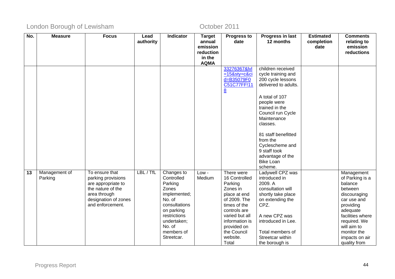| No. | <b>Measure</b> | <b>Focus</b>                             | Lead      | Indicator               | <b>Target</b>         | <b>Progress to</b>           | Progress in last         | <b>Estimated</b> | <b>Comments</b>       |
|-----|----------------|------------------------------------------|-----------|-------------------------|-----------------------|------------------------------|--------------------------|------------------|-----------------------|
|     |                |                                          | authority |                         | annual                | date                         | 12 months                | completion       | relating to           |
|     |                |                                          |           |                         | emission              |                              |                          | date             | emission              |
|     |                |                                          |           |                         | reduction             |                              |                          |                  | reductions            |
|     |                |                                          |           |                         | in the<br><b>AQMA</b> |                              |                          |                  |                       |
|     |                |                                          |           |                         |                       | 33276367&lvl                 | children received        |                  |                       |
|     |                |                                          |           |                         |                       | $=15$ &sty=c&ci              | cycle training and       |                  |                       |
|     |                |                                          |           |                         |                       | d=B35079F0                   | 200 cycle lessons        |                  |                       |
|     |                |                                          |           |                         |                       | C51C77FF!11                  | delivered to adults.     |                  |                       |
|     |                |                                          |           |                         |                       | $\underline{8}$              |                          |                  |                       |
|     |                |                                          |           |                         |                       |                              | A total of 107           |                  |                       |
|     |                |                                          |           |                         |                       |                              | people were              |                  |                       |
|     |                |                                          |           |                         |                       |                              | trained in the           |                  |                       |
|     |                |                                          |           |                         |                       |                              | Council run Cycle        |                  |                       |
|     |                |                                          |           |                         |                       |                              | Maintenance              |                  |                       |
|     |                |                                          |           |                         |                       |                              | classes.                 |                  |                       |
|     |                |                                          |           |                         |                       |                              | 81 staff benefitted      |                  |                       |
|     |                |                                          |           |                         |                       |                              | from the                 |                  |                       |
|     |                |                                          |           |                         |                       |                              | Cyclescheme and          |                  |                       |
|     |                |                                          |           |                         |                       |                              | 9 staff took             |                  |                       |
|     |                |                                          |           |                         |                       |                              | advantage of the         |                  |                       |
|     |                |                                          |           |                         |                       |                              | Bike Loan                |                  |                       |
|     |                |                                          |           |                         |                       |                              | scheme.                  |                  |                       |
| 13  | Management of  | To ensure that                           | LBL / TfL | Changes to              | Low -                 | There were                   | Ladywell CPZ was         |                  | Management            |
|     | Parking        | parking provisions                       |           | Controlled              | Medium                | 16 Controlled                | introduced in            |                  | of Parking is a       |
|     |                | are appropriate to                       |           | Parking                 |                       | Parking                      | 2009. A                  |                  | balance               |
|     |                | the nature of the                        |           | Zones                   |                       | Zones in                     | consultation will        |                  | between               |
|     |                | area through                             |           | implemented;            |                       | place at end                 | shortly take place       |                  | discouraging          |
|     |                | designation of zones<br>and enforcement. |           | No. of<br>consultations |                       | of 2009. The<br>times of the | on extending the<br>CPZ. |                  | car use and           |
|     |                |                                          |           | on parking              |                       | controls are                 |                          |                  | providing<br>adequate |
|     |                |                                          |           | restrictions            |                       | varied but all               | A new CPZ was            |                  | facilities where      |
|     |                |                                          |           | undertaken;             |                       | information is               | introduced in Lee.       |                  | required. We          |
|     |                |                                          |           | No. of                  |                       | provided on                  |                          |                  | will aim to           |
|     |                |                                          |           | members of              |                       | the Council                  | Total members of         |                  | monitor the           |
|     |                |                                          |           | Streetcar.              |                       | website.                     | Streetcar within         |                  | impacts on air        |
|     |                |                                          |           |                         |                       | Total                        | the borough is           |                  | quality from          |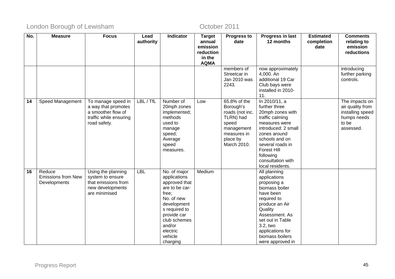| No. | <b>Measure</b>            | <b>Focus</b>                              | Lead       | Indicator                    | <b>Target</b>       | <b>Progress to</b>        | Progress in last               | <b>Estimated</b> | <b>Comments</b>                    |
|-----|---------------------------|-------------------------------------------|------------|------------------------------|---------------------|---------------------------|--------------------------------|------------------|------------------------------------|
|     |                           |                                           | authority  |                              | annual              | date                      | 12 months                      | completion       | relating to                        |
|     |                           |                                           |            |                              | emission            |                           |                                | date             | emission                           |
|     |                           |                                           |            |                              | reduction<br>in the |                           |                                |                  | reductions                         |
|     |                           |                                           |            |                              | <b>AQMA</b>         |                           |                                |                  |                                    |
|     |                           |                                           |            |                              |                     | members of                | now approximately              |                  | introducing                        |
|     |                           |                                           |            |                              |                     | Streetcar in              | 4,000. An                      |                  | further parking                    |
|     |                           |                                           |            |                              |                     | Jan 2010 was              | additional 19 Car              |                  | controls.                          |
|     |                           |                                           |            |                              |                     | 2243.                     | Club bays were                 |                  |                                    |
|     |                           |                                           |            |                              |                     |                           | installed in 2010-             |                  |                                    |
|     |                           |                                           |            |                              |                     |                           | 11.                            |                  |                                    |
| 14  | Speed Management          | To manage speed in<br>a way that promotes | LBL / TfL  | Number of<br>20mph zones     | Low                 | 65.8% of the<br>Borough's | In 2010/11, a<br>further three |                  | The impacts on<br>air quality from |
|     |                           | a smoother flow of                        |            | implemented;                 |                     | roads (not inc.           | 20mph zones with               |                  | installing speed                   |
|     |                           | traffic while ensuring                    |            | methods                      |                     | TLRN) had                 | traffic calming                |                  | humps needs                        |
|     |                           | road safety.                              |            | used to                      |                     | speed                     | measures were                  |                  | to be                              |
|     |                           |                                           |            | manage                       |                     | management                | introduced: 2 small            |                  | assessed.                          |
|     |                           |                                           |            | speed;                       |                     | measures in               | zones around                   |                  |                                    |
|     |                           |                                           |            | Average                      |                     | place by                  | schools and on                 |                  |                                    |
|     |                           |                                           |            | speed                        |                     | March 2010.               | several roads in               |                  |                                    |
|     |                           |                                           |            | measures.                    |                     |                           | <b>Forest Hill</b>             |                  |                                    |
|     |                           |                                           |            |                              |                     |                           | following<br>consultation with |                  |                                    |
|     |                           |                                           |            |                              |                     |                           | local residents.               |                  |                                    |
| 16  | Reduce                    | Using the planning                        | <b>LBL</b> | No. of major                 | Medium              |                           | All planning                   |                  |                                    |
|     | <b>Emissions from New</b> | system to ensure                          |            | applications                 |                     |                           | applications                   |                  |                                    |
|     | Developments              | that emissions from                       |            | approved that                |                     |                           | proposing a                    |                  |                                    |
|     |                           | new developments                          |            | are to be car-               |                     |                           | biomass boiler                 |                  |                                    |
|     |                           | are minimised                             |            | free;                        |                     |                           | have been                      |                  |                                    |
|     |                           |                                           |            | No. of new                   |                     |                           | required to                    |                  |                                    |
|     |                           |                                           |            | development                  |                     |                           | produce an Air                 |                  |                                    |
|     |                           |                                           |            | s required to<br>provide car |                     |                           | Quality<br>Assessment. As      |                  |                                    |
|     |                           |                                           |            | club schemes                 |                     |                           | set out in Table               |                  |                                    |
|     |                           |                                           |            | and/or                       |                     |                           | 3.2, two                       |                  |                                    |
|     |                           |                                           |            | electric                     |                     |                           | applications for               |                  |                                    |
|     |                           |                                           |            | vehicle                      |                     |                           | biomass boilers                |                  |                                    |
|     |                           |                                           |            | charging                     |                     |                           | were approved in               |                  |                                    |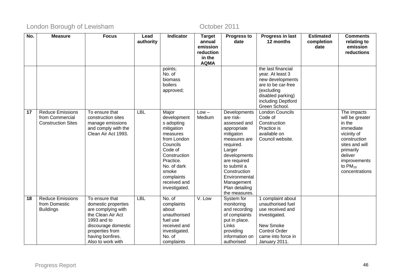| No.             | <b>Measure</b>            | <b>Focus</b>        | Lead       | <b>Indicator</b> | <b>Target</b>      | <b>Progress to</b>              | Progress in last                    | <b>Estimated</b>   | <b>Comments</b>         |
|-----------------|---------------------------|---------------------|------------|------------------|--------------------|---------------------------------|-------------------------------------|--------------------|-------------------------|
|                 |                           |                     | authority  |                  | annual<br>emission | date                            | 12 months                           | completion<br>date | relating to<br>emission |
|                 |                           |                     |            |                  | reduction          |                                 |                                     |                    | reductions              |
|                 |                           |                     |            |                  | in the             |                                 |                                     |                    |                         |
|                 |                           |                     |            |                  | <b>AQMA</b>        |                                 |                                     |                    |                         |
|                 |                           |                     |            | points;          |                    |                                 | the last financial                  |                    |                         |
|                 |                           |                     |            | No. of           |                    |                                 | year. At least 3                    |                    |                         |
|                 |                           |                     |            | biomass          |                    |                                 | new developments                    |                    |                         |
|                 |                           |                     |            | boilers          |                    |                                 | are to be car-free                  |                    |                         |
|                 |                           |                     |            | approved;        |                    |                                 | (excluding                          |                    |                         |
|                 |                           |                     |            |                  |                    |                                 | disabled parking)                   |                    |                         |
|                 |                           |                     |            |                  |                    |                                 | including Deptford<br>Green School. |                    |                         |
| $\overline{17}$ | <b>Reduce Emissions</b>   | To ensure that      | <b>LBL</b> | Major            | $Low -$            | Developments                    | <b>London Councils</b>              |                    | The impacts             |
|                 | from Commercial           | construction sites  |            | development      | Medium             | are risk-                       | Code of                             |                    | will be greater         |
|                 | <b>Construction Sites</b> | manage emissions    |            | s adopting       |                    | assessed and                    | Construction                        |                    | in the                  |
|                 |                           | and comply with the |            | mitigation       |                    | appropriate                     | Practice is                         |                    | immediate               |
|                 |                           | Clean Air Act 1993. |            | measures         |                    | mitigaton                       | available on                        |                    | vicinity of             |
|                 |                           |                     |            | from London      |                    | measures are                    | Council website.                    |                    | construction            |
|                 |                           |                     |            | Councils         |                    | required.                       |                                     |                    | sites and will          |
|                 |                           |                     |            | Code of          |                    | Larger                          |                                     |                    | primarily               |
|                 |                           |                     |            | Construction     |                    | developments                    |                                     |                    | deliver                 |
|                 |                           |                     |            | Practice.        |                    | are required                    |                                     |                    | improvements            |
|                 |                           |                     |            | No. of dark      |                    | to submit a                     |                                     |                    | to $PM_{10}$            |
|                 |                           |                     |            | smoke            |                    | Construction                    |                                     |                    | concentrations          |
|                 |                           |                     |            | complaints       |                    | Environmental                   |                                     |                    |                         |
|                 |                           |                     |            | received and     |                    | Management                      |                                     |                    |                         |
|                 |                           |                     |            | investigated.    |                    | Plan detailing<br>the measures. |                                     |                    |                         |
| 18              | <b>Reduce Emissions</b>   | To ensure that      | <b>LBL</b> | No. of           | V. Low             | System for                      | 1 complaint about                   |                    |                         |
|                 | from Domestic             | domestic properties |            | complaints       |                    | monitoring                      | unauthorised fuel                   |                    |                         |
|                 | <b>Buildings</b>          | are complying with  |            | about            |                    | and recording                   | use received and                    |                    |                         |
|                 |                           | the Clean Air Act   |            | unauthorised     |                    | of complaints                   | investigated.                       |                    |                         |
|                 |                           | 1993 and to         |            | fuel use         |                    | put in place.                   |                                     |                    |                         |
|                 |                           | discourage domestic |            | received and     |                    | Links                           | New Smoke                           |                    |                         |
|                 |                           | properties from     |            | investigated.    |                    | providing                       | <b>Control Order</b>                |                    |                         |
|                 |                           | having bonfires.    |            | No. of           |                    | information on                  | came into force in                  |                    |                         |
|                 |                           | Also to work with   |            | complaints       |                    | authorised                      | January 2011.                       |                    |                         |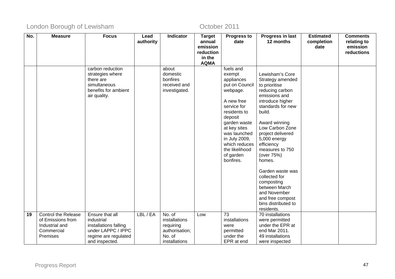| No. | <b>Measure</b>             | <b>Focus</b>              | Lead      | <b>Indicator</b>         | <b>Target</b>       | <b>Progress to</b>           | Progress in last                  | <b>Estimated</b> | <b>Comments</b>        |
|-----|----------------------------|---------------------------|-----------|--------------------------|---------------------|------------------------------|-----------------------------------|------------------|------------------------|
|     |                            |                           | authority |                          | annual              | date                         | 12 months                         | completion       | relating to            |
|     |                            |                           |           |                          | emission            |                              |                                   | date             | emission<br>reductions |
|     |                            |                           |           |                          | reduction<br>in the |                              |                                   |                  |                        |
|     |                            |                           |           |                          | <b>AQMA</b>         |                              |                                   |                  |                        |
|     |                            | carbon reduction          |           | about                    |                     | fuels and                    |                                   |                  |                        |
|     |                            | strategies where          |           | domestic                 |                     | exempt                       | Lewisham's Core                   |                  |                        |
|     |                            | there are<br>simultaneous |           | bonfires<br>received and |                     | appliances<br>put on Council | Strategy amended<br>to prioritise |                  |                        |
|     |                            | benefits for ambient      |           | investigated.            |                     | webpage.                     | reducing carbon                   |                  |                        |
|     |                            | air quality.              |           |                          |                     |                              | emissions and                     |                  |                        |
|     |                            |                           |           |                          |                     | A new free                   | introduce higher                  |                  |                        |
|     |                            |                           |           |                          |                     | service for                  | standards for new                 |                  |                        |
|     |                            |                           |           |                          |                     | residents to                 | build.                            |                  |                        |
|     |                            |                           |           |                          |                     | deposit                      |                                   |                  |                        |
|     |                            |                           |           |                          |                     | garden waste                 | Award winning<br>Low Carbon Zone  |                  |                        |
|     |                            |                           |           |                          |                     | at key sites<br>was launched | project delivered                 |                  |                        |
|     |                            |                           |           |                          |                     | in July 2009,                | 5,000 energy                      |                  |                        |
|     |                            |                           |           |                          |                     | which reduces                | efficiency                        |                  |                        |
|     |                            |                           |           |                          |                     | the likelihood               | measures to 750                   |                  |                        |
|     |                            |                           |           |                          |                     | of garden                    | (over 75%)                        |                  |                        |
|     |                            |                           |           |                          |                     | bonfires.                    | homes.                            |                  |                        |
|     |                            |                           |           |                          |                     |                              | Garden waste was                  |                  |                        |
|     |                            |                           |           |                          |                     |                              | collected for                     |                  |                        |
|     |                            |                           |           |                          |                     |                              | composting                        |                  |                        |
|     |                            |                           |           |                          |                     |                              | between March                     |                  |                        |
|     |                            |                           |           |                          |                     |                              | and November                      |                  |                        |
|     |                            |                           |           |                          |                     |                              | and free compost                  |                  |                        |
|     |                            |                           |           |                          |                     |                              | bins distributed to<br>residents. |                  |                        |
| 19  | <b>Control the Release</b> | Ensure that all           | LBL / EA  | No. of                   | Low                 | 73                           | 70 installations                  |                  |                        |
|     | of Emissions from          | industrial                |           | installations            |                     | installations                | were permitted                    |                  |                        |
|     | Industrial and             | installations falling     |           | requiring                |                     | were                         | under the EPR at                  |                  |                        |
|     | Commercial                 | under LAPPC / IPPC        |           | authorisation;           |                     | permitted                    | end Mar 2011.                     |                  |                        |
|     | Premises                   | regime are regulated      |           | No. of                   |                     | under the                    | 49 installations                  |                  |                        |
|     |                            | and inspected.            |           | installations            |                     | EPR at end                   | were inspected                    |                  |                        |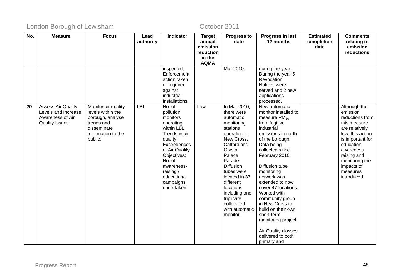| No. | <b>Measure</b>            | <b>Focus</b>        | Lead      | Indicator                | <b>Target</b>       | <b>Progress to</b>          | Progress in last          | <b>Estimated</b> | <b>Comments</b>         |
|-----|---------------------------|---------------------|-----------|--------------------------|---------------------|-----------------------------|---------------------------|------------------|-------------------------|
|     |                           |                     | authority |                          | annual              | date                        | 12 months                 | completion       | relating to             |
|     |                           |                     |           |                          | emission            |                             |                           | date             | emission                |
|     |                           |                     |           |                          | reduction<br>in the |                             |                           |                  | reductions              |
|     |                           |                     |           |                          | <b>AQMA</b>         |                             |                           |                  |                         |
|     |                           |                     |           | inspected;               |                     | Mar 2010.                   | during the year.          |                  |                         |
|     |                           |                     |           | Enforcement              |                     |                             | During the year 5         |                  |                         |
|     |                           |                     |           | action taken             |                     |                             | Revocation                |                  |                         |
|     |                           |                     |           | or required              |                     |                             | Notices were              |                  |                         |
|     |                           |                     |           | against                  |                     |                             | served and 2 new          |                  |                         |
|     |                           |                     |           | industrial               |                     |                             | applications              |                  |                         |
|     |                           |                     |           | installations.           |                     |                             | processed.                |                  |                         |
| 20  | <b>Assess Air Quality</b> | Monitor air quality | LBL       | No. of                   | Low                 | In Mar 2010,                | New automatic             |                  | Although the            |
|     | Levels and Increase       | levels within the   |           | pollution                |                     | there were                  | monitor installed to      |                  | emission                |
|     | Awareness of Air          | borough, analyse    |           | monitors                 |                     | automatic                   | measure $PM_{10}$         |                  | reductions from         |
|     | <b>Quality Issues</b>     | trends and          |           | operating                |                     | monitoring                  | from fugitive             |                  | this measure            |
|     |                           | disseminate         |           | within LBL;              |                     | stations                    | industrial                |                  | are relatively          |
|     |                           | information to the  |           | Trends in air            |                     | operating in                | emissions in north        |                  | low, this action        |
|     |                           | public.             |           | quality;                 |                     | New Cross,                  | of the borough.           |                  | is important for        |
|     |                           |                     |           | Exceedences              |                     | Catford and                 | Data being                |                  | education,              |
|     |                           |                     |           | of Air Quality           |                     | Crystal                     | collected since           |                  | awareness               |
|     |                           |                     |           | Objectives;              |                     | Palace                      | February 2010.            |                  | raising and             |
|     |                           |                     |           | No. of                   |                     | Parade.                     |                           |                  | monitoring the          |
|     |                           |                     |           | awareness-               |                     | <b>Diffusion</b>            | Diffusion tube            |                  | impacts of              |
|     |                           |                     |           | raising /<br>educational |                     | tubes were<br>located in 37 | monitoring<br>network was |                  | measures<br>introduced. |
|     |                           |                     |           | campaigns                |                     | different                   | extended to now           |                  |                         |
|     |                           |                     |           | undertaken.              |                     | locations                   | cover 47 locations.       |                  |                         |
|     |                           |                     |           |                          |                     | including one               | Worked with               |                  |                         |
|     |                           |                     |           |                          |                     | triplicate                  | community group           |                  |                         |
|     |                           |                     |           |                          |                     | collocated                  | in New Cross to           |                  |                         |
|     |                           |                     |           |                          |                     | with automatic              | build on their own        |                  |                         |
|     |                           |                     |           |                          |                     | monitor.                    | short-term                |                  |                         |
|     |                           |                     |           |                          |                     |                             | monitoring project.       |                  |                         |
|     |                           |                     |           |                          |                     |                             |                           |                  |                         |
|     |                           |                     |           |                          |                     |                             | Air Quality classes       |                  |                         |
|     |                           |                     |           |                          |                     |                             | delivered to both         |                  |                         |
|     |                           |                     |           |                          |                     |                             | primary and               |                  |                         |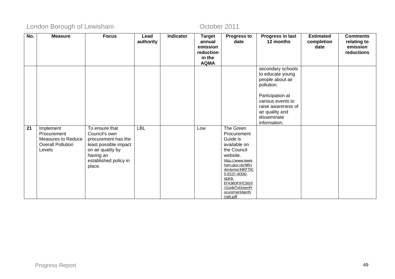| No.             | <b>Measure</b>            | <b>Focus</b>                    | Lead       | <b>Indicator</b> | <b>Target</b>         | <b>Progress to</b>                  | Progress in last                      | <b>Estimated</b> | <b>Comments</b> |
|-----------------|---------------------------|---------------------------------|------------|------------------|-----------------------|-------------------------------------|---------------------------------------|------------------|-----------------|
|                 |                           |                                 | authority  |                  | annual                | date                                | 12 months                             | completion       | relating to     |
|                 |                           |                                 |            |                  | emission              |                                     |                                       | date             | emission        |
|                 |                           |                                 |            |                  | reduction             |                                     |                                       |                  | reductions      |
|                 |                           |                                 |            |                  | in the<br><b>AQMA</b> |                                     |                                       |                  |                 |
|                 |                           |                                 |            |                  |                       |                                     | secondary schools                     |                  |                 |
|                 |                           |                                 |            |                  |                       |                                     | to educate young                      |                  |                 |
|                 |                           |                                 |            |                  |                       |                                     | people about air                      |                  |                 |
|                 |                           |                                 |            |                  |                       |                                     | pollution.                            |                  |                 |
|                 |                           |                                 |            |                  |                       |                                     |                                       |                  |                 |
|                 |                           |                                 |            |                  |                       |                                     | Participation at<br>various events to |                  |                 |
|                 |                           |                                 |            |                  |                       |                                     | raise awareness of                    |                  |                 |
|                 |                           |                                 |            |                  |                       |                                     | air quality and                       |                  |                 |
|                 |                           |                                 |            |                  |                       |                                     | disseminate                           |                  |                 |
|                 |                           |                                 |            |                  |                       |                                     | information.                          |                  |                 |
| $\overline{21}$ | Implement                 | To ensure that                  | <b>LBL</b> |                  | Low                   | The Green                           |                                       |                  |                 |
|                 | Procurement               | Council's own                   |            |                  |                       | Procurement                         |                                       |                  |                 |
|                 | <b>Measures to Reduce</b> | procurement has the             |            |                  |                       | Guide is                            |                                       |                  |                 |
|                 | <b>Overall Pollution</b>  | least possible impact           |            |                  |                       | available on                        |                                       |                  |                 |
|                 | Levels                    | on air quality by               |            |                  |                       | the Council                         |                                       |                  |                 |
|                 |                           | having an                       |            |                  |                       | website.                            |                                       |                  |                 |
|                 |                           | established policy in<br>place. |            |                  |                       | http://www.lewis<br>ham.gov.uk/NR/r |                                       |                  |                 |
|                 |                           |                                 |            |                  |                       | donlyres/44EF75C                    |                                       |                  |                 |
|                 |                           |                                 |            |                  |                       | 5-E537-4DD0-                        |                                       |                  |                 |
|                 |                           |                                 |            |                  |                       | ADF8-<br>EFA36DF97C50/0             |                                       |                  |                 |
|                 |                           |                                 |            |                  |                       | /GuideToGreenPr                     |                                       |                  |                 |
|                 |                           |                                 |            |                  |                       | ocurementAprilS                     |                                       |                  |                 |
|                 |                           |                                 |            |                  |                       | mall.pdf                            |                                       |                  |                 |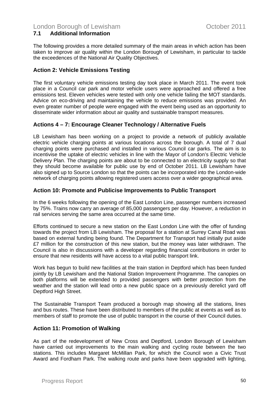#### **7.1 Additional Information**

The following provides a more detailed summary of the main areas in which action has been taken to improve air quality within the London Borough of Lewisham, in particular to tackle the exceedences of the National Air Quality Objectives.

#### **Action 2: Vehicle Emissions Testing**

The first voluntary vehicle emissions testing day took place in March 2011. The event took place in a Council car park and motor vehicle users were approached and offered a free emissions test. Eleven vehicles were tested with only one vehicle failing the MOT standards. Advice on eco-driving and maintaining the vehicle to reduce emissions was provided. An even greater number of people were engaged with the event being used as an opportunity to disseminate wider information about air quality and sustainable transport measures.

#### **Actions 4 – 7: Encourage Cleaner Technology / Alternative Fuels**

LB Lewisham has been working on a project to provide a network of publicly available electric vehicle charging points at various locations across the borough. A total of 7 dual charging points were purchased and installed in various Council car parks. The aim is to incentivise the uptake of electric vehicles in line with the Mayor of London's Electric Vehicle Delivery Plan. The charging points are about to be connected to an electricity supply so that they should become available for public use by end of October 2011. LB Lewisham have also signed up to Source London so that the points can be incorporated into the London-wide network of charging points allowing registered users access over a wider geographical area.

#### **Action 10: Promote and Publicise Improvements to Public Transport**

In the 6 weeks following the opening of the East London Line, passenger numbers increased by 75%. Trains now carry an average of 85,000 passengers per day. However, a reduction in rail services serving the same area occurred at the same time.

Efforts continued to secure a new station on the East London Line with the offer of funding towards the project from LB Lewisham. The proposal for a station at Surrey Canal Road was based on external funding being found. The Department for Transport had initially put aside £7 million for the construction of this new station, but the money was later withdrawn. The Council is also in discussions with a developer regarding financial contributions in order to ensure that new residents will have access to a vital public transport link.

Work has begun to build new facilities at the train station in Deptford which has been funded jointly by LB Lewisham and the National Station Improvement Programme. The canopies on both platforms will be extended to provided passengers with better protection from the weather and the station will lead onto a new public space on a previously derelict yard off Deptford High Street.

The Sustainable Transport Team produced a borough map showing all the stations, lines and bus routes. These have been distributed to members of the public at events as well as to members of staff to promote the use of public transport in the course of their Council duties.

### **Action 11: Promotion of Walking**

As part of the redevelopment of New Cross and Deptford, London Borough of Lewisham have carried out improvements to the main walking and cycling route between the two stations. This includes Margaret McMillan Park, for which the Council won a Civic Trust Award and Fordham Park. The walking route and parks have been upgraded with lighting,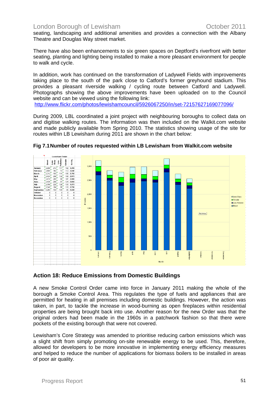seating, landscaping and additional amenities and provides a connection with the Albany Theatre and Douglas Way street market.

There have also been enhancements to six green spaces on Deptford's riverfront with better seating, planting and lighting being installed to make a more pleasant environment for people to walk and cycle.

In addition, work has continued on the transformation of Ladywell Fields with improvements taking place to the south of the park close to Catford's former greyhound stadium. This provides a pleasant riverside walking / cycling route between Catford and Ladywell. Photographs showing the above improvements have been uploaded on to the Council website and can be viewed using the following link:

<http://www.flickr.com/photos/lewishamcouncil/5926067250/in/set-72157627169077096/>

During 2009, LBL coordinated a joint project with neighbouring boroughs to collect data on and digitise walking routes. The information was then included on the Walkit.com website and made publicly available from Spring 2010. The statistics showing usage of the site for routes within LB Lewisham during 2011 are shown in the chart below:



#### **Fig 7.1 Number of routes requested within LB Lewisham from Walkit.com website**

#### **Action 18: Reduce Emissions from Domestic Buildings**

A new Smoke Control Order came into force in January 2011 making the whole of the borough a Smoke Control Area. This regulates the type of fuels and appliances that are permitted for heating in all premises including domestic buildings. However, the action was taken, in part, to tackle the increase in wood-burning as open fireplaces within residential properties are being brought back into use. Another reason for the new Order was that the original orders had been made in the 1960s in a patchwork fashion so that there were pockets of the existing borough that were not covered.

Lewisham's Core Strategy was amended to prioritise reducing carbon emissions which was a slight shift from simply promoting on-site renewable energy to be used. This, therefore, allowed for developers to be more innovative in implementing energy efficiency measures and helped to reduce the number of applications for biomass boilers to be installed in areas of poor air quality.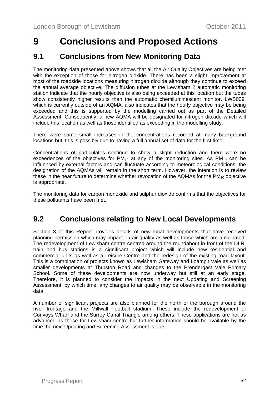# <span id="page-51-0"></span>**9 Conclusions and Proposed Actions**

## **9.1 Conclusions from New Monitoring Data**

The monitoring data presented above shows that all the Air Quality Objectives are being met with the exception of those for nitrogen dioxide. There has been a slight improvement at most of the roadside locations measuring nitrogen dioxide although they continue to exceed the annual average objective. The diffusion tubes at the Lewisham 2 automatic monitoring station indicate that the hourly objective is also being exceeded at this location but the tubes show consistently higher results than the automatic chemiluminescent monitor. LWS009, which is currently outside of an AQMA, also indicates that the hourly objective may be being exceeded and this is supported by the modelling carried out as part of the Detailed Assessment. Consequently, a new AQMA will be designated for nitrogen dioxide which will include this location as well as those identified as exceeding in the modelling study.

There were some small increases in the concentrations recorded at many background locations but, this is possibly due to having a full annual set of data for the first time.

Concentrations of particulates continue to show a slight reduction and there were no exceedences of the objectives for  $PM_{10}$  at any of the monitoring sites. As  $PM_{10}$  can be influenced by external factors and can fluctuate according to meteorological conditions, the designation of the AQMAs will remain in the short term. However, the intention is to review these in the near future to determine whether revocation of the AQMAs for the  $PM_{10}$  objective is appropriate.

The monitoring data for carbon monoxide and sulphur dioxide confirms that the objectives for these pollutants have been met.

# **9.2 Conclusions relating to New Local Developments**

Section 3 of this Report provides details of new local developments that have received planning permission which may impact on air quality as well as those which are anticipated. The redevelopment of Lewisham centre centred around the roundabout in front of the DLR, train and bus stations is a significant project which will include new residential and commercial units as well as a Leisure Centre and the redesign of the existing road layout. This is a combination of projects known as Lewisham Gateway and Loampit Vale as well as smaller developments at Thurston Road and changes to the Prendergast Vale Primary School. Some of these developments are now underway but still at an early stage. Therefore, it is planned to consider the impacts in the next Updating and Screening Assessment, by which time, any changes to air quality may be observable in the monitoring data.

A number of significant projects are also planned for the north of the borough around the river frontage and the Millwall Football stadium. These include the redevelopment of Convoys Wharf and the Surrey Canal Triangle among others. These applications are not as advanced as those for Lewisham centre but further information should be available by the time the next Updating and Screening Assessment is due.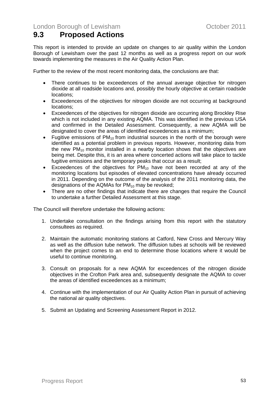# <span id="page-52-0"></span>**9.3 Proposed Actions**

This report is intended to provide an update on changes to air quality within the London Borough of Lewisham over the past 12 months as well as a progress report on our work towards implementing the measures in the Air Quality Action Plan.

Further to the review of the most recent monitoring data, the conclusions are that:

- There continues to be exceedences of the annual average objective for nitrogen dioxide at all roadside locations and, possibly the hourly objective at certain roadside locations;
- Exceedences of the objectives for nitrogen dioxide are not occurring at background locations;
- Exceedences of the objectives for nitrogen dioxide are occurring along Brockley Rise which is not included in any existing AQMA. This was identified in the previous USA and confirmed in the Detailed Assessment. Consequently, a new AQMA will be designated to cover the areas of identified exceedences as a minimum;
- Fugitive emissions of  $PM_{10}$  from industrial sources in the north of the borough were identified as a potential problem in previous reports. However, monitoring data from the new  $PM_{10}$  monitor installed in a nearby location shows that the objectives are being met. Despite this, it is an area where concerted actions will take place to tackle fugitive emissions and the temporary peaks that occur as a result;
- Exceedences of the objectives for  $PM_{10}$  have not been recorded at any of the monitoring locations but episodes of elevated concentrations have already occurred in 2011. Depending on the outcome of the analysis of the 2011 monitoring data, the designations of the AQMAs for  $PM_{10}$  may be revoked;
- There are no other findings that indicate there are changes that require the Council to undertake a further Detailed Assessment at this stage.

The Council will therefore undertake the following actions:

- 1. Undertake consultation on the findings arising from this report with the statutory consultees as required.
- 2. Maintain the automatic monitoring stations at Catford, New Cross and Mercury Way as well as the diffusion tube network. The diffusion tubes at schools will be reviewed when the project comes to an end to determine those locations where it would be useful to continue monitoring.
- 3. Consult on proposals for a new AQMA for exceedences of the nitrogen dioxide objectives in the Crofton Park area and, subsequently designate the AQMA to cover the areas of identified exceedences as a minimum;
- 4. Continue with the implementation of our Air Quality Action Plan in pursuit of achieving the national air quality objectives.
- 5. Submit an Updating and Screening Assessment Report in 2012.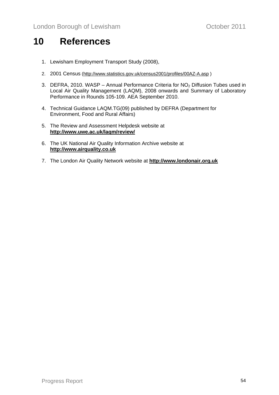# <span id="page-53-0"></span>**10 References**

- 1. Lewisham Employment Transport Study (2008),
- 2. 2001 Census (<http://www.statistics.gov.uk/census2001/profiles/00AZ-A.asp>)
- 3. DEFRA, 2010. WASP Annual Performance Criteria for  $NO<sub>2</sub>$  Diffusion Tubes used in Local Air Quality Management (LAQM), 2008 onwards and Summary of Laboratory Performance in Rounds 105-109. AEA September 2010.
- 4. Technical Guidance LAQM.TG(09) published by DEFRA (Department for Environment, Food and Rural Affairs)
- 5. The Review and Assessment Helpdesk website at **<http://www.uwe.ac.uk/laqm/review/>**
- 6. The UK National Air Quality Information Archive website at **[http://www.airquality.co.uk](http://www.airquality.co.uk/)**
- 7. The London Air Quality Network website at **[http://www.londonair.org.uk](http://www.londonair.org.uk/)**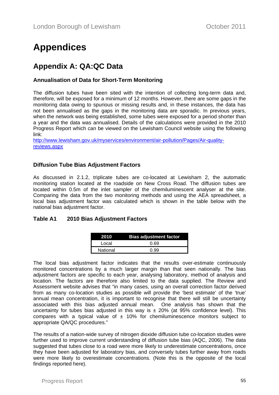# **Appendices**

# **Appendix A: QA:QC Data**

#### **Annualisation of Data for Short-Term Monitoring**

The diffusion tubes have been sited with the intention of collecting long-term data and, therefore, will be exposed for a minimum of 12 months. However, there are some gaps in the monitoring data owing to spurious or missing results and, in these instances, the data has not been annualised as the gaps in the monitoring data are sporadic. In previous years, when the network was being established, some tubes were exposed for a period shorter than a year and the data was annualised. Details of the calculations were provided in the 2010 Progress Report which can be viewed on the Lewisham Council website using the following link:

[http://www.lewisham.gov.uk/myservices/environment/air-pollution/Pages/Air-quality](http://www.lewisham.gov.uk/myservices/environment/air-pollution/Pages/Air-quality-reviews.aspx)[reviews.aspx](http://www.lewisham.gov.uk/myservices/environment/air-pollution/Pages/Air-quality-reviews.aspx)

#### **Diffusion Tube Bias Adjustment Factors**

As discussed in 2.1.2, triplicate tubes are co-located at Lewisham 2, the automatic monitoring station located at the roadside on New Cross Road. The diffusion tubes are located within 0.5m of the inlet sampler of the chemiluminescent analyser at the site. Comparing the data from the two monitoring methods and using the AEA spreadsheet, a local bias adjustment factor was calculated which is shown in the table below with the national bias adjustment factor.

#### **Table A1 2010 Bias Adjustment Factors**

| 2010     | <b>Bias adjustment factor</b> |
|----------|-------------------------------|
| Local    | 0.69                          |
| National | በ 99                          |

The local bias adjustment factor indicates that the results over-estimate continuously monitored concentrations by a much larger margin than that seen nationally. The bias adjustment factors are specific to each year, analysing laboratory, method of analysis and location. The factors are therefore also limited to the data supplied. The Review and Assessment website advises that "in many cases, using an overall correction factor derived from as many co-location studies as possible will provide the 'best estimate' of the 'true' annual mean concentration, it is important to recognise that there will still be uncertainty associated with this bias adjusted annual mean. One analysis has shown that the uncertainty for tubes bias adjusted in this way is  $\pm$  20% (at 95% confidence level). This compares with a typical value of  $\pm$  10% for chemiluminescence monitors subject to appropriate QA/QC procedures."

The results of a nation-wide survey of nitrogen dioxide diffusion tube co-location studies were further used to improve current understanding of diffusion tube bias (AQC, 2006). The data suggested that tubes close to a road were more likely to underestimate concentrations, once they have been adjusted for laboratory bias, and conversely tubes further away from roads were more likely to overestimate concentrations. (Note this is the opposite of the local findings reported here).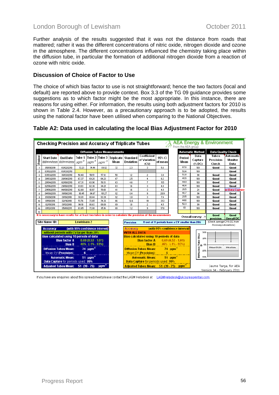Further analysis of the results suggested that it was not the distance from roads that mattered; rather it was the different concentrations of nitric oxide, nitrogen dioxide and ozone in the atmosphere. The different concentrations influenced the chemistry taking place within the diffusion tube, in particular the formation of additional nitrogen dioxide from a reaction of ozone with nitric oxide.

#### **Discussion of Choice of Factor to Use**

The choice of which bias factor to use is not straightforward; hence the two factors (local and default) are reported above to provide context. Box 3.3 of the TG 09 guidance provides some suggestions as to which factor might be the most appropriate. In this instance, there are reasons for using either. For information, the results using both adjustment factors for 2010 is shown in Table 2.4. However, as a precautionary approach is to be adopted, the results using the national factor have been utilised when comparing to the National Objectives.

### **Table A2: Data used in calculating the local Bias Adjustment Factor for 2010**

|                  | <b>AEA Energy &amp; Environment</b><br>Checking Precision and Accuracy of Triplicate Tubes<br>From the AEA group |                                                              |                                |                     |                                         |                                      |                                                                                          |                                                                                                                |                   |                                                 |                                                                                       |                                    |                              |
|------------------|------------------------------------------------------------------------------------------------------------------|--------------------------------------------------------------|--------------------------------|---------------------|-----------------------------------------|--------------------------------------|------------------------------------------------------------------------------------------|----------------------------------------------------------------------------------------------------------------|-------------------|-------------------------------------------------|---------------------------------------------------------------------------------------|------------------------------------|------------------------------|
|                  | <b>Diffusion Tubes Measurements</b>                                                                              |                                                              |                                |                     |                                         |                                      |                                                                                          |                                                                                                                |                   |                                                 | <b>Automatic Method</b>                                                               | <b>Data Quality Check</b>          |                              |
| Period           | <b>Start Date</b><br>dd/mm/yyy/ldd/mm/yyyy                                                                       | <b>End Date</b>                                              | Tube 1<br>$\mu$ gm $^{-3}$     | $^{\circ}$ µgm $^3$ | Tube 2 Tube 3<br>$\mu$ gm <sup>-3</sup> | <b>Triplicate   Standard</b><br>Wean | Deviation                                                                                | Coefficient<br>of Variation<br>(CV)                                                                            | 95% CI<br>of mean | Period<br>Mean                                  | Data<br>Capture<br>$(% \mathbf{C}^{\prime }\mathbf{C}^{\prime }\mathbf{C}^{\prime })$ | <b>Tubes</b><br>Precision<br>Check | Automatic<br>Monitor<br>Data |
| $\mathbf{1}$     | 05/01/2010                                                                                                       | 03/02/2010                                                   | 72.23                          | 74.44               | 69.92                                   | 72                                   | 2.3                                                                                      | 3                                                                                                              | 5.6               | 67.8                                            | 100                                                                                   | Good                               | Good                         |
| $\overline{2}$   | 03/02/2010                                                                                                       | 03/03/2010                                                   |                                |                     |                                         |                                      |                                                                                          |                                                                                                                |                   | 59.4                                            | 100                                                                                   |                                    | Good                         |
| з                | 03/03/2010                                                                                                       | 30/03/2010                                                   | 58.48                          | 59.51               | 57.12                                   | 58                                   | 1.2                                                                                      | $\mathbf{2}$                                                                                                   | 3.0               | 53.8                                            | 98                                                                                    | Good                               | Good                         |
| $\ddot{a}$       | 30/03/2010                                                                                                       | 28/04/2010                                                   | 67.37                          | 69.20               | 64.23                                   | 67                                   | 2.5                                                                                      | $\ddot{\phantom{a}}$                                                                                           | 6.2               | 45.5                                            | 100                                                                                   | Good                               | Good                         |
| 5                | 28/04/2010                                                                                                       | 02/06/2010                                                   | 67.31                          | 63.90               | 58.13                                   | 63                                   | 4.6                                                                                      | 7                                                                                                              | 11.5              | 44.9                                            | 100                                                                                   | Good                               | Good                         |
| 6                | 02/06/2010                                                                                                       | 29/06/2010                                                   | 61.03                          | 62.36               | 64.21                                   | 63                                   | 1.6                                                                                      | 3                                                                                                              | 4.0               | 46.4                                            | 100                                                                                   | Good                               | Good                         |
| $\overline{1}$   | 29/06/2010                                                                                                       | 04/08/2010                                                   | 62.68                          | 61.97               | 59.61                                   | 61                                   | 1.6                                                                                      | 3                                                                                                              | 4.0               | 26.5                                            | 24                                                                                    | Good                               | <b>pr Data Capture</b>       |
| 8                | 04/08/2010                                                                                                       | 01/09/2010                                                   | 90.45                          | 84.67               | 101.27                                  | 92                                   | 8.4                                                                                      | 9                                                                                                              | 20.9              | 40.7                                            | 90                                                                                    | Good                               | Good                         |
| э                | 01/09/2010                                                                                                       | 01/10/2010                                                   | 93.81                          | 88.44               | 93.39                                   | 92                                   | 3.0                                                                                      | 3                                                                                                              | 7.4               | 29.5                                            | 100                                                                                   | Good                               | Good                         |
| 10 <sub>10</sub> | 01/10/2010                                                                                                       | 02/11/2010                                                   | 51.76                          | 72.65               | 74.36                                   | 66                                   | 12.6                                                                                     | 19                                                                                                             | 31.3              | 44.6                                            | 100                                                                                   | Good                               | Good                         |
| 11               | 02/11/2010                                                                                                       | 01/12/2010                                                   | 90.18                          | 86.63               | 89.00                                   | 89                                   | 1.8                                                                                      | $\mathbf{2}$                                                                                                   | 4.5               | 52.3                                            | 99                                                                                    | Good                               | Good                         |
| 12               | 01/12/2010                                                                                                       | 05/01/2011                                                   | 83.65                          | 72.08               | 85.16                                   | 80                                   | 7.2                                                                                      | 9                                                                                                              | 17.8              | 83                                              | 100                                                                                   | Good                               | Good                         |
| 13               |                                                                                                                  |                                                              |                                |                     |                                         |                                      |                                                                                          |                                                                                                                |                   |                                                 |                                                                                       |                                    |                              |
|                  |                                                                                                                  |                                                              |                                |                     |                                         |                                      |                                                                                          | It is necessary to have results for at least two tubes in order to calculate the precision of the measurements |                   |                                                 | Overall survey -->                                                                    | Good<br>precision                  | Good<br><b>Overall DC</b>    |
|                  | Site Name/ID:                                                                                                    |                                                              | <b>Lewisham 2</b>              |                     |                                         |                                      | <b>Precision</b>                                                                         |                                                                                                                |                   | 11 out of 11 periods have a CV smaller than 20% |                                                                                       | (Check average CV & DC from        |                              |
|                  |                                                                                                                  |                                                              |                                |                     |                                         |                                      |                                                                                          |                                                                                                                |                   |                                                 |                                                                                       | Accuracy calculations)             |                              |
|                  | <b>Accuracy</b>                                                                                                  |                                                              | (with 95% confidence interval) |                     |                                         |                                      | <b>Accuracy</b>                                                                          |                                                                                                                |                   | (with 95% confidence interval)                  |                                                                                       |                                    |                              |
|                  |                                                                                                                  | without periods with CV larger than 20%                      |                                |                     |                                         |                                      | <b>WITH ALL DATA</b>                                                                     |                                                                                                                |                   |                                                 | 50%                                                                                   |                                    |                              |
|                  | Bias calculated using 10 periods of data                                                                         |                                                              |                                |                     |                                         |                                      |                                                                                          | <b>Bias calculated using 10 periods of data</b>                                                                |                   |                                                 | <b>Tube Bias</b><br>25%                                                               |                                    |                              |
|                  |                                                                                                                  | <b>Bias factor A</b>                                         |                                | $0.69(0.52 - 1.01)$ |                                         |                                      |                                                                                          | <b>Bias factor A</b>                                                                                           |                   | $0.69(0.52 - 1.01)$                             |                                                                                       |                                    |                              |
|                  |                                                                                                                  | <b>Bias B</b>                                                |                                | 46% (-1% - 93%)     |                                         |                                      |                                                                                          | <b>Bias B</b>                                                                                                  |                   | $46\%$ (-1% - 93%)                              | 0 <sub>z</sub><br>m                                                                   |                                    |                              |
|                  | 74 $\mu$ gm <sup>-3</sup><br><b>Diffusion Tubes Mean:</b>                                                        |                                                              |                                |                     |                                         |                                      | <b>Diffusion Tubes Mean:</b> 74 $\mu$ gm <sup>-3</sup>                                   |                                                                                                                |                   |                                                 | Without CVs20%                                                                        | With all data                      |                              |
|                  |                                                                                                                  | Mean CV (Precision):                                         | 6                              |                     |                                         |                                      |                                                                                          | Mean CV (Precision):                                                                                           | 6                 |                                                 | $-254$                                                                                |                                    |                              |
|                  |                                                                                                                  |                                                              |                                |                     |                                         |                                      |                                                                                          |                                                                                                                |                   |                                                 | Diffusion<br>$-50%$                                                                   |                                    |                              |
|                  |                                                                                                                  | <b>Automatic Mean:</b><br>Data Capture for periods used: 99% |                                | $51 \text{ µgm}^3$  |                                         |                                      |                                                                                          | <b>Automatic Mean:</b>                                                                                         |                   | $51 \text{ ucm}^{-3}$                           |                                                                                       |                                    |                              |
|                  |                                                                                                                  | <b>Adjusted Tubes Mean:</b>                                  | $51(39-75)$                    |                     | µgm <sup>3</sup>                        |                                      | Data Capture for periods used: 99%<br>Adjusted Tubes Mean: 51 (39 - 75) µgm <sup>3</sup> |                                                                                                                |                   |                                                 |                                                                                       | Jaume Targa, for AEA               |                              |
|                  | Version 04 - February 2011                                                                                       |                                                              |                                |                     |                                         |                                      |                                                                                          |                                                                                                                |                   |                                                 |                                                                                       |                                    |                              |

If you have any enquiries about this spreadsheet please contact the LAQM Helpdesk at: LAQMHelpdesk@uk.bureauveritas.com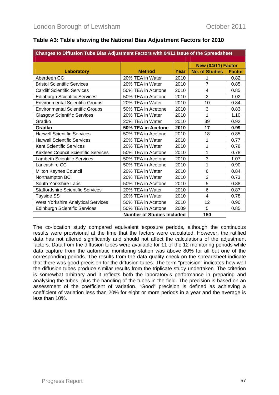| Changes to Diffusion Tube Bias Adjustment Factors with 04/11 Issue of the Spreadsheet |                                   |      |                       |               |  |  |  |
|---------------------------------------------------------------------------------------|-----------------------------------|------|-----------------------|---------------|--|--|--|
|                                                                                       |                                   |      |                       |               |  |  |  |
|                                                                                       |                                   |      | New (04/11) Factor    |               |  |  |  |
| <b>Laboratory</b>                                                                     | <b>Method</b>                     | Year | <b>No. of Studies</b> | <b>Factor</b> |  |  |  |
| Aberdeen CC                                                                           | 20% TEA in Water                  | 2010 | 1                     | 0.82          |  |  |  |
| <b>Bristol Scientific Services</b>                                                    | 20% TEA in Water                  | 2010 | 7                     | 0.85          |  |  |  |
| <b>Cardiff Scientific Services</b>                                                    | 50% TEA in Acetone                | 2010 | 4                     | 0.85          |  |  |  |
| <b>Edinburgh Scientific Services</b>                                                  | 50% TEA in Acetone                | 2010 | $\overline{2}$        | 1.02          |  |  |  |
| <b>Environmental Scientific Groups</b>                                                | 20% TEA in Water                  | 2010 | 10                    | 0.84          |  |  |  |
| <b>Environmental Scientific Groups</b>                                                | 50% TEA in Acetone                | 2010 | 3                     | 0.83          |  |  |  |
| <b>Glasgow Scientific Services</b>                                                    | 20% TEA in Water                  | 2010 | 1                     | 1.10          |  |  |  |
| Gradko                                                                                | 20% TEA in Water                  | 2010 | 39                    | 0.92          |  |  |  |
| Gradko                                                                                | 50% TEA in Acetone                | 2010 | 17                    | 0.99          |  |  |  |
| <b>Harwell Scientific Services</b>                                                    | 50% TEA in Acetone                | 2010 | 18                    | 0.85          |  |  |  |
| <b>Harwell Scientific Services</b>                                                    | 20% TEA in Water                  | 2010 | 1                     | 0.77          |  |  |  |
| <b>Kent Scientific Services</b>                                                       | 20% TEA in Water                  | 2010 | 1                     | 0.78          |  |  |  |
| Kirklees Council Scientific Services                                                  | 50% TEA in Acetone                | 2010 | 1                     | 0.78          |  |  |  |
| <b>Lambeth Scientific Services</b>                                                    | 50% TEA in Acetone                | 2010 | 3                     | 1.07          |  |  |  |
| Lancashire CC                                                                         | 50% TEA in Acetone                | 2010 | 1                     | 0.90          |  |  |  |
| Milton Keynes Council                                                                 | 20% TEA in Water                  | 2010 | 6                     | 0.84          |  |  |  |
| Northampton BC                                                                        | 20% TEA in Water                  | 2010 | 3                     | 0.73          |  |  |  |
| South Yorkshire Labs                                                                  | 50% TEA in Acetone                | 2010 | 5                     | 0.88          |  |  |  |
| <b>Staffordshire Scientific Services</b>                                              | 20% TEA in Water                  | 2010 | 6                     | 0.87          |  |  |  |
| <b>Tayside SS</b>                                                                     | 20% TEA in Water                  | 2010 | 4                     | 0.78          |  |  |  |
| <b>West Yorkshire Analytical Services</b>                                             | 50% TEA in Acetone                | 2010 | 12                    | 0.90          |  |  |  |
| <b>Edinburgh Scientific Services</b>                                                  | 50% TEA in Acetone                | 2009 | 5                     | 0.85          |  |  |  |
|                                                                                       | <b>Number of Studies Included</b> |      | 150                   |               |  |  |  |

### **Table A3: Table showing the National Bias Adjustment Factors for 2010**

The co-location study compared equivalent exposure periods, although the continuous results were provisional at the time that the factors were calculated. However, the ratified data has not altered significantly and should not affect the calculations of the adjustment factors. Data from the diffusion tubes were available for 11 of the 12 monitoring periods while data capture from the automatic monitoring station was above 80% for all but one of the corresponding periods. The results from the data quality check on the spreadsheet indicate that there was good precision for the diffusion tubes. The term "precision" indicates how well the diffusion tubes produce similar results from the triplicate study undertaken. The criterion is somewhat arbitrary and it reflects both the laboratory's performance in preparing and analysing the tubes, plus the handling of the tubes in the field. The precision is based on an assessment of the coefficient of variation. "Good" precision is defined as achieving a coefficient of variation less than 20% for eight or more periods in a year and the average is less than 10%.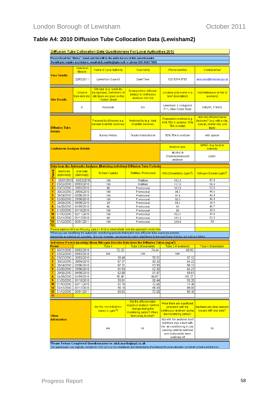|                                                                                      |                                                                                                                                                                                                                                  |                                     | Diffusion Tube Collocation Data Questionnaire For Local Authorities 2010                                                                                                                                                       |                                                                                                                             |                                                                                                                                                                 |                                                                                                 |  |  |
|--------------------------------------------------------------------------------------|----------------------------------------------------------------------------------------------------------------------------------------------------------------------------------------------------------------------------------|-------------------------------------|--------------------------------------------------------------------------------------------------------------------------------------------------------------------------------------------------------------------------------|-----------------------------------------------------------------------------------------------------------------------------|-----------------------------------------------------------------------------------------------------------------------------------------------------------------|-------------------------------------------------------------------------------------------------|--|--|
| Please Read the "Notes" sheet and then fill in the white boxes of this questionnaire |                                                                                                                                                                                                                                  |                                     |                                                                                                                                                                                                                                |                                                                                                                             |                                                                                                                                                                 |                                                                                                 |  |  |
| Should you require assistance, email nick.martin@npl.co.uk or phone 020 8943 7088    |                                                                                                                                                                                                                                  |                                     |                                                                                                                                                                                                                                |                                                                                                                             |                                                                                                                                                                 |                                                                                                 |  |  |
|                                                                                      |                                                                                                                                                                                                                                  | Date form<br>filled in              | Name of Local Authority                                                                                                                                                                                                        | Your name                                                                                                                   | <b>Phone number</b>                                                                                                                                             | <b>Contact email</b>                                                                            |  |  |
|                                                                                      | <b>Your Details</b>                                                                                                                                                                                                              | 22/02/2011                          | Lewisham Council                                                                                                                                                                                                               | Dave Trew                                                                                                                   | 020 8314 9783                                                                                                                                                   | dave.trew@lewisham.gov.uk                                                                       |  |  |
|                                                                                      | <b>Site Details</b>                                                                                                                                                                                                              | <b>Distance</b><br>from kerb (m)    | Site type (e.g. roadside,<br>background). Definitions of<br>site types are given on the<br>"Notes" sheet                                                                                                                       | Distance from diffusion<br>tube(s) to continuous<br>analyser inlet (m)                                                      | Location (site name or a<br>brief description)                                                                                                                  | Grid Reference of Site (if<br>available)                                                        |  |  |
| 6                                                                                    |                                                                                                                                                                                                                                  |                                     | Roadside                                                                                                                                                                                                                       | 0.5                                                                                                                         | Lewisham 2, Hobgoblin<br>P.H., New Cross Road                                                                                                                   | 536241, 176932                                                                                  |  |  |
| <b>Diffusion Tube</b>                                                                |                                                                                                                                                                                                                                  |                                     | Prepared by (if known; e.g.<br><b>Harwell Scientific Services)</b>                                                                                                                                                             | Analysed by (e.g. Kent<br>Scientific Services)                                                                              | Preparation method (e.g.<br>50% TEA in acetone; 50%<br>TEA in water)                                                                                            | How are diffusion tubes<br>deployed? (e.g. with a clip,<br>spacer, shelter box, just<br>tape) a |  |  |
|                                                                                      | <b>Details</b>                                                                                                                                                                                                                   |                                     | Bureau Veritas                                                                                                                                                                                                                 | Gradko International                                                                                                        | 50% TEA in acetone                                                                                                                                              | with spacer                                                                                     |  |  |
|                                                                                      | <u>Continuous Analyser Details</u>                                                                                                                                                                                               |                                     |                                                                                                                                                                                                                                |                                                                                                                             | Analyser type                                                                                                                                                   | QA/QC (e.g. local or<br>network)                                                                |  |  |
|                                                                                      |                                                                                                                                                                                                                                  |                                     |                                                                                                                                                                                                                                |                                                                                                                             | ML9841B<br>Chemiluminescent<br>analyser                                                                                                                         | LAQN                                                                                            |  |  |
|                                                                                      |                                                                                                                                                                                                                                  |                                     | Data from the Automatic Analyser (Matching Individual Diffusion Tube Periods)                                                                                                                                                  |                                                                                                                             |                                                                                                                                                                 |                                                                                                 |  |  |
| Period                                                                               | <b>Start Date</b><br>(dd/mm/yy)                                                                                                                                                                                                  | <b>End Date</b><br>(dd/mm/yy)       | % Data Capture                                                                                                                                                                                                                 | Ratified / Provisional                                                                                                      | NOx (if available) (ug/m <sup>3</sup> )                                                                                                                         | Nitrogen Dioxide (ug/m <sup>3</sup> )                                                           |  |  |
| $\blacksquare$                                                                       | 05/01/2010                                                                                                                                                                                                                       | 03/02/2010                          | 100                                                                                                                                                                                                                            | Ratified                                                                                                                    | 182.3                                                                                                                                                           | 67.8                                                                                            |  |  |
| $\overline{2}$<br>3                                                                  | 03/02/2010<br>03/03/2010                                                                                                                                                                                                         | 03/03/2010<br>30/03/2010            | 100<br>98                                                                                                                                                                                                                      | Ratified                                                                                                                    | 137.5<br>103.8                                                                                                                                                  | 59.4<br>53.8                                                                                    |  |  |
| $\overline{4}$                                                                       | 30/03/2010                                                                                                                                                                                                                       | 28/04/2010                          | 100                                                                                                                                                                                                                            | Provisional<br>Provisional                                                                                                  | 94.7                                                                                                                                                            | 45.5                                                                                            |  |  |
| $\overline{5}$                                                                       | 28/04/2010                                                                                                                                                                                                                       | 02/06/2010                          | 100                                                                                                                                                                                                                            | Provisional                                                                                                                 | 91.6                                                                                                                                                            | 44.9                                                                                            |  |  |
| 6                                                                                    | 02/06/2010                                                                                                                                                                                                                       | 29/06/2010                          | 100                                                                                                                                                                                                                            | Provisional                                                                                                                 | 92.3                                                                                                                                                            | 46.4                                                                                            |  |  |
| 7                                                                                    | 29/06/2010                                                                                                                                                                                                                       | 04/08/2010                          | 24                                                                                                                                                                                                                             | Provisional                                                                                                                 | 49.4                                                                                                                                                            | 26.5                                                                                            |  |  |
| 8<br>$\overline{9}$                                                                  | 04/08/2010<br>01/09/2010                                                                                                                                                                                                         | 01/09/2010<br>01/10/2010            | 90<br>100                                                                                                                                                                                                                      | Provisional<br>Provisional                                                                                                  | 93<br>86                                                                                                                                                        | 40.7<br>29.5                                                                                    |  |  |
| 10                                                                                   | 01/10/2010                                                                                                                                                                                                                       | 02/11/2010                          | 100                                                                                                                                                                                                                            | Provisional                                                                                                                 | 102.1                                                                                                                                                           | 44.6                                                                                            |  |  |
| 11                                                                                   | 02/11/2010                                                                                                                                                                                                                       | 01/12/2010                          | 99                                                                                                                                                                                                                             | Provisional                                                                                                                 | 153.2                                                                                                                                                           | 52.3                                                                                            |  |  |
| 12                                                                                   | 01/12/2010                                                                                                                                                                                                                       | 05/01/2011                          | 100                                                                                                                                                                                                                            | Provisional                                                                                                                 | 218.4                                                                                                                                                           | 83                                                                                              |  |  |
| 13                                                                                   |                                                                                                                                                                                                                                  |                                     |                                                                                                                                                                                                                                |                                                                                                                             |                                                                                                                                                                 |                                                                                                 |  |  |
|                                                                                      |                                                                                                                                                                                                                                  |                                     | Please express NOx as NO <sub>2</sub> (e.g. ppb x 1.913) or alternatively note the approach <i>I</i> units here:<br>When you are identifying the automatic monitoring periods that match your diffusion tube exposure periods, |                                                                                                                             |                                                                                                                                                                 |                                                                                                 |  |  |
|                                                                                      |                                                                                                                                                                                                                                  |                                     | please be as precise as possible. It is not, however, necessary to match start times to the exact hour that you put out your tubes                                                                                             |                                                                                                                             |                                                                                                                                                                 |                                                                                                 |  |  |
|                                                                                      |                                                                                                                                                                                                                                  |                                     | <u>Individual Period (monthly) Mean Nitrogen Dioxide Data from the Diffusion Tubes (ug/m<sup>s</sup>)</u>                                                                                                                      |                                                                                                                             |                                                                                                                                                                 |                                                                                                 |  |  |
| <b>Period</b>                                                                        |                                                                                                                                                                                                                                  |                                     | Tube 1                                                                                                                                                                                                                         | Tube 2 (if available)                                                                                                       | Tube 3 (if available)                                                                                                                                           | Tube 4 (if available)                                                                           |  |  |
| 1                                                                                    | 05/01/2010                                                                                                                                                                                                                       | 03/02/2010                          | 72.23                                                                                                                                                                                                                          | 74.44                                                                                                                       | 69.92                                                                                                                                                           |                                                                                                 |  |  |
| $\overline{2}$<br>3 <sup>1</sup>                                                     | 03/02/2010                                                                                                                                                                                                                       | 03/03/2010<br>03/03/2010 30/03/2010 | <b>N/A</b><br>58.48                                                                                                                                                                                                            | <b>N/A</b><br>59.51                                                                                                         | <b>N/A</b><br>57.12                                                                                                                                             |                                                                                                 |  |  |
| 4                                                                                    | 30/03/2010                                                                                                                                                                                                                       | 28/04/2010                          | 67.37                                                                                                                                                                                                                          | 69.20                                                                                                                       | 64.23                                                                                                                                                           |                                                                                                 |  |  |
| $\overline{5}$                                                                       | 28/04/2010                                                                                                                                                                                                                       | 02/06/2010                          | 67.31                                                                                                                                                                                                                          | 63.90                                                                                                                       | 58.13                                                                                                                                                           |                                                                                                 |  |  |
| 6                                                                                    | 02/06/2010                                                                                                                                                                                                                       | 29/06/2010                          | 61.03                                                                                                                                                                                                                          | 62.36                                                                                                                       | 64.21                                                                                                                                                           |                                                                                                 |  |  |
| $\overline{7}$<br>8                                                                  | 29/06/2010<br>04/08/2010                                                                                                                                                                                                         | 04/08/2010<br>01/09/2010            | 62.68<br>90.45                                                                                                                                                                                                                 | 61.97<br>84.67                                                                                                              | 59.61<br>101.27                                                                                                                                                 |                                                                                                 |  |  |
| $\overline{9}$                                                                       | 01/09/2010                                                                                                                                                                                                                       | 01/10/2010                          | 93.81                                                                                                                                                                                                                          | 88.44                                                                                                                       | 93.39                                                                                                                                                           |                                                                                                 |  |  |
| 10                                                                                   | 01/10/2010                                                                                                                                                                                                                       | 02/11/2010                          | 51.76                                                                                                                                                                                                                          | 72.65                                                                                                                       | 74.36                                                                                                                                                           |                                                                                                 |  |  |
| 11                                                                                   | 02/11/2010                                                                                                                                                                                                                       | 01/12/2010                          | 90.18                                                                                                                                                                                                                          | 86.63                                                                                                                       | 89.00                                                                                                                                                           |                                                                                                 |  |  |
| 12 <sub>2</sub>                                                                      | 01/12/2010                                                                                                                                                                                                                       | 05/01/2011                          | 83.65                                                                                                                                                                                                                          | 72.08                                                                                                                       | 85.16                                                                                                                                                           |                                                                                                 |  |  |
| 13                                                                                   |                                                                                                                                                                                                                                  |                                     |                                                                                                                                                                                                                                |                                                                                                                             |                                                                                                                                                                 |                                                                                                 |  |  |
| Other                                                                                |                                                                                                                                                                                                                                  |                                     | Are the concentrations<br>stated in ug/m <sup>3</sup> ?                                                                                                                                                                        | Did the diffusion tube<br>supply or analysis method<br>change during the<br>monitoring period? When,<br>from what, to what? | Were there any significant<br>problems with the<br>continuous analyser during<br>the monitoring period?                                                         | Are there any other relevant<br>issues with your data?                                          |  |  |
| <b>Information</b>                                                                   |                                                                                                                                                                                                                                  |                                     | yes                                                                                                                                                                                                                            | no                                                                                                                          | Not with the analyser itself<br>but there was a fault with<br>the air conditioning in July<br>causing cabin to overheat<br>and instruments were<br>switched off | no                                                                                              |  |  |
|                                                                                      | Please Return Completed Questionnaires to: nick.martin@npl.co.uk<br>This questionaire was originally compiled by AQC Ltd is is now maintained and distributed by the National Physical Laboratory on behalf of Defra and the DAs |                                     |                                                                                                                                                                                                                                |                                                                                                                             |                                                                                                                                                                 |                                                                                                 |  |  |

### **Table A4: 2010 Diffusion Tube Collocation Data (Lewisham2)**

This questionaire was originally compiled by AQC Ltd is is now maintained and distributed by the National Physical Laboratory on behalf of Defra and the DAs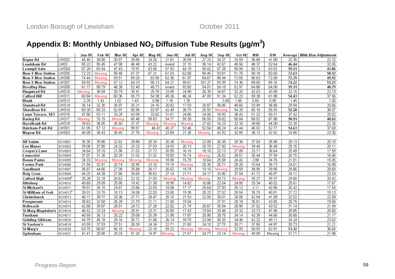# Appendix B: Monthly Unbiased NO<sub>2</sub> Diffusion Tube Results (µg/m<sup>3</sup>)

|                          |         | Jan-10 l | Feb-10  | Mar-10  | <b>Apr-10</b> | Mav-10  | <b>Jun-10</b> | <b>Jul-10</b> | Aug 10  | Sep 10  | Oct-10  | N10   | D <sub>10</sub> | Average I | ∣ With Bias Adjustment |
|--------------------------|---------|----------|---------|---------|---------------|---------|---------------|---------------|---------|---------|---------|-------|-----------------|-----------|------------------------|
| Boyne Rd                 | LWS02   | 44.40    | 38.80   | 30.57   | 28.85         | 24.26   | 21.81         | 26.69         | 27.23   | 34.27   | 33.59   | 36.68 | 41.08           | 32.35     | 22.32                  |
| Lewisham Rd              | LW03    | 55.22    | 55.45   | 47.98   | 46.48         | 43.22   | invalid       | 37.15         | 36.14   | 42.67   | 45.56   | 48.37 | 52.64           | 46.44     | 32.05                  |
| Loampit Vale             | LWS04   | 67.20    | 65.94   | 47.43   | 70.91         | 63.56   | 57.93         | 44.19         | 50.02   | 57.28   | 58.99   | 66.73 | 63.92           | 59.51     | 41.06                  |
| New X Mon Station        | LWS05   | 72.23    | Missina | 58.48   | 67.37         | 67.31   | 61.03         | 62.68         | 90.45   | 93.81   | 51.76   | 90.18 | 83.65           | 72.63     | 50.12                  |
| New X Mon Station        | LWS06   | 74.44    | Missina | 59.51   | 69.20         | 63.90   | 62.36         | 61.97         | 84.67   | 88.44   | 72.65   | 86.63 | 72.08           | 72.35     | 49.92                  |
| <b>New X Mon Station</b> | LWS07   | 69.92    | Missina | 57.12   | 64.23         | 58.13   | 64.21         | 59.61         | 101.27  | 93.39   | 74.36   | 89.00 | 85.16           | 74.22     | 51.21                  |
| Brockley Rise            | LWS09   | 61.17    | 58.79   | 46.38   | 52.40         | 48.73   | invalid       | 92.65         | 54.01   | 54.18   | 52.97   | 64.86 | 64.08           | 59.11     | 40.79                  |
| <b>Ringstead Rd</b>      | LWS10   | Missina  | 38.59   | 30.79   | 30.41         | 25.78   | 23.95         | 24.90         | 26.39   | 34.67   | 32.20   | 42.03 | 43.98           | 32.15     | 22.19                  |
| <b>Catford Hill</b>      | LWS11   | 60.84    | Missing | 60.36   | 55.73         | 54.38   | 49.26         | 46.24         | 47.09   | 51.34   | 52.23   | 59.38 | 61.88           | 54.43     | 37.56                  |
| Blank                    | LWS13   | 2.25     | 1.43    | 1.02    | 1.43          | 0.98    | 1.16          | 1.35          |         | 3.05    | 1.68    | 0.65  | 0.95            | 1.45      | 1.00                   |
| <b>Stanstead Rd</b>      | LWS14   | 35.14    | 32.30   | 26.97   | 25.21         | 24.16   | 20.82         | 17.93         | 20.87   | 36.85   | 48.65   | 33.49 | 36.85           | 29.94     | 20.66                  |
| <b>Shardloes Rd</b>      | LWS15   | 69.30    | 65.33   | 52.97   | 50.98         | 53.97   | 42.49         | 38.79         | 25.92   | Missing | 54.20   | 65.18 | 55.93           | 52.28     | 36.07                  |
| Lawn Terrace, SE3        | LWS16   | 47.80    | 53.11   | 33.29   | 42.09         | 33.62   | 31.61         | 24.66         | 24.00   | 18.93   | 38.43   | 51.22 | 50.31           | 37.42     | 25.82                  |
| Baring Rd                | LWS17   | Missing  | 76.15   | Missinc | 65.48         | 59.83   | 54.77         | 59.30         | 56.55   | 29.82   | 50.84   | 68.52 | 67.88           | 58.91     | 40.65                  |
| <b>Hazelbank Rd</b>      | LWS18   | 39.63    | 38.05   | 26.50   | 27.37         | Missing | Missing       | Missing       | 27.82   | 16.23   | 32.16   | 39.80 | 44.00           | 32.39     | 22.35                  |
| Hatcham Park Rd          | LWS51   | 61.05    | 57.12   | Missing | 99.57         | 46.41   | 40.27         | 53.46         | 52.54   | 48.24   | 43.44   | 46.02 | 52.77           | 54.63     | 37.69                  |
| Mayow Rd                 | LWS53   | 40.09    | 38.43   | 30.45   | 27.76         | Missing | 23.69         | 21.26         | Missing | 42.92   | 32.85   | 38.13 | 42.92           | 33.85     | 23.36                  |
|                          |         |          |         |         |               |         |               |               |         |         |         |       |                 |           |                        |
| <b>All Saints</b>        | lschooi | 35.35    | 35.86   | 22.82   | 29.88         | 25.34   | 20.38         | Missing       | 22.08   | 26.38   | 29.38   | 37.04 | 35.88           | 29.13     | 20.10                  |
| Lee Manor                | SCH002  | 39.08    | 37.80   | 24.32   | 23.23         | 27.03   | 24.93         | 20.13         | 20.70   | 27.50   | Missina | 39.40 | 36.48           | 29.15     | 20.11                  |
| Cooper's Lane            | SCH003  | 34.64    | 33.15   | 21.06   | 21.02         | 21.72   | 20.55         | 16.10         | 18.10   | 22.13   | 27.08   | 33.71 | 36.64           | 25.49     | 17.59                  |
| Launcelot                | SCH004  | 37.07    | 31.26   | 20.29   | 21.02         | 21.52   | 18.83         | 16.74         | Missina | 26.02   | 28.51   | 35.44 | 37.59           | 26.75     | 18.46                  |
| Bonus Pastor             | SCH005  | 34.33    | Missinc | Missinc | Missing       | Missina | 18.06         | 15.79         | 18.64   | 25.58   | 24.42   | 2.88  | 34.76           | 21.81     | 15.05                  |
| Forster Park             | SCH006  | 31.94    | 32.91   | 20.74   | 20.95         | 23.33   | 19.19         | Missing       | 20.35   | 25.71   | 28.20   | 10.64 | 36.73           | 24.61     | 16.98                  |
| Sandhurst                | SCH007  | 36.67    | 44.66   | 27.08   | 25.88         | 26.17   | 20.62         | 19.79         | 19.10   | Missing | 29.59   | 38.95 | 39.90           | 29.86     | 20.60                  |
| <b>Holy Cross</b>        | SCH008  | 44.25    | 44.39   | 27.85   | 30.69         | 30.62   | 27.14         | 21.71         | 24.17   | 33.90   | 37.04   | 41.72 | 45.87           | 34.11     | 23.54                  |
| <b>Catford High</b>      | SCH009ª | 35.28    | 32.18   | 20.62   | 22.32         | 21.03   | Missing       | Missing       | Missing | 30.72   | Missing | 35.27 | 39.37           | 29.60     | 20.42                  |
| Athelney                 | SCH010  | 40.69    | 29.09   | 25.90   | 19.42         | 21.38   | 18.95         | 14.82         | 16.86   | 22.04   | 24.85   | 33.34 | 40.02           | 25.61     | 17.67                  |
| <b>St Michael's</b>      | SCH011  | 39.57    | 35.15   | 24.67   | 23.86         | 22.93   | 18.08         | 17.17         | 20.64   | 27.83   | 30.12   | 2.11  | 42.96           | 25.42     | 17.54                  |
| St William of York       | SCH012ª | 39.01    | 33.70   | 18.13   | 24.08         | 22.03   | 23.00         | 19.38         | 20.23   | 27.02   | 29.54   | 35.70 | 40.81           | 27.72     | 19.13                  |
| Christchurch             | SCH013  | 48.17    | 39.77   | 29.36   | 27.71         | 28.47   | 25.10         | 21.53         | 22.05   | 30.01   | 28.06   | 42.94 | 41.09           | 32.02     | 22.09                  |
| Perrymount               | SCH014  | 38.63    | 32.68   | 26.29   | 21.79         | 21.11   | 21.00         | 19.04         |         | 27.91   | 28.18   | 35.81 | 43.85           | 28.75     | 19.84                  |
| Holbeach                 | SCH015  | 42.68    | 39.87   | 28.51   | 24.72         | 27.28   | 22.82         | 21.79         | 20.67   | 35.94   | 28.90   | 37.02 | 43.52           | 31.14     | 21.49                  |
| St Mary Magdalen's       | SCH016  | 46.52    | 33.24   | Missing | 26.91         | 23.31   | 20.69         | 17.43         | 19.84   | 29.48   | 29.32   | 33.73 | 47.88           | 29.85     | 20.60                  |
| Turnham                  | SCH017  | 40.69    | 36.13   | 25.22   | 29.08         | 25.39   | 21.98         | 17.87         | 20.90   | 28.75   | 34.14   | 43.39 | 44.66           | 30.68     | 21.17                  |
| Grinling Gibbons         | SCH018  | 44.79    | 45.18   | 29.16   | 35.71         | 31.06   | 26.14         | 18.79         | 23.94   | 30.20   | 34.46   | 42.32 | 49.11           | 34.24     | 23.62                  |
| St Saviour's             | SCH019  | 43.59    | 37.53   | 27.51   | 26.39         | 24.34   | 22.71         | 21.65         | 24.10   | 27.75   | 30.71   | 37.56 | 44.97           | 30.73     | 21.21                  |
| St Mary's                | SCH020  | 63.75    | 68.87   | 56.15   | Missing       | 22.16   | 59.22         | Missing       | Missina | Missing | 32.93   | 58.93 | 62.91           | 53.12     | 36.65                  |
| Sydenham                 | SCH021  | 41.41    | 29.90   | 29.33   | 51.25         | 14.97   | Missing       | 21.57         | 24.77   | 23.14   | Missing | 49.09 | Missing         | 31.71     | 21.88                  |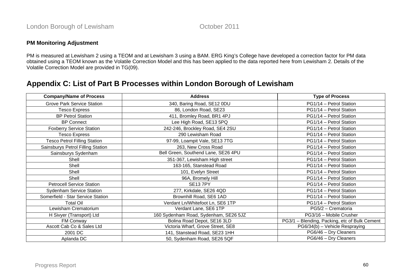#### **PM Monitoring Adjustment**

PM is measured at Lewisham 2 using a TEOM and at Lewisham 3 using a BAM. ERG King's College have developed a correction factor for PM data obtained using a TEOM known as the Volatile Correction Model and this has been applied to the data reported here from Lewisham 2. Details of the Volatile Correction Model are provided in TG(09).

# **Appendix C: List of Part B Processes within London Borough of Lewisham**

| <b>Company/Name of Process</b>      | <b>Address</b>                        | <b>Type of Process</b>                        |
|-------------------------------------|---------------------------------------|-----------------------------------------------|
| <b>Grove Park Service Station</b>   | 340, Baring Road, SE12 0DU            | PG1/14 - Petrol Station                       |
| <b>Tesco Express</b>                | 86, London Road, SE23                 | PG1/14 - Petrol Station                       |
| <b>BP Petrol Station</b>            | 411, Bromley Road, BR1 4PJ            | PG1/14 - Petrol Station                       |
| <b>BP Connect</b>                   | Lee High Road, SE13 5PQ               | PG1/14 - Petrol Station                       |
| <b>Foxberry Service Station</b>     | 242-246, Brockley Road, SE4 2SU       | PG1/14 - Petrol Station                       |
| <b>Tesco Express</b>                | 290 Lewisham Road                     | PG1/14 - Petrol Station                       |
| <b>Tesco Petrol Filling Station</b> | 97-99, Loampit Vale, SE13 7TG         | PG1/14 - Petrol Station                       |
| Sainsburys Petrol Filling Station   | 263, New Cross Road                   | PG1/14 - Petrol Station                       |
| Sainsburys Sydenham                 | Bell Green, Southend Lane, SE26 4PU   | PG1/14 - Petrol Station                       |
| Shell                               | 351-367, Lewisham High street         | PG1/14 - Petrol Station                       |
| Shell                               | 163-165, Stanstead Road               | PG1/14 - Petrol Station                       |
| Shell                               | 101, Evelyn Street                    | PG1/14 - Petrol Station                       |
| Shell                               | 96A, Bromely Hill                     | PG1/14 - Petrol Station                       |
| <b>Petrocell Service Station</b>    | <b>SE13 7PY</b>                       | PG1/14 - Petrol Station                       |
| <b>Sydenham Service Station</b>     | 277, Kirkdale, SE26 4QD               | PG1/14 - Petrol Station                       |
| Somerfield - Star Service Station   | Brownhill Road, SE6 1AD               | PG1/14 - Petrol Station                       |
| <b>Total Oil</b>                    | Verdant Ln/Whitefoot Ln, SE6 1TP      | PG1/14 - Petrol Station                       |
| Lewisham Crematorium                | Verdant Lane, SE6 1TP                 | PG5/2 - Crematoria                            |
| H Sivyer (Transport) Ltd            | 160 Sydenham Road, Sydenham, SE26 5JZ | PG3/16 - Mobile Crusher                       |
| FM Conway                           | Bolina Road Depot, SE16 3LD           | PG3/1 - Blending, Packing, etc of Bulk Cement |
| Ascott Cab Co & Sales Ltd           | Victoria Wharf, Grove Street, SE8     | PG6/34(b) - Vehicle Respraying                |
| 2001 DC                             | 141, Stanstead Road, SE23 1HH         | PG6/46 - Dry Cleaners                         |
| Aplanda DC                          | 50, Sydenham Road, SE26 5QF           | PG6/46 - Dry Cleaners                         |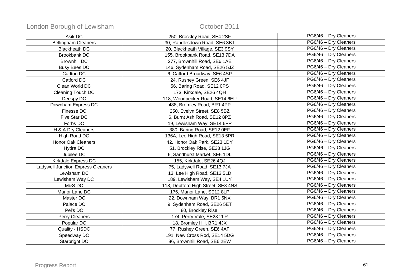| Asik DC                                   | 250, Brockley Road, SE4 2SF        | PG6/46 - Dry Cleaners |
|-------------------------------------------|------------------------------------|-----------------------|
| <b>Bellingham Cleaners</b>                | 30, Randlesdown Road, SE6 3BT      | PG6/46 - Dry Cleaners |
| <b>Blackheath DC</b>                      | 20, Blackheath Village, SE3 9SY    | PG6/46 - Dry Cleaners |
| <b>Brookbank DC</b>                       | 155, Brookbank Road, SE13 7DA      | PG6/46 - Dry Cleaners |
| <b>Brownhill DC</b>                       | 277, Brownhill Road, SE6 1AE       | PG6/46 - Dry Cleaners |
| <b>Busy Bees DC</b>                       | 146, Sydenham Road, SE26 5JZ       | PG6/46 - Dry Cleaners |
| Carlton DC                                | 6, Catford Broadway, SE6 4SP       | PG6/46 - Dry Cleaners |
| Catford DC                                | 24, Rushey Green, SE6 4JF          | PG6/46 - Dry Cleaners |
| Clean World DC                            | 56, Baring Road, SE12 0PS          | PG6/46 - Dry Cleaners |
| <b>Cleaning Touch DC</b>                  | 173, Kirkdale, SE26 4QH            | PG6/46 - Dry Cleaners |
| Deespy DC                                 | 118, Woodpecker Road, SE14 6EU     | PG6/46 - Dry Cleaners |
| Downham Express DC                        | 488, Bromley Road, BR1 4PP         | PG6/46 - Dry Cleaners |
| Finesse DC                                | 250, Evelyn Street, SE8 5BZ        | PG6/46 - Dry Cleaners |
| Five Star DC                              | 6, Burnt Ash Road, SE12 8PZ        | PG6/46 - Dry Cleaners |
| Forbs DC                                  | 19, Lewisham Way, SE14 6PP         | PG6/46 - Dry Cleaners |
| H & A Dry Cleaners                        | 380, Baring Road, SE12 OEF         | PG6/46 - Dry Cleaners |
| High Road DC                              | 136A, Lee High Road, SE13 5PR      | PG6/46 - Dry Cleaners |
| <b>Honor Oak Cleaners</b>                 | 42, Honor Oak Park, SE23 1DY       | PG6/46 - Dry Cleaners |
| Hydra DC                                  | 51, Brockley Rise, SE23 1JG        | PG6/46 - Dry Cleaners |
| Jubilee DC                                | 6, Sandhurst Market, SE6 1DL       | PG6/46 - Dry Cleaners |
| Kirkdale Express DC                       | 155, Kirkdale, SE26 4QJ            | PG6/46 - Dry Cleaners |
| <b>Ladywell Junction Express Cleaners</b> | 75, Ladywell Road, SE13 7JA        | PG6/46 - Dry Cleaners |
| Lewisham DC                               | 13, Lee High Road, SE13 5LD        | PG6/46 - Dry Cleaners |
| Lewisham Way DC                           | 189, Lewisham Way, SE4 1UY         | PG6/46 - Dry Cleaners |
| M&S DC                                    | 118, Deptford High Street, SE8 4NS | PG6/46 - Dry Cleaners |
| Manor Lane DC                             | 176, Manor Lane, SE12 8LP          | PG6/46 - Dry Cleaners |
| Master DC                                 | 22, Downham Way, BR1 5NX           | PG6/46 - Dry Cleaners |
| Palace DC                                 | 9, Sydenham Road, SE26 5ET         | PG6/46 - Dry Cleaners |
| Pel's DC                                  | 80, Brockley Rise,                 | PG6/46 - Dry Cleaners |
| Perry Cleaners                            | 174, Perry Vale, SE23 2LR          | PG6/46 - Dry Cleaners |
| Popular DC                                | 18, Bromley Hill, BR1 4JX          | PG6/46 - Dry Cleaners |
| Quality - HSDC                            | 77, Rushey Green, SE6 4AF          | PG6/46 - Dry Cleaners |
| Speedway DC                               | 191, New Cross Rod, SE14 5DG       | PG6/46 - Dry Cleaners |
| Starbright DC                             | 86, Brownhill Road, SE6 2EW        | PG6/46 - Dry Cleaners |